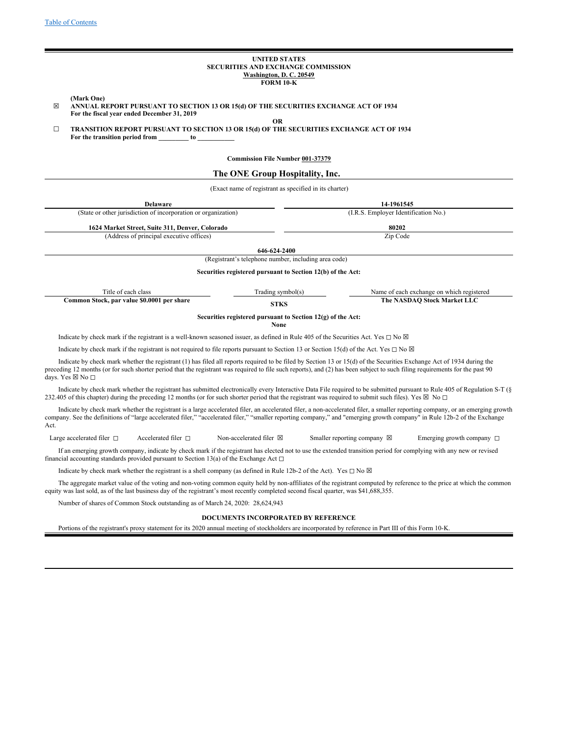|      |                                                                   |                                                                                             | <b>UNITED STATES</b><br><b>SECURITIES AND EXCHANGE COMMISSION</b><br>Washington, D.C. 20549<br><b>FORM 10-K</b>                                                                                                                                                                                                                                       |                                       |                                      |                                                                                                                                                                                                                                                                                                                                                           |
|------|-------------------------------------------------------------------|---------------------------------------------------------------------------------------------|-------------------------------------------------------------------------------------------------------------------------------------------------------------------------------------------------------------------------------------------------------------------------------------------------------------------------------------------------------|---------------------------------------|--------------------------------------|-----------------------------------------------------------------------------------------------------------------------------------------------------------------------------------------------------------------------------------------------------------------------------------------------------------------------------------------------------------|
| X    | (Mark One)                                                        | For the fiscal year ended December 31, 2019                                                 | ANNUAL REPORT PURSUANT TO SECTION 13 OR 15(d) OF THE SECURITIES EXCHANGE ACT OF 1934<br>OR                                                                                                                                                                                                                                                            |                                       |                                      |                                                                                                                                                                                                                                                                                                                                                           |
| □    | For the transition period from                                    | to                                                                                          | TRANSITION REPORT PURSUANT TO SECTION 13 OR 15(d) OF THE SECURITIES EXCHANGE ACT OF 1934                                                                                                                                                                                                                                                              |                                       |                                      |                                                                                                                                                                                                                                                                                                                                                           |
|      |                                                                   |                                                                                             | <b>Commission File Number 001-37379</b>                                                                                                                                                                                                                                                                                                               |                                       |                                      |                                                                                                                                                                                                                                                                                                                                                           |
|      |                                                                   |                                                                                             | The ONE Group Hospitality, Inc.                                                                                                                                                                                                                                                                                                                       |                                       |                                      |                                                                                                                                                                                                                                                                                                                                                           |
|      |                                                                   |                                                                                             | (Exact name of registrant as specified in its charter)                                                                                                                                                                                                                                                                                                |                                       |                                      |                                                                                                                                                                                                                                                                                                                                                           |
|      |                                                                   | <b>Delaware</b>                                                                             |                                                                                                                                                                                                                                                                                                                                                       |                                       | 14-1961545                           |                                                                                                                                                                                                                                                                                                                                                           |
|      |                                                                   | (State or other jurisdiction of incorporation or organization)                              |                                                                                                                                                                                                                                                                                                                                                       |                                       | (I.R.S. Employer Identification No.) |                                                                                                                                                                                                                                                                                                                                                           |
|      |                                                                   | 1624 Market Street, Suite 311, Denver, Colorado<br>(Address of principal executive offices) |                                                                                                                                                                                                                                                                                                                                                       |                                       | 80202<br>Zip Code                    |                                                                                                                                                                                                                                                                                                                                                           |
|      |                                                                   |                                                                                             | 646-624-2400                                                                                                                                                                                                                                                                                                                                          |                                       |                                      |                                                                                                                                                                                                                                                                                                                                                           |
|      |                                                                   |                                                                                             | (Registrant's telephone number, including area code)                                                                                                                                                                                                                                                                                                  |                                       |                                      |                                                                                                                                                                                                                                                                                                                                                           |
|      |                                                                   |                                                                                             | Securities registered pursuant to Section 12(b) of the Act:                                                                                                                                                                                                                                                                                           |                                       |                                      |                                                                                                                                                                                                                                                                                                                                                           |
|      |                                                                   |                                                                                             |                                                                                                                                                                                                                                                                                                                                                       |                                       |                                      |                                                                                                                                                                                                                                                                                                                                                           |
|      | Title of each class<br>Common Stock, par value \$0.0001 per share |                                                                                             | Trading symbol(s)                                                                                                                                                                                                                                                                                                                                     |                                       |                                      | Name of each exchange on which registered<br>The NASDAQ Stock Market LLC                                                                                                                                                                                                                                                                                  |
|      |                                                                   |                                                                                             | <b>STKS</b>                                                                                                                                                                                                                                                                                                                                           |                                       |                                      |                                                                                                                                                                                                                                                                                                                                                           |
|      |                                                                   |                                                                                             | Securities registered pursuant to Section 12(g) of the Act:<br>None                                                                                                                                                                                                                                                                                   |                                       |                                      |                                                                                                                                                                                                                                                                                                                                                           |
|      |                                                                   |                                                                                             | Indicate by check mark if the registrant is a well-known seasoned issuer, as defined in Rule 405 of the Securities Act. Yes $\Box$ No $\boxtimes$                                                                                                                                                                                                     |                                       |                                      |                                                                                                                                                                                                                                                                                                                                                           |
|      |                                                                   |                                                                                             | Indicate by check mark if the registrant is not required to file reports pursuant to Section 13 or Section 15(d) of the Act. Yes $\Box$ No $\boxtimes$                                                                                                                                                                                                |                                       |                                      |                                                                                                                                                                                                                                                                                                                                                           |
|      | days. Yes ⊠ No □                                                  |                                                                                             | Indicate by check mark whether the registrant (1) has filed all reports required to be filed by Section 13 or 15(d) of the Securities Exchange Act of 1934 during the<br>preceding 12 months (or for such shorter period that the registrant was required to file such reports), and (2) has been subject to such filing requirements for the past 90 |                                       |                                      |                                                                                                                                                                                                                                                                                                                                                           |
|      |                                                                   |                                                                                             | 232.405 of this chapter) during the preceding 12 months (or for such shorter period that the registrant was required to submit such files). Yes $\boxtimes$ No $\Box$                                                                                                                                                                                 |                                       |                                      | Indicate by check mark whether the registrant has submitted electronically every Interactive Data File required to be submitted pursuant to Rule 405 of Regulation S-T (§                                                                                                                                                                                 |
| Act. |                                                                   |                                                                                             |                                                                                                                                                                                                                                                                                                                                                       |                                       |                                      | Indicate by check mark whether the registrant is a large accelerated filer, an accelerated filer, a non-accelerated filer, a smaller reporting company, or an emerging growth<br>company. See the definitions of "large accelerated filer," "accelerated filer," "smaller reporting company," and "emerging growth company" in Rule 12b-2 of the Exchange |
|      | Large accelerated filer $\ \Box$                                  | Accelerated filer $\sqcap$                                                                  | Non-accelerated filer $\boxtimes$                                                                                                                                                                                                                                                                                                                     | Smaller reporting company $\boxtimes$ |                                      | Emerging growth company $\Box$                                                                                                                                                                                                                                                                                                                            |
|      |                                                                   |                                                                                             | If an emerging growth company, indicate by check mark if the registrant has elected not to use the extended transition period for complying with any new or revised<br>financial accounting standards provided pursuant to Section 13(a) of the Exchange Act $\square$                                                                                |                                       |                                      |                                                                                                                                                                                                                                                                                                                                                           |
|      |                                                                   |                                                                                             | Indicate by check mark whether the registrant is a shell company (as defined in Rule 12b-2 of the Act). Yes $\Box$ No $\boxtimes$                                                                                                                                                                                                                     |                                       |                                      |                                                                                                                                                                                                                                                                                                                                                           |
|      |                                                                   |                                                                                             | equity was last sold, as of the last business day of the registrant's most recently completed second fiscal quarter, was \$41,688,355.                                                                                                                                                                                                                |                                       |                                      | The aggregate market value of the voting and non-voting common equity held by non-affiliates of the registrant computed by reference to the price at which the common                                                                                                                                                                                     |
|      |                                                                   |                                                                                             | Number of shares of Common Stock outstanding as of March 24, 2020: 28, 624, 943                                                                                                                                                                                                                                                                       |                                       |                                      |                                                                                                                                                                                                                                                                                                                                                           |
|      |                                                                   |                                                                                             | DOCUMENTS INCORPORATED BY REFERENCE                                                                                                                                                                                                                                                                                                                   |                                       |                                      |                                                                                                                                                                                                                                                                                                                                                           |

Portions of the registrant's proxy statement for its 2020 annual meeting of stockholders are incorporated by reference in Part III of this Form 10-K.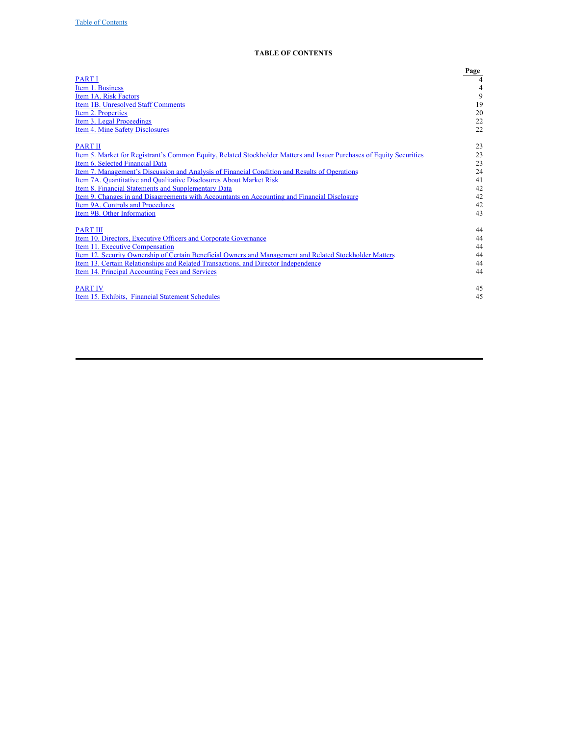# <span id="page-1-0"></span>**TABLE OF CONTENTS**

|                                                                                                                      | Page |
|----------------------------------------------------------------------------------------------------------------------|------|
| <b>PART I</b>                                                                                                        | 4    |
| Item 1. Business                                                                                                     | 4    |
| Item 1A. Risk Factors                                                                                                | 9    |
| Item 1B. Unresolved Staff Comments                                                                                   | 19   |
| Item 2. Properties                                                                                                   | 20   |
| Item 3. Legal Proceedings                                                                                            | 22   |
| Item 4. Mine Safety Disclosures                                                                                      | 22   |
| <b>PART II</b>                                                                                                       | 23   |
| Item 5. Market for Registrant's Common Equity, Related Stockholder Matters and Issuer Purchases of Equity Securities | 23   |
| Item 6. Selected Financial Data                                                                                      | 23   |
| Item 7. Management's Discussion and Analysis of Financial Condition and Results of Operations                        | 24   |
| Item 7A. Quantitative and Qualitative Disclosures About Market Risk                                                  | 41   |
| Item 8. Financial Statements and Supplementary Data                                                                  | 42   |
| Item 9. Changes in and Disagreements with Accountants on Accounting and Financial Disclosure                         | 42   |
| Item 9A. Controls and Procedures                                                                                     | 42   |
| Item 9B. Other Information                                                                                           | 43   |
| <b>PART III</b>                                                                                                      | 44   |
| Item 10. Directors, Executive Officers and Corporate Governance                                                      | 44   |
| Item 11. Executive Compensation                                                                                      | 44   |
| Item 12. Security Ownership of Certain Beneficial Owners and Management and Related Stockholder Matters              | 44   |
| Item 13. Certain Relationships and Related Transactions, and Director Independence                                   | 44   |
| Item 14. Principal Accounting Fees and Services                                                                      | 44   |
| <b>PART IV</b>                                                                                                       | 45   |
| Item 15. Exhibits, Financial Statement Schedules                                                                     | 45   |
|                                                                                                                      |      |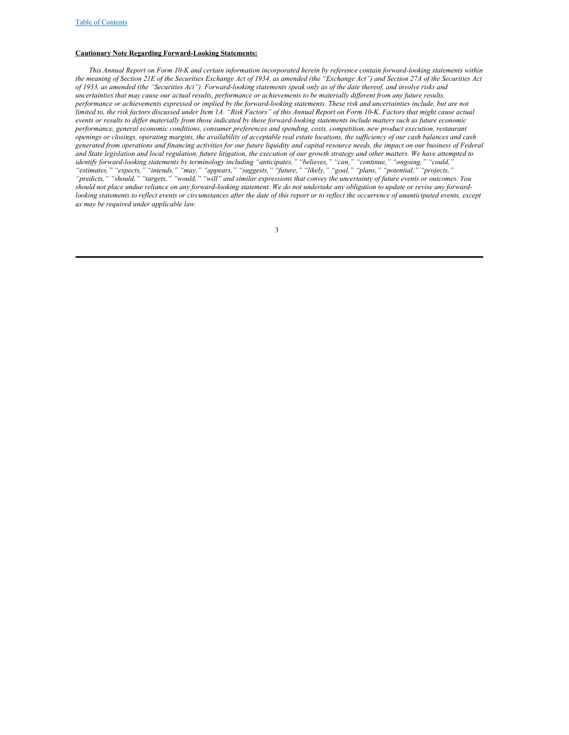# **Cautionary Note Regarding Forward-Looking Statements:**

This Annual Report on Form 10-K and certain information incorporated herein by reference contain forward-looking statements within the meaning of Section 21E of the Securities Exchange Act of 1934, as amended (the "Exchange Act") and Section 27A of the Securities Act of 1933, as amended (the "Securities Act"). Forward-looking statements speak only as of the date thereof, and involve risks and uncertainties that may cause our actual results, performance or achievements to be materially different from any future results, performance or achievements expressed or implied by the forward-looking statements. These risk and uncertainties include, but are not limited to, the risk factors discussed under Item 1A. "Risk Factors" of this Annual Report on Form 10-K. Factors that might cause actual events or results to differ materially from those indicated by these forward-looking statements include matters such as future economic performance, general economic conditions, consumer preferences and spending, costs, competition, new product execution, restaurant openings or closings, operating margins, the availability of acceptable real estate locations, the sufficiency of our cash balances and cash generated from operations and financing activities for our future liquidity and capital resource needs, the impact on our business of Federal and State legislation and local regulation, future litigation, the execution of our growth strategy and other matters. We have attempted to *identify forward-looking statements by terminology including "anticipates," "believes," "can," "continue," "ongoing," "could," "estimates," "expects," "intends," "may," "appears," "suggests," "future," "likely," "goal," "plans," "potential," "projects,"* "predicts," "should," "targets," "would," "will" and similar expressions that convey the uncertainty of future events or outcomes. You should not place undue reliance on any forward-looking statement. We do not undertake any obligation to update or revise any forwardlooking statements to reflect events or circumstances after the date of this report or to reflect the occurrence of unanticipated events, except *as may be required under applicable law.*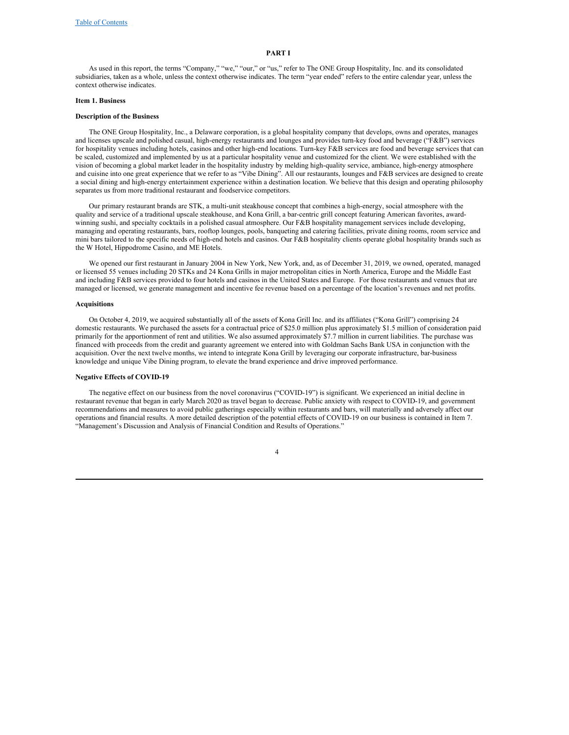# <span id="page-3-0"></span>**PART I**

As used in this report, the terms "Company," "we," "our," or "us," refer to The ONE Group Hospitality, Inc. and its consolidated subsidiaries, taken as a whole, unless the context otherwise indicates. The term "year ended" refers to the entire calendar year, unless the context otherwise indicates.

# <span id="page-3-1"></span>**Item 1. Business**

#### **Description of the Business**

The ONE Group Hospitality, Inc., a Delaware corporation, is a global hospitality company that develops, owns and operates, manages and licenses upscale and polished casual, high-energy restaurants and lounges and provides turn-key food and beverage ("F&B") services for hospitality venues including hotels, casinos and other high-end locations. Turn-key F&B services are food and beverage services that can be scaled, customized and implemented by us at a particular hospitality venue and customized for the client. We were established with the vision of becoming a global market leader in the hospitality industry by melding high-quality service, ambiance, high-energy atmosphere and cuisine into one great experience that we refer to as "Vibe Dining". All our restaurants, lounges and F&B services are designed to create a social dining and high-energy entertainment experience within a destination location. We believe that this design and operating philosophy separates us from more traditional restaurant and foodservice competitors.

Our primary restaurant brands are STK, a multi-unit steakhouse concept that combines a high-energy, social atmosphere with the quality and service of a traditional upscale steakhouse, and Kona Grill, a bar-centric grill concept featuring American favorites, awardwinning sushi, and specialty cocktails in a polished casual atmosphere. Our F&B hospitality management services include developing, managing and operating restaurants, bars, rooftop lounges, pools, banqueting and catering facilities, private dining rooms, room service and mini bars tailored to the specific needs of high-end hotels and casinos. Our F&B hospitality clients operate global hospitality brands such as the W Hotel, Hippodrome Casino, and ME Hotels.

We opened our first restaurant in January 2004 in New York, New York, and, as of December 31, 2019, we owned, operated, managed or licensed 55 venues including 20 STKs and 24 Kona Grills in major metropolitan cities in North America, Europe and the Middle East and including F&B services provided to four hotels and casinos in the United States and Europe. For those restaurants and venues that are managed or licensed, we generate management and incentive fee revenue based on a percentage of the location's revenues and net profits.

#### **Acquisitions**

On October 4, 2019, we acquired substantially all of the assets of Kona Grill Inc. and its affiliates ("Kona Grill") comprising 24 domestic restaurants. We purchased the assets for a contractual price of \$25.0 million plus approximately \$1.5 million of consideration paid primarily for the apportionment of rent and utilities. We also assumed approximately \$7.7 million in current liabilities. The purchase was financed with proceeds from the credit and guaranty agreement we entered into with Goldman Sachs Bank USA in conjunction with the acquisition. Over the next twelve months, we intend to integrate Kona Grill by leveraging our corporate infrastructure, bar-business knowledge and unique Vibe Dining program, to elevate the brand experience and drive improved performance.

# **Negative Effects of COVID-19**

The negative effect on our business from the novel coronavirus ("COVID-19") is significant. We experienced an initial decline in restaurant revenue that began in early March 2020 as travel began to decrease. Public anxiety with respect to COVID-19, and government recommendations and measures to avoid public gatherings especially within restaurants and bars, will materially and adversely affect our operations and financial results. A more detailed description of the potential effects of COVID-19 on our business is contained in Item 7. "Management's Discussion and Analysis of Financial Condition and Results of Operations."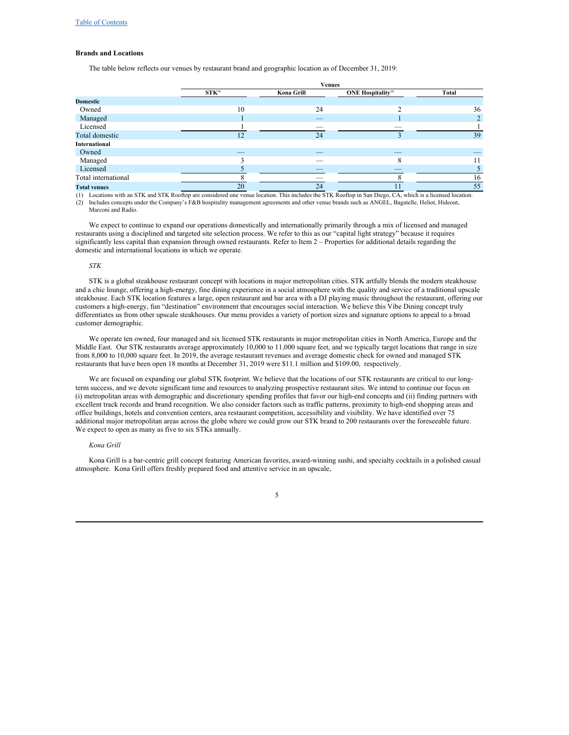### **Brands and Locations**

The table below reflects our venues by restaurant brand and geographic location as of December 31, 2019:

|                      |             | <b>Venues</b> |                                       |       |
|----------------------|-------------|---------------|---------------------------------------|-------|
|                      | $STK^{(1)}$ | Kona Grill    | <b>ONE Hospitality</b> <sup>(2)</sup> | Total |
| <b>Domestic</b>      |             |               |                                       |       |
| Owned                | 10          | 24            | $\sim$                                | 36    |
| Managed              |             | $-$           |                                       | ◠     |
| Licensed             |             |               |                                       |       |
| Total domestic       | 12          | 24            |                                       | 39    |
| <b>International</b> |             |               |                                       |       |
| Owned                | _           |               |                                       |       |
| Managed              |             |               | 8                                     |       |
| Licensed             |             |               |                                       |       |
| Total international  |             |               | c                                     | 16    |
| <b>Total venues</b>  | 20          | 24            | 11                                    | 55    |

(1) Locations with an STK and STK Rooftop are considered one venue location. This includes the STK Rooftop in San Diego, CA, which is a licensed location. (2) Includes concepts under the Company's F&B hospitality management agreements and other venue brands such as ANGEL, Bagatelle, Heliot, Hideout,

Marconi and Radio.

We expect to continue to expand our operations domestically and internationally primarily through a mix of licensed and managed restaurants using a disciplined and targeted site selection process. We refer to this as our "capital light strategy" because it requires significantly less capital than expansion through owned restaurants. Refer to Item 2 – Properties for additional details regarding the domestic and international locations in which we operate.

# *STK*

STK is a global steakhouse restaurant concept with locations in major metropolitan cities. STK artfully blends the modern steakhouse and a chic lounge, offering a high-energy, fine dining experience in a social atmosphere with the quality and service of a traditional upscale steakhouse. Each STK location features a large, open restaurant and bar area with a DJ playing music throughout the restaurant, offering our customers a high-energy, fun "destination" environment that encourages social interaction. We believe this Vibe Dining concept truly differentiates us from other upscale steakhouses. Our menu provides a variety of portion sizes and signature options to appeal to a broad customer demographic.

We operate ten owned, four managed and six licensed STK restaurants in major metropolitan cities in North America, Europe and the Middle East. Our STK restaurants average approximately 10,000 to 11,000 square feet, and we typically target locations that range in size from 8,000 to 10,000 square feet. In 2019, the average restaurant revenues and average domestic check for owned and managed STK restaurants that have been open 18 months at December 31, 2019 were \$11.1 million and \$109.00, respectively.

We are focused on expanding our global STK footprint. We believe that the locations of our STK restaurants are critical to our longterm success, and we devote significant time and resources to analyzing prospective restaurant sites. We intend to continue our focus on (i) metropolitan areas with demographic and discretionary spending profiles that favor our high-end concepts and (ii) finding partners with excellent track records and brand recognition. We also consider factors such as traffic patterns, proximity to high-end shopping areas and office buildings, hotels and convention centers, area restaurant competition, accessibility and visibility. We have identified over 75 additional major metropolitan areas across the globe where we could grow our STK brand to 200 restaurants over the foreseeable future. We expect to open as many as five to six STKs annually.

#### *Kona Grill*

Kona Grill is a bar-centric grill concept featuring American favorites, award-winning sushi, and specialty cocktails in a polished casual atmosphere. Kona Grill offers freshly prepared food and attentive service in an upscale,

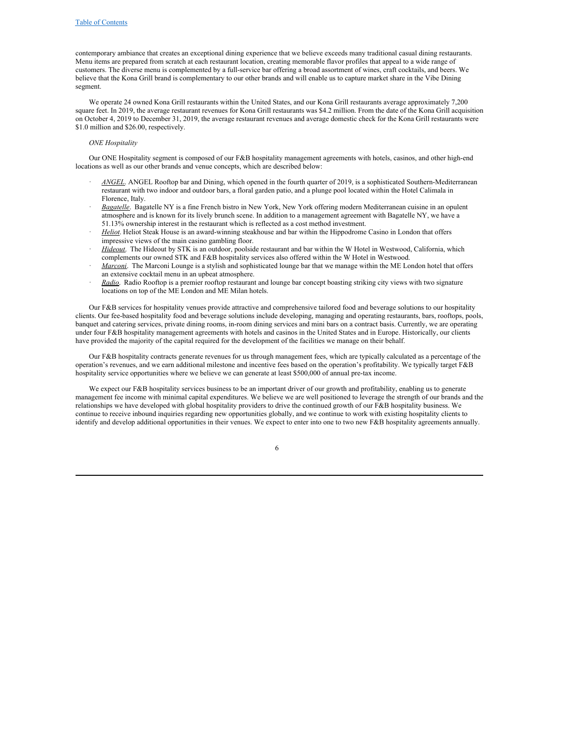contemporary ambiance that creates an exceptional dining experience that we believe exceeds many traditional casual dining restaurants. Menu items are prepared from scratch at each restaurant location, creating memorable flavor profiles that appeal to a wide range of customers. The diverse menu is complemented by a full-service bar offering a broad assortment of wines, craft cocktails, and beers. We believe that the Kona Grill brand is complementary to our other brands and will enable us to capture market share in the Vibe Dining segment.

We operate 24 owned Kona Grill restaurants within the United States, and our Kona Grill restaurants average approximately 7,200 square feet. In 2019, the average restaurant revenues for Kona Grill restaurants was \$4.2 million. From the date of the Kona Grill acquisition on October 4, 2019 to December 31, 2019, the average restaurant revenues and average domestic check for the Kona Grill restaurants were \$1.0 million and \$26.00, respectively.

# *ONE Hospitality*

Our ONE Hospitality segment is composed of our F&B hospitality management agreements with hotels, casinos, and other high-end locations as well as our other brands and venue concepts, which are described below:

- · *ANGEL*. ANGEL Rooftop bar and Dining, which opened in the fourth quarter of 2019, is a sophisticated Southern-Mediterranean restaurant with two indoor and outdoor bars, a floral garden patio, and a plunge pool located within the Hotel Calimala in Florence, Italy.
- Bagatelle. Bagatelle NY is a fine French bistro in New York, New York offering modern Mediterranean cuisine in an opulent atmosphere and is known for its lively brunch scene. In addition to a management agreement with Bagatelle NY, we have a 51.13% ownership interest in the restaurant which is reflected as a cost method investment.
- · *Heliot*. Heliot Steak House is an award-winning steakhouse and bar within the Hippodrome Casino in London that offers impressive views of the main casino gambling floor.
- · *Hideout*. The Hideout by STK is an outdoor, poolside restaurant and bar within the W Hotel in Westwood, California, which complements our owned STK and F&B hospitality services also offered within the W Hotel in Westwood.
- Marconi. The Marconi Lounge is a stylish and sophisticated lounge bar that we manage within the ME London hotel that offers an extensive cocktail menu in an upbeat atmosphere.
- *Radio*. Radio Rooftop is a premier rooftop restaurant and lounge bar concept boasting striking city views with two signature locations on top of the ME London and ME Milan hotels.

Our F&B services for hospitality venues provide attractive and comprehensive tailored food and beverage solutions to our hospitality clients. Our fee-based hospitality food and beverage solutions include developing, managing and operating restaurants, bars, rooftops, pools, banquet and catering services, private dining rooms, in-room dining services and mini bars on a contract basis. Currently, we are operating under four F&B hospitality management agreements with hotels and casinos in the United States and in Europe. Historically, our clients have provided the majority of the capital required for the development of the facilities we manage on their behalf.

Our F&B hospitality contracts generate revenues for us through management fees, which are typically calculated as a percentage of the operation's revenues, and we earn additional milestone and incentive fees based on the operation's profitability. We typically target F&B hospitality service opportunities where we believe we can generate at least \$500,000 of annual pre-tax income.

We expect our F&B hospitality services business to be an important driver of our growth and profitability, enabling us to generate management fee income with minimal capital expenditures. We believe we are well positioned to leverage the strength of our brands and the relationships we have developed with global hospitality providers to drive the continued growth of our F&B hospitality business. We continue to receive inbound inquiries regarding new opportunities globally, and we continue to work with existing hospitality clients to identify and develop additional opportunities in their venues. We expect to enter into one to two new F&B hospitality agreements annually.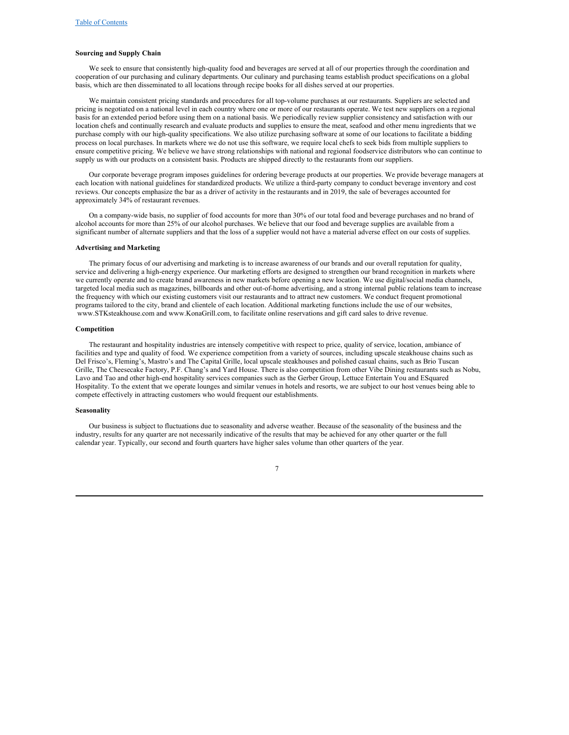### **Sourcing and Supply Chain**

We seek to ensure that consistently high-quality food and beverages are served at all of our properties through the coordination and cooperation of our purchasing and culinary departments. Our culinary and purchasing teams establish product specifications on a global basis, which are then disseminated to all locations through recipe books for all dishes served at our properties.

We maintain consistent pricing standards and procedures for all top-volume purchases at our restaurants. Suppliers are selected and pricing is negotiated on a national level in each country where one or more of our restaurants operate. We test new suppliers on a regional basis for an extended period before using them on a national basis. We periodically review supplier consistency and satisfaction with our location chefs and continually research and evaluate products and supplies to ensure the meat, seafood and other menu ingredients that we purchase comply with our high-quality specifications. We also utilize purchasing software at some of our locations to facilitate a bidding process on local purchases. In markets where we do not use this software, we require local chefs to seek bids from multiple suppliers to ensure competitive pricing. We believe we have strong relationships with national and regional foodservice distributors who can continue to supply us with our products on a consistent basis. Products are shipped directly to the restaurants from our suppliers.

Our corporate beverage program imposes guidelines for ordering beverage products at our properties. We provide beverage managers at each location with national guidelines for standardized products. We utilize a third-party company to conduct beverage inventory and cost reviews. Our concepts emphasize the bar as a driver of activity in the restaurants and in 2019, the sale of beverages accounted for approximately 34% of restaurant revenues.

On a company-wide basis, no supplier of food accounts for more than 30% of our total food and beverage purchases and no brand of alcohol accounts for more than 25% of our alcohol purchases. We believe that our food and beverage supplies are available from a significant number of alternate suppliers and that the loss of a supplier would not have a material adverse effect on our costs of supplies.

#### **Advertising and Marketing**

The primary focus of our advertising and marketing is to increase awareness of our brands and our overall reputation for quality, service and delivering a high-energy experience. Our marketing efforts are designed to strengthen our brand recognition in markets where we currently operate and to create brand awareness in new markets before opening a new location. We use digital/social media channels, targeted local media such as magazines, billboards and other out-of-home advertising, and a strong internal public relations team to increase the frequency with which our existing customers visit our restaurants and to attract new customers. We conduct frequent promotional programs tailored to the city, brand and clientele of each location. Additional marketing functions include the use of our websites, www.STKsteakhouse.com and www.KonaGrill.com, to facilitate online reservations and gift card sales to drive revenue.

#### **Competition**

The restaurant and hospitality industries are intensely competitive with respect to price, quality of service, location, ambiance of facilities and type and quality of food. We experience competition from a variety of sources, including upscale steakhouse chains such as Del Frisco's, Fleming's, Mastro's and The Capital Grille, local upscale steakhouses and polished casual chains, such as Brio Tuscan Grille, The Cheesecake Factory, P.F. Chang's and Yard House. There is also competition from other Vibe Dining restaurants such as Nobu, Lavo and Tao and other high-end hospitality services companies such as the Gerber Group, Lettuce Entertain You and ESquared Hospitality. To the extent that we operate lounges and similar venues in hotels and resorts, we are subject to our host venues being able to compete effectively in attracting customers who would frequent our establishments.

#### **Seasonality**

Our business is subject to fluctuations due to seasonality and adverse weather. Because of the seasonality of the business and the industry, results for any quarter are not necessarily indicative of the results that may be achieved for any other quarter or the full calendar year. Typically, our second and fourth quarters have higher sales volume than other quarters of the year.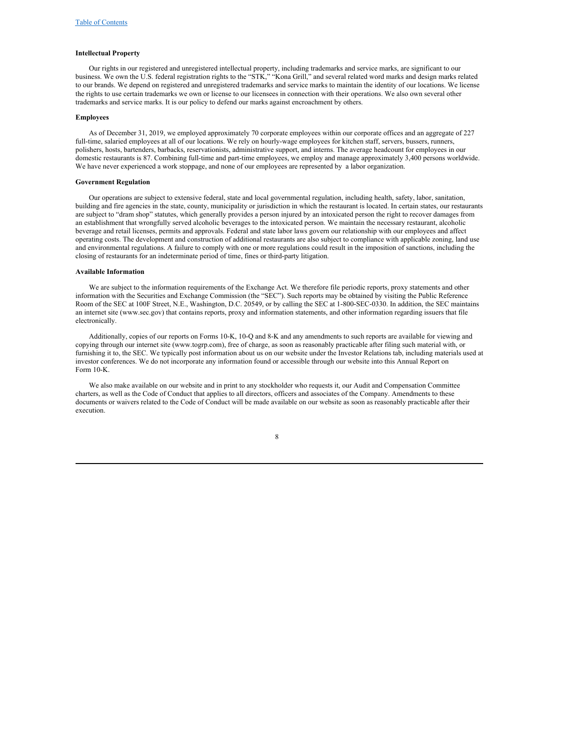#### **Intellectual Property**

Our rights in our registered and unregistered intellectual property, including trademarks and service marks, are significant to our business. We own the U.S. federal registration rights to the "STK," "Kona Grill," and several related word marks and design marks related to our brands. We depend on registered and unregistered trademarks and service marks to maintain the identity of our locations. We license the rights to use certain trademarks we own or license to our licensees in connection with their operations. We also own several other trademarks and service marks. It is our policy to defend our marks against encroachment by others.

### **Employees**

As of December 31, 2019, we employed approximately 70 corporate employees within our corporate offices and an aggregate of 227 full-time, salaried employees at all of our locations. We rely on hourly-wage employees for kitchen staff, servers, bussers, runners, polishers, hosts, bartenders, barbacks, reservationists, administrative support, and interns. The average headcount for employees in our domestic restaurants is 87. Combining full-time and part-time employees, we employ and manage approximately 3,400 persons worldwide. We have never experienced a work stoppage, and none of our employees are represented by a labor organization.

# **Government Regulation**

Our operations are subject to extensive federal, state and local governmental regulation, including health, safety, labor, sanitation, building and fire agencies in the state, county, municipality or jurisdiction in which the restaurant is located. In certain states, our restaurants are subject to "dram shop" statutes, which generally provides a person injured by an intoxicated person the right to recover damages from an establishment that wrongfully served alcoholic beverages to the intoxicated person. We maintain the necessary restaurant, alcoholic beverage and retail licenses, permits and approvals. Federal and state labor laws govern our relationship with our employees and affect operating costs. The development and construction of additional restaurants are also subject to compliance with applicable zoning, land use and environmental regulations. A failure to comply with one or more regulations could result in the imposition of sanctions, including the closing of restaurants for an indeterminate period of time, fines or third-party litigation.

#### **Available Information**

We are subject to the information requirements of the Exchange Act. We therefore file periodic reports, proxy statements and other information with the Securities and Exchange Commission (the "SEC"). Such reports may be obtained by visiting the Public Reference Room of the SEC at 100F Street, N.E., Washington, D.C. 20549, or by calling the SEC at 1-800-SEC-0330. In addition, the SEC maintains an internet site (www.sec.gov) that contains reports, proxy and information statements, and other information regarding issuers that file electronically.

Additionally, copies of our reports on Forms 10‑K, 10‑Q and 8‑K and any amendments to such reports are available for viewing and copying through our internet site (www.togrp.com), free of charge, as soon as reasonably practicable after filing such material with, or furnishing it to, the SEC. We typically post information about us on our website under the Investor Relations tab, including materials used at investor conferences. We do not incorporate any information found or accessible through our website into this Annual Report on Form 10‑K.

We also make available on our website and in print to any stockholder who requests it, our Audit and Compensation Committee charters, as well as the Code of Conduct that applies to all directors, officers and associates of the Company. Amendments to these documents or waivers related to the Code of Conduct will be made available on our website as soon as reasonably practicable after their execution.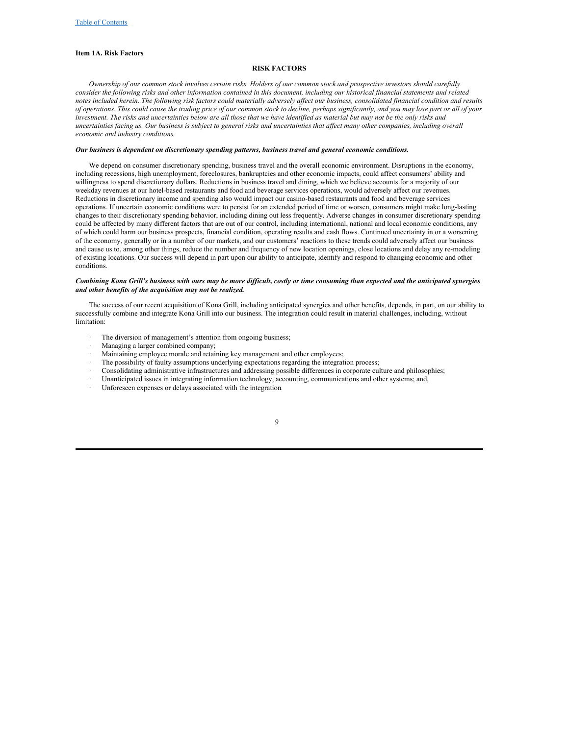### <span id="page-8-0"></span>**Item 1A. Risk Factors**

# **RISK FACTORS**

Ownership of our common stock involves certain risks. Holders of our common stock and prospective investors should carefully consider the following risks and other information contained in this document, including our historical financial statements and related notes included herein. The following risk factors could materially adversely affect our business, consolidated financial condition and results of operations. This could cause the trading price of our common stock to decline, perhaps significantly, and you may lose part or all of your investment. The risks and uncertainties below are all those that we have identified as material but may not be the only risks and uncertainties facing us. Our business is subject to general risks and uncertainties that affect many other companies, including overall *economic and industry conditions.*

#### *Our business is dependent on discretionary spending patterns, business travel and general economic conditions.*

We depend on consumer discretionary spending, business travel and the overall economic environment. Disruptions in the economy, including recessions, high unemployment, foreclosures, bankruptcies and other economic impacts, could affect consumers' ability and willingness to spend discretionary dollars. Reductions in business travel and dining, which we believe accounts for a majority of our weekday revenues at our hotel-based restaurants and food and beverage services operations, would adversely affect our revenues. Reductions in discretionary income and spending also would impact our casino-based restaurants and food and beverage services operations. If uncertain economic conditions were to persist for an extended period of time or worsen, consumers might make long-lasting changes to their discretionary spending behavior, including dining out less frequently. Adverse changes in consumer discretionary spending could be affected by many different factors that are out of our control, including international, national and local economic conditions, any of which could harm our business prospects, financial condition, operating results and cash flows. Continued uncertainty in or a worsening of the economy, generally or in a number of our markets, and our customers' reactions to these trends could adversely affect our business and cause us to, among other things, reduce the number and frequency of new location openings, close locations and delay any re-modeling of existing locations. Our success will depend in part upon our ability to anticipate, identify and respond to changing economic and other conditions.

### Combining Kona Grill's business with ours may be more difficult, costly or time consuming than expected and the anticipated synergies *and other benefits of the acquisition may not be realized.*

The success of our recent acquisition of Kona Grill, including anticipated synergies and other benefits, depends, in part, on our ability to successfully combine and integrate Kona Grill into our business. The integration could result in material challenges, including, without limitation:

- The diversion of management's attention from ongoing business;<br>• Managing a larger combined company:
- Managing a larger combined company;
- Maintaining employee morale and retaining key management and other employees;
- The possibility of faulty assumptions underlying expectations regarding the integration process;
- Consolidating administrative infrastructures and addressing possible differences in corporate culture and philosophies;
- Unanticipated issues in integrating information technology, accounting, communications and other systems; and,
- Unforeseen expenses or delays associated with the integration.

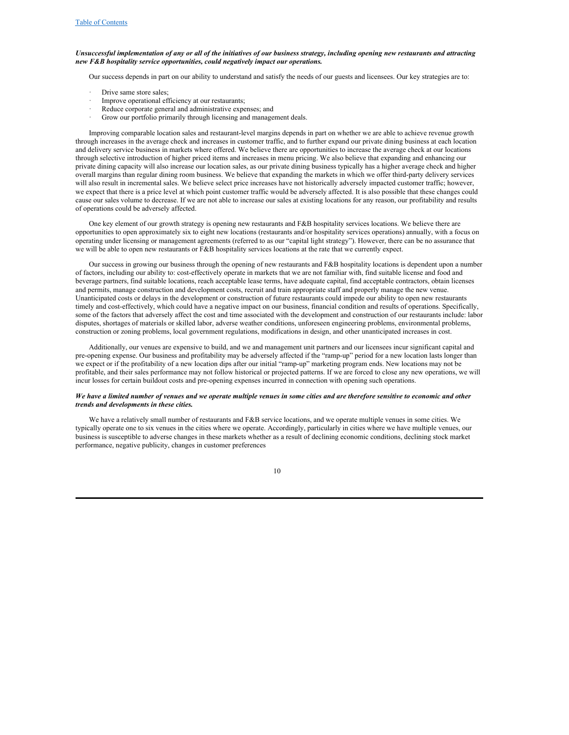# Unsuccessful implementation of any or all of the initiatives of our business strategy, including opening new restaurants and attracting *new F&B hospitality service opportunities, could negatively impact our operations.*

Our success depends in part on our ability to understand and satisfy the needs of our guests and licensees. Our key strategies are to:

- Drive same store sales;
- Improve operational efficiency at our restaurants;
- Reduce corporate general and administrative expenses; and
- Grow our portfolio primarily through licensing and management deals.

Improving comparable location sales and restaurant-level margins depends in part on whether we are able to achieve revenue growth through increases in the average check and increases in customer traffic, and to further expand our private dining business at each location and delivery service business in markets where offered. We believe there are opportunities to increase the average check at our locations through selective introduction of higher priced items and increases in menu pricing. We also believe that expanding and enhancing our private dining capacity will also increase our location sales, as our private dining business typically has a higher average check and higher overall margins than regular dining room business. We believe that expanding the markets in which we offer third-party delivery services will also result in incremental sales. We believe select price increases have not historically adversely impacted customer traffic; however, we expect that there is a price level at which point customer traffic would be adversely affected. It is also possible that these changes could cause our sales volume to decrease. If we are not able to increase our sales at existing locations for any reason, our profitability and results of operations could be adversely affected.

One key element of our growth strategy is opening new restaurants and F&B hospitality services locations. We believe there are opportunities to open approximately six to eight new locations (restaurants and/or hospitality services operations) annually, with a focus on operating under licensing or management agreements (referred to as our "capital light strategy"). However, there can be no assurance that we will be able to open new restaurants or F&B hospitality services locations at the rate that we currently expect.

Our success in growing our business through the opening of new restaurants and F&B hospitality locations is dependent upon a number of factors, including our ability to: cost-effectively operate in markets that we are not familiar with, find suitable license and food and beverage partners, find suitable locations, reach acceptable lease terms, have adequate capital, find acceptable contractors, obtain licenses and permits, manage construction and development costs, recruit and train appropriate staff and properly manage the new venue. Unanticipated costs or delays in the development or construction of future restaurants could impede our ability to open new restaurants timely and cost-effectively, which could have a negative impact on our business, financial condition and results of operations. Specifically, some of the factors that adversely affect the cost and time associated with the development and construction of our restaurants include: labor disputes, shortages of materials or skilled labor, adverse weather conditions, unforeseen engineering problems, environmental problems, construction or zoning problems, local government regulations, modifications in design, and other unanticipated increases in cost.

Additionally, our venues are expensive to build, and we and management unit partners and our licensees incur significant capital and pre-opening expense. Our business and profitability may be adversely affected if the "ramp-up" period for a new location lasts longer than we expect or if the profitability of a new location dips after our initial "ramp-up" marketing program ends. New locations may not be profitable, and their sales performance may not follow historical or projected patterns. If we are forced to close any new operations, we will incur losses for certain buildout costs and pre-opening expenses incurred in connection with opening such operations.

# We have a limited number of venues and we operate multiple venues in some cities and are therefore sensitive to economic and other *trends and developments in these cities.*

We have a relatively small number of restaurants and F&B service locations, and we operate multiple venues in some cities. We typically operate one to six venues in the cities where we operate. Accordingly, particularly in cities where we have multiple venues, our business is susceptible to adverse changes in these markets whether as a result of declining economic conditions, declining stock market performance, negative publicity, changes in customer preferences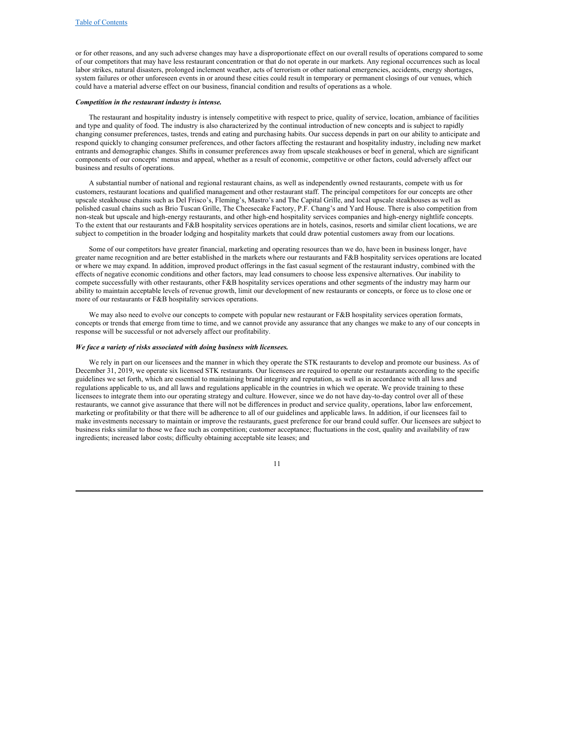or for other reasons, and any such adverse changes may have a disproportionate effect on our overall results of operations compared to some of our competitors that may have less restaurant concentration or that do not operate in our markets. Any regional occurrences such as local labor strikes, natural disasters, prolonged inclement weather, acts of terrorism or other national emergencies, accidents, energy shortages, system failures or other unforeseen events in or around these cities could result in temporary or permanent closings of our venues, which could have a material adverse effect on our business, financial condition and results of operations as a whole.

#### *Competition in the restaurant industry is intense.*

The restaurant and hospitality industry is intensely competitive with respect to price, quality of service, location, ambiance of facilities and type and quality of food. The industry is also characterized by the continual introduction of new concepts and is subject to rapidly changing consumer preferences, tastes, trends and eating and purchasing habits. Our success depends in part on our ability to anticipate and respond quickly to changing consumer preferences, and other factors affecting the restaurant and hospitality industry, including new market entrants and demographic changes. Shifts in consumer preferences away from upscale steakhouses or beef in general, which are significant components of our concepts' menus and appeal, whether as a result of economic, competitive or other factors, could adversely affect our business and results of operations.

A substantial number of national and regional restaurant chains, as well as independently owned restaurants, compete with us for customers, restaurant locations and qualified management and other restaurant staff. The principal competitors for our concepts are other upscale steakhouse chains such as Del Frisco's, Fleming's, Mastro's and The Capital Grille, and local upscale steakhouses as well as polished casual chains such as Brio Tuscan Grille, The Cheesecake Factory, P.F. Chang's and Yard House. There is also competition from non-steak but upscale and high-energy restaurants, and other high-end hospitality services companies and high-energy nightlife concepts. To the extent that our restaurants and F&B hospitality services operations are in hotels, casinos, resorts and similar client locations, we are subject to competition in the broader lodging and hospitality markets that could draw potential customers away from our locations.

Some of our competitors have greater financial, marketing and operating resources than we do, have been in business longer, have greater name recognition and are better established in the markets where our restaurants and F&B hospitality services operations are located or where we may expand. In addition, improved product offerings in the fast casual segment of the restaurant industry, combined with the effects of negative economic conditions and other factors, may lead consumers to choose less expensive alternatives. Our inability to compete successfully with other restaurants, other F&B hospitality services operations and other segments of the industry may harm our ability to maintain acceptable levels of revenue growth, limit our development of new restaurants or concepts, or force us to close one or more of our restaurants or F&B hospitality services operations.

We may also need to evolve our concepts to compete with popular new restaurant or F&B hospitality services operation formats, concepts or trends that emerge from time to time, and we cannot provide any assurance that any changes we make to any of our concepts in response will be successful or not adversely affect our profitability.

#### *We face a variety of risks associated with doing business with licensees.*

We rely in part on our licensees and the manner in which they operate the STK restaurants to develop and promote our business. As of December 31, 2019, we operate six licensed STK restaurants. Our licensees are required to operate our restaurants according to the specific guidelines we set forth, which are essential to maintaining brand integrity and reputation, as well as in accordance with all laws and regulations applicable to us, and all laws and regulations applicable in the countries in which we operate. We provide training to these licensees to integrate them into our operating strategy and culture. However, since we do not have day-to-day control over all of these restaurants, we cannot give assurance that there will not be differences in product and service quality, operations, labor law enforcement, marketing or profitability or that there will be adherence to all of our guidelines and applicable laws. In addition, if our licensees fail to make investments necessary to maintain or improve the restaurants, guest preference for our brand could suffer. Our licensees are subject to business risks similar to those we face such as competition; customer acceptance; fluctuations in the cost, quality and availability of raw ingredients; increased labor costs; difficulty obtaining acceptable site leases; and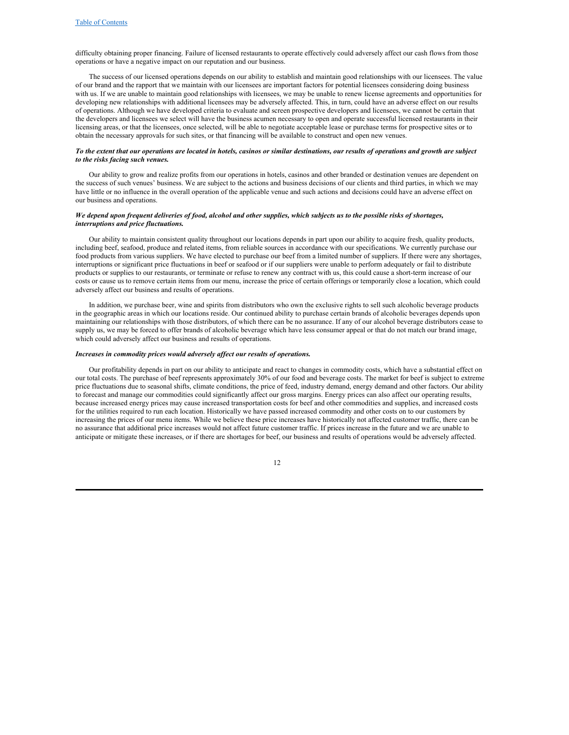difficulty obtaining proper financing. Failure of licensed restaurants to operate effectively could adversely affect our cash flows from those operations or have a negative impact on our reputation and our business.

The success of our licensed operations depends on our ability to establish and maintain good relationships with our licensees. The value of our brand and the rapport that we maintain with our licensees are important factors for potential licensees considering doing business with us. If we are unable to maintain good relationships with licensees, we may be unable to renew license agreements and opportunities for developing new relationships with additional licensees may be adversely affected. This, in turn, could have an adverse effect on our results of operations. Although we have developed criteria to evaluate and screen prospective developers and licensees, we cannot be certain that the developers and licensees we select will have the business acumen necessary to open and operate successful licensed restaurants in their licensing areas, or that the licensees, once selected, will be able to negotiate acceptable lease or purchase terms for prospective sites or to obtain the necessary approvals for such sites, or that financing will be available to construct and open new venues.

# To the extent that our operations are located in hotels, casinos or similar destinations, our results of operations and growth are subject *to the risks facing such venues.*

Our ability to grow and realize profits from our operations in hotels, casinos and other branded or destination venues are dependent on the success of such venues' business. We are subject to the actions and business decisions of our clients and third parties, in which we may have little or no influence in the overall operation of the applicable venue and such actions and decisions could have an adverse effect on our business and operations.

# We depend upon frequent deliveries of food, alcohol and other supplies, which subjects us to the possible risks of shortages, *interruptions and price fluctuations.*

Our ability to maintain consistent quality throughout our locations depends in part upon our ability to acquire fresh, quality products, including beef, seafood, produce and related items, from reliable sources in accordance with our specifications. We currently purchase our food products from various suppliers. We have elected to purchase our beef from a limited number of suppliers. If there were any shortages, interruptions or significant price fluctuations in beef or seafood or if our suppliers were unable to perform adequately or fail to distribute products or supplies to our restaurants, or terminate or refuse to renew any contract with us, this could cause a short-term increase of our costs or cause us to remove certain items from our menu, increase the price of certain offerings or temporarily close a location, which could adversely affect our business and results of operations.

In addition, we purchase beer, wine and spirits from distributors who own the exclusive rights to sell such alcoholic beverage products in the geographic areas in which our locations reside. Our continued ability to purchase certain brands of alcoholic beverages depends upon maintaining our relationships with those distributors, of which there can be no assurance. If any of our alcohol beverage distributors cease to supply us, we may be forced to offer brands of alcoholic beverage which have less consumer appeal or that do not match our brand image, which could adversely affect our business and results of operations.

#### *Increases in commodity prices would adversely af ect our results of operations.*

Our profitability depends in part on our ability to anticipate and react to changes in commodity costs, which have a substantial effect on our total costs. The purchase of beef represents approximately 30% of our food and beverage costs. The market for beef is subject to extreme price fluctuations due to seasonal shifts, climate conditions, the price of feed, industry demand, energy demand and other factors. Our ability to forecast and manage our commodities could significantly affect our gross margins. Energy prices can also affect our operating results, because increased energy prices may cause increased transportation costs for beef and other commodities and supplies, and increased costs for the utilities required to run each location. Historically we have passed increased commodity and other costs on to our customers by increasing the prices of our menu items. While we believe these price increases have historically not affected customer traffic, there can be no assurance that additional price increases would not affect future customer traffic. If prices increase in the future and we are unable to anticipate or mitigate these increases, or if there are shortages for beef, our business and results of operations would be adversely affected.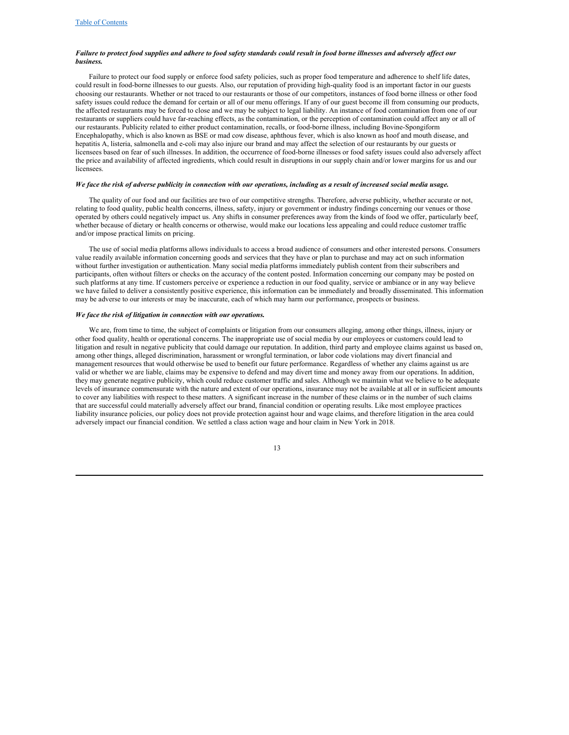# Failure to protect food supplies and adhere to food safety standards could result in food borne illnesses and adversely affect our *business.*

Failure to protect our food supply or enforce food safety policies, such as proper food temperature and adherence to shelf life dates, could result in food-borne illnesses to our guests. Also, our reputation of providing high-quality food is an important factor in our guests choosing our restaurants. Whether or not traced to our restaurants or those of our competitors, instances of food borne illness or other food safety issues could reduce the demand for certain or all of our menu offerings. If any of our guest become ill from consuming our products, the affected restaurants may be forced to close and we may be subject to legal liability. An instance of food contamination from one of our restaurants or suppliers could have far-reaching effects, as the contamination, or the perception of contamination could affect any or all of our restaurants. Publicity related to either product contamination, recalls, or food-borne illness, including Bovine-Spongiform Encephalopathy, which is also known as BSE or mad cow disease, aphthous fever, which is also known as hoof and mouth disease, and hepatitis A, listeria, salmonella and e-coli may also injure our brand and may affect the selection of our restaurants by our guests or licensees based on fear of such illnesses. In addition, the occurrence of food-borne illnesses or food safety issues could also adversely affect the price and availability of affected ingredients, which could result in disruptions in our supply chain and/or lower margins for us and our licensees.

# We face the risk of adverse publicity in connection with our operations, including as a result of increased social media usage.

The quality of our food and our facilities are two of our competitive strengths. Therefore, adverse publicity, whether accurate or not, relating to food quality, public health concerns, illness, safety, injury or government or industry findings concerning our venues or those operated by others could negatively impact us. Any shifts in consumer preferences away from the kinds of food we offer, particularly beef, whether because of dietary or health concerns or otherwise, would make our locations less appealing and could reduce customer traffic and/or impose practical limits on pricing.

The use of social media platforms allows individuals to access a broad audience of consumers and other interested persons. Consumers value readily available information concerning goods and services that they have or plan to purchase and may act on such information without further investigation or authentication. Many social media platforms immediately publish content from their subscribers and participants, often without filters or checks on the accuracy of the content posted. Information concerning our company may be posted on such platforms at any time. If customers perceive or experience a reduction in our food quality, service or ambiance or in any way believe we have failed to deliver a consistently positive experience, this information can be immediately and broadly disseminated. This information may be adverse to our interests or may be inaccurate, each of which may harm our performance, prospects or business.

### *We face the risk of litigation in connection with our operations.*

We are, from time to time, the subject of complaints or litigation from our consumers alleging, among other things, illness, injury or other food quality, health or operational concerns. The inappropriate use of social media by our employees or customers could lead to litigation and result in negative publicity that could damage our reputation. In addition, third party and employee claims against us based on, among other things, alleged discrimination, harassment or wrongful termination, or labor code violations may divert financial and management resources that would otherwise be used to benefit our future performance. Regardless of whether any claims against us are valid or whether we are liable, claims may be expensive to defend and may divert time and money away from our operations. In addition, they may generate negative publicity, which could reduce customer traffic and sales. Although we maintain what we believe to be adequate levels of insurance commensurate with the nature and extent of our operations, insurance may not be available at all or in sufficient amounts to cover any liabilities with respect to these matters. A significant increase in the number of these claims or in the number of such claims that are successful could materially adversely affect our brand, financial condition or operating results. Like most employee practices liability insurance policies, our policy does not provide protection against hour and wage claims, and therefore litigation in the area could adversely impact our financial condition. We settled a class action wage and hour claim in New York in 2018.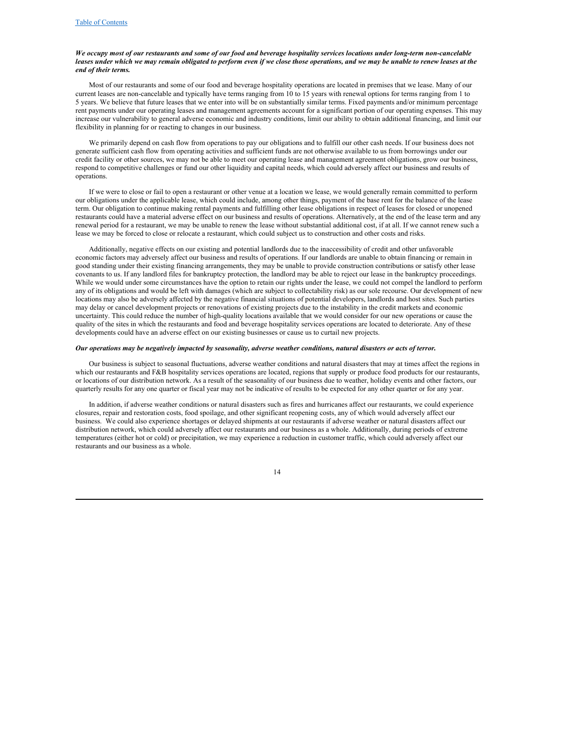# We occupy most of our restaurants and some of our food and beverage hospitality services locations under long-term non-cancelable leases under which we may remain obligated to perform even if we close those operations, and we may be unable to renew leases at the *end of their terms.*

Most of our restaurants and some of our food and beverage hospitality operations are located in premises that we lease. Many of our current leases are non-cancelable and typically have terms ranging from 10 to 15 years with renewal options for terms ranging from 1 to 5 years. We believe that future leases that we enter into will be on substantially similar terms. Fixed payments and/or minimum percentage rent payments under our operating leases and management agreements account for a significant portion of our operating expenses. This may increase our vulnerability to general adverse economic and industry conditions, limit our ability to obtain additional financing, and limit our flexibility in planning for or reacting to changes in our business.

We primarily depend on cash flow from operations to pay our obligations and to fulfill our other cash needs. If our business does not generate sufficient cash flow from operating activities and sufficient funds are not otherwise available to us from borrowings under our credit facility or other sources, we may not be able to meet our operating lease and management agreement obligations, grow our business, respond to competitive challenges or fund our other liquidity and capital needs, which could adversely affect our business and results of operations.

If we were to close or fail to open a restaurant or other venue at a location we lease, we would generally remain committed to perform our obligations under the applicable lease, which could include, among other things, payment of the base rent for the balance of the lease term. Our obligation to continue making rental payments and fulfilling other lease obligations in respect of leases for closed or unopened restaurants could have a material adverse effect on our business and results of operations. Alternatively, at the end of the lease term and any renewal period for a restaurant, we may be unable to renew the lease without substantial additional cost, if at all. If we cannot renew such a lease we may be forced to close or relocate a restaurant, which could subject us to construction and other costs and risks.

Additionally, negative effects on our existing and potential landlords due to the inaccessibility of credit and other unfavorable economic factors may adversely affect our business and results of operations. If our landlords are unable to obtain financing or remain in good standing under their existing financing arrangements, they may be unable to provide construction contributions or satisfy other lease covenants to us. If any landlord files for bankruptcy protection, the landlord may be able to reject our lease in the bankruptcy proceedings. While we would under some circumstances have the option to retain our rights under the lease, we could not compel the landlord to perform any of its obligations and would be left with damages (which are subject to collectability risk) as our sole recourse. Our development of new locations may also be adversely affected by the negative financial situations of potential developers, landlords and host sites. Such parties may delay or cancel development projects or renovations of existing projects due to the instability in the credit markets and economic uncertainty. This could reduce the number of high-quality locations available that we would consider for our new operations or cause the quality of the sites in which the restaurants and food and beverage hospitality services operations are located to deteriorate. Any of these developments could have an adverse effect on our existing businesses or cause us to curtail new projects.

### Our operations may be negatively impacted by seasonality, adverse weather conditions, natural disasters or acts of terror.

Our business is subject to seasonal fluctuations, adverse weather conditions and natural disasters that may at times affect the regions in which our restaurants and F&B hospitality services operations are located, regions that supply or produce food products for our restaurants, or locations of our distribution network. As a result of the seasonality of our business due to weather, holiday events and other factors, our quarterly results for any one quarter or fiscal year may not be indicative of results to be expected for any other quarter or for any year.

In addition, if adverse weather conditions or natural disasters such as fires and hurricanes affect our restaurants, we could experience closures, repair and restoration costs, food spoilage, and other significant reopening costs, any of which would adversely affect our business. We could also experience shortages or delayed shipments at our restaurants if adverse weather or natural disasters affect our distribution network, which could adversely affect our restaurants and our business as a whole. Additionally, during periods of extreme temperatures (either hot or cold) or precipitation, we may experience a reduction in customer traffic, which could adversely affect our restaurants and our business as a whole.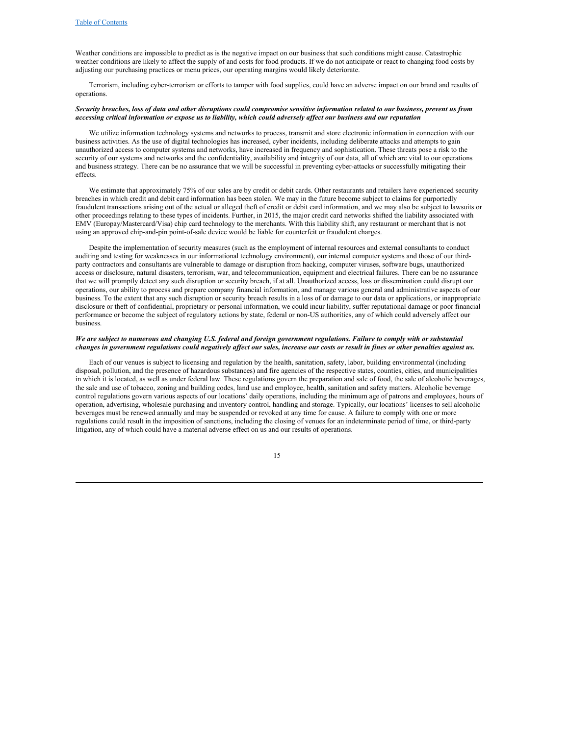Weather conditions are impossible to predict as is the negative impact on our business that such conditions might cause. Catastrophic weather conditions are likely to affect the supply of and costs for food products. If we do not anticipate or react to changing food costs by adjusting our purchasing practices or menu prices, our operating margins would likely deteriorate.

Terrorism, including cyber-terrorism or efforts to tamper with food supplies, could have an adverse impact on our brand and results of operations.

### Security breaches, loss of data and other disruptions could compromise sensitive information related to our business, prevent us from accessing critical information or expose us to liability, which could adversely affect our business and our reputation

We utilize information technology systems and networks to process, transmit and store electronic information in connection with our business activities. As the use of digital technologies has increased, cyber incidents, including deliberate attacks and attempts to gain unauthorized access to computer systems and networks, have increased in frequency and sophistication. These threats pose a risk to the security of our systems and networks and the confidentiality, availability and integrity of our data, all of which are vital to our operations and business strategy. There can be no assurance that we will be successful in preventing cyber-attacks or successfully mitigating their effects.

We estimate that approximately 75% of our sales are by credit or debit cards. Other restaurants and retailers have experienced security breaches in which credit and debit card information has been stolen. We may in the future become subject to claims for purportedly fraudulent transactions arising out of the actual or alleged theft of credit or debit card information, and we may also be subject to lawsuits or other proceedings relating to these types of incidents. Further, in 2015, the major credit card networks shifted the liability associated with EMV (Europay/Mastercard/Visa) chip card technology to the merchants. With this liability shift, any restaurant or merchant that is not using an approved chip-and-pin point-of-sale device would be liable for counterfeit or fraudulent charges.

Despite the implementation of security measures (such as the employment of internal resources and external consultants to conduct auditing and testing for weaknesses in our informational technology environment), our internal computer systems and those of our thirdparty contractors and consultants are vulnerable to damage or disruption from hacking, computer viruses, software bugs, unauthorized access or disclosure, natural disasters, terrorism, war, and telecommunication, equipment and electrical failures. There can be no assurance that we will promptly detect any such disruption or security breach, if at all. Unauthorized access, loss or dissemination could disrupt our operations, our ability to process and prepare company financial information, and manage various general and administrative aspects of our business. To the extent that any such disruption or security breach results in a loss of or damage to our data or applications, or inappropriate disclosure or theft of confidential, proprietary or personal information, we could incur liability, suffer reputational damage or poor financial performance or become the subject of regulatory actions by state, federal or non-US authorities, any of which could adversely affect our business.

### We are subject to numerous and changing U.S. federal and foreign government regulations. Failure to comply with or substantial changes in government regulations could negatively affect our sales, increase our costs or result in fines or other penalties against us.

Each of our venues is subject to licensing and regulation by the health, sanitation, safety, labor, building environmental (including disposal, pollution, and the presence of hazardous substances) and fire agencies of the respective states, counties, cities, and municipalities in which it is located, as well as under federal law. These regulations govern the preparation and sale of food, the sale of alcoholic beverages, the sale and use of tobacco, zoning and building codes, land use and employee, health, sanitation and safety matters. Alcoholic beverage control regulations govern various aspects of our locations' daily operations, including the minimum age of patrons and employees, hours of operation, advertising, wholesale purchasing and inventory control, handling and storage. Typically, our locations' licenses to sell alcoholic beverages must be renewed annually and may be suspended or revoked at any time for cause. A failure to comply with one or more regulations could result in the imposition of sanctions, including the closing of venues for an indeterminate period of time, or third-party litigation, any of which could have a material adverse effect on us and our results of operations.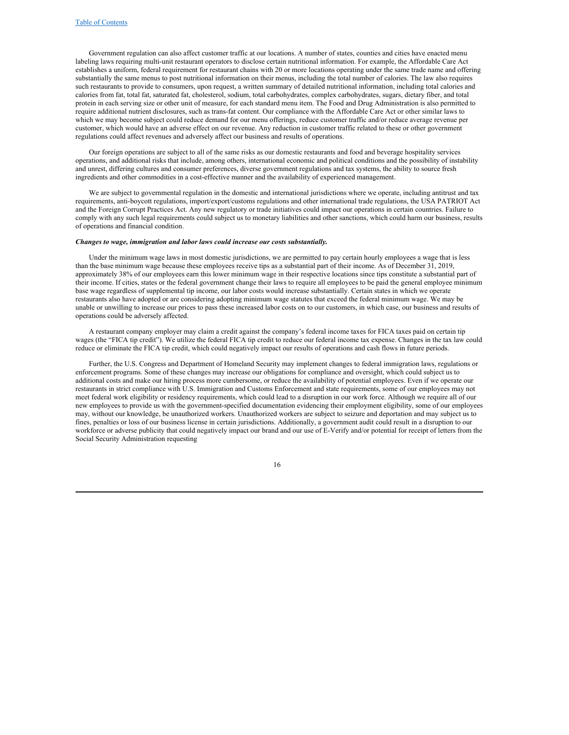Government regulation can also affect customer traffic at our locations. A number of states, counties and cities have enacted menu labeling laws requiring multi-unit restaurant operators to disclose certain nutritional information. For example, the Affordable Care Act establishes a uniform, federal requirement for restaurant chains with 20 or more locations operating under the same trade name and offering substantially the same menus to post nutritional information on their menus, including the total number of calories. The law also requires such restaurants to provide to consumers, upon request, a written summary of detailed nutritional information, including total calories and calories from fat, total fat, saturated fat, cholesterol, sodium, total carbohydrates, complex carbohydrates, sugars, dietary fiber, and total protein in each serving size or other unit of measure, for each standard menu item. The Food and Drug Administration is also permitted to require additional nutrient disclosures, such as trans-fat content. Our compliance with the Affordable Care Act or other similar laws to which we may become subject could reduce demand for our menu offerings, reduce customer traffic and/or reduce average revenue per customer, which would have an adverse effect on our revenue. Any reduction in customer traffic related to these or other government regulations could affect revenues and adversely affect our business and results of operations.

Our foreign operations are subject to all of the same risks as our domestic restaurants and food and beverage hospitality services operations, and additional risks that include, among others, international economic and political conditions and the possibility of instability and unrest, differing cultures and consumer preferences, diverse government regulations and tax systems, the ability to source fresh ingredients and other commodities in a cost-effective manner and the availability of experienced management.

We are subject to governmental regulation in the domestic and international jurisdictions where we operate, including antitrust and tax requirements, anti-boycott regulations, import/export/customs regulations and other international trade regulations, the USA PATRIOT Act and the Foreign Corrupt Practices Act. Any new regulatory or trade initiatives could impact our operations in certain countries. Failure to comply with any such legal requirements could subject us to monetary liabilities and other sanctions, which could harm our business, results of operations and financial condition.

#### *Changes to wage, immigration and labor laws could increase our costs substantially.*

Under the minimum wage laws in most domestic jurisdictions, we are permitted to pay certain hourly employees a wage that is less than the base minimum wage because these employees receive tips as a substantial part of their income. As of December 31, 2019, approximately 38% of our employees earn this lower minimum wage in their respective locations since tips constitute a substantial part of their income. If cities, states or the federal government change their laws to require all employees to be paid the general employee minimum base wage regardless of supplemental tip income, our labor costs would increase substantially. Certain states in which we operate restaurants also have adopted or are considering adopting minimum wage statutes that exceed the federal minimum wage. We may be unable or unwilling to increase our prices to pass these increased labor costs on to our customers, in which case, our business and results of operations could be adversely affected.

A restaurant company employer may claim a credit against the company's federal income taxes for FICA taxes paid on certain tip wages (the "FICA tip credit"). We utilize the federal FICA tip credit to reduce our federal income tax expense. Changes in the tax law could reduce or eliminate the FICA tip credit, which could negatively impact our results of operations and cash flows in future periods.

Further, the U.S. Congress and Department of Homeland Security may implement changes to federal immigration laws, regulations or enforcement programs. Some of these changes may increase our obligations for compliance and oversight, which could subject us to additional costs and make our hiring process more cumbersome, or reduce the availability of potential employees. Even if we operate our restaurants in strict compliance with U.S. Immigration and Customs Enforcement and state requirements, some of our employees may not meet federal work eligibility or residency requirements, which could lead to a disruption in our work force. Although we require all of our new employees to provide us with the government-specified documentation evidencing their employment eligibility, some of our employees may, without our knowledge, be unauthorized workers. Unauthorized workers are subject to seizure and deportation and may subject us to fines, penalties or loss of our business license in certain jurisdictions. Additionally, a government audit could result in a disruption to our workforce or adverse publicity that could negatively impact our brand and our use of E-Verify and/or potential for receipt of letters from the Social Security Administration requesting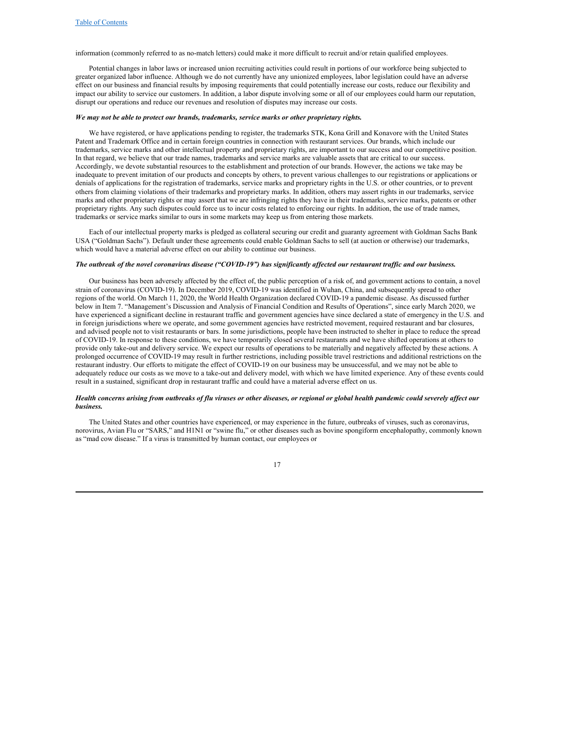information (commonly referred to as no-match letters) could make it more difficult to recruit and/or retain qualified employees.

Potential changes in labor laws or increased union recruiting activities could result in portions of our workforce being subjected to greater organized labor influence. Although we do not currently have any unionized employees, labor legislation could have an adverse effect on our business and financial results by imposing requirements that could potentially increase our costs, reduce our flexibility and impact our ability to service our customers. In addition, a labor dispute involving some or all of our employees could harm our reputation, disrupt our operations and reduce our revenues and resolution of disputes may increase our costs.

#### *We may not be able to protect our brands, trademarks, service marks or other proprietary rights.*

We have registered, or have applications pending to register, the trademarks STK, Kona Grill and Konavore with the United States Patent and Trademark Office and in certain foreign countries in connection with restaurant services. Our brands, which include our trademarks, service marks and other intellectual property and proprietary rights, are important to our success and our competitive position. In that regard, we believe that our trade names, trademarks and service marks are valuable assets that are critical to our success. Accordingly, we devote substantial resources to the establishment and protection of our brands. However, the actions we take may be inadequate to prevent imitation of our products and concepts by others, to prevent various challenges to our registrations or applications or denials of applications for the registration of trademarks, service marks and proprietary rights in the U.S. or other countries, or to prevent others from claiming violations of their trademarks and proprietary marks. In addition, others may assert rights in our trademarks, service marks and other proprietary rights or may assert that we are infringing rights they have in their trademarks, service marks, patents or other proprietary rights. Any such disputes could force us to incur costs related to enforcing our rights. In addition, the use of trade names, trademarks or service marks similar to ours in some markets may keep us from entering those markets.

Each of our intellectual property marks is pledged as collateral securing our credit and guaranty agreement with Goldman Sachs Bank USA ("Goldman Sachs"). Default under these agreements could enable Goldman Sachs to sell (at auction or otherwise) our trademarks, which would have a material adverse effect on our ability to continue our business.

# The outbreak of the novel coronavirus disease ("COVID-19") has significantly affected our restaurant traffic and our business.

Our business has been adversely affected by the effect of, the public perception of a risk of, and government actions to contain, a novel strain of coronavirus (COVID-19). In December 2019, COVID-19 was identified in Wuhan, China, and subsequently spread to other regions of the world. On March 11, 2020, the World Health Organization declared COVID-19 a pandemic disease. As discussed further below in Item 7. "Management's Discussion and Analysis of Financial Condition and Results of Operations", since early March 2020, we have experienced a significant decline in restaurant traffic and government agencies have since declared a state of emergency in the U.S. and in foreign jurisdictions where we operate, and some government agencies have restricted movement, required restaurant and bar closures, and advised people not to visit restaurants or bars. In some jurisdictions, people have been instructed to shelter in place to reduce the spread of COVID-19. In response to these conditions, we have temporarily closed several restaurants and we have shifted operations at others to provide only take-out and delivery service. We expect our results of operations to be materially and negatively affected by these actions. A prolonged occurrence of COVID-19 may result in further restrictions, including possible travel restrictions and additional restrictions on the restaurant industry. Our efforts to mitigate the effect of COVID-19 on our business may be unsuccessful, and we may not be able to adequately reduce our costs as we move to a take-out and delivery model, with which we have limited experience. Any of these events could result in a sustained, significant drop in restaurant traffic and could have a material adverse effect on us.

# Health concerns arising from outbreaks of flu viruses or other diseases, or regional or global health pandemic could severely affect our *business.*

The United States and other countries have experienced, or may experience in the future, outbreaks of viruses, such as coronavirus, norovirus, Avian Flu or "SARS," and H1N1 or "swine flu," or other diseases such as bovine spongiform encephalopathy, commonly known as "mad cow disease." If a virus is transmitted by human contact, our employees or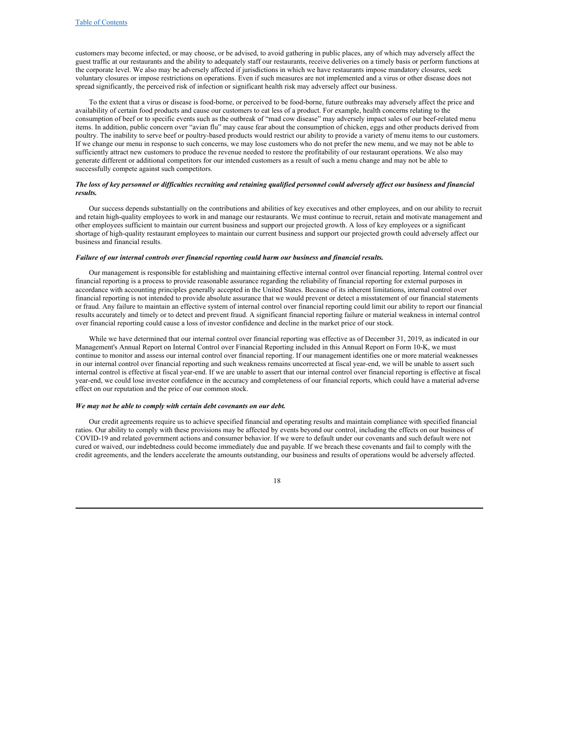customers may become infected, or may choose, or be advised, to avoid gathering in public places, any of which may adversely affect the guest traffic at our restaurants and the ability to adequately staff our restaurants, receive deliveries on a timely basis or perform functions at the corporate level. We also may be adversely affected if jurisdictions in which we have restaurants impose mandatory closures, seek voluntary closures or impose restrictions on operations. Even if such measures are not implemented and a virus or other disease does not spread significantly, the perceived risk of infection or significant health risk may adversely affect our business.

To the extent that a virus or disease is food-borne, or perceived to be food-borne, future outbreaks may adversely affect the price and availability of certain food products and cause our customers to eat less of a product. For example, health concerns relating to the consumption of beef or to specific events such as the outbreak of "mad cow disease" may adversely impact sales of our beef-related menu items. In addition, public concern over "avian flu" may cause fear about the consumption of chicken, eggs and other products derived from poultry. The inability to serve beef or poultry-based products would restrict our ability to provide a variety of menu items to our customers. If we change our menu in response to such concerns, we may lose customers who do not prefer the new menu, and we may not be able to sufficiently attract new customers to produce the revenue needed to restore the profitability of our restaurant operations. We also may generate different or additional competitors for our intended customers as a result of such a menu change and may not be able to successfully compete against such competitors.

# The loss of key personnel or difficulties recruiting and retaining qualified personnel could adversely affect our business and financial *results.*

Our success depends substantially on the contributions and abilities of key executives and other employees, and on our ability to recruit and retain high-quality employees to work in and manage our restaurants. We must continue to recruit, retain and motivate management and other employees sufficient to maintain our current business and support our projected growth. A loss of key employees or a significant shortage of high-quality restaurant employees to maintain our current business and support our projected growth could adversely affect our business and financial results.

### *Failure of our internal controls over financial reporting could harm our business and financial results.*

Our management is responsible for establishing and maintaining effective internal control over financial reporting. Internal control over financial reporting is a process to provide reasonable assurance regarding the reliability of financial reporting for external purposes in accordance with accounting principles generally accepted in the United States. Because of its inherent limitations, internal control over financial reporting is not intended to provide absolute assurance that we would prevent or detect a misstatement of our financial statements or fraud. Any failure to maintain an effective system of internal control over financial reporting could limit our ability to report our financial results accurately and timely or to detect and prevent fraud. A significant financial reporting failure or material weakness in internal control over financial reporting could cause a loss of investor confidence and decline in the market price of our stock.

While we have determined that our internal control over financial reporting was effective as of December 31, 2019, as indicated in our Management's Annual Report on Internal Control over Financial Reporting included in this Annual Report on Form 10-K, we must continue to monitor and assess our internal control over financial reporting. If our management identifies one or more material weaknesses in our internal control over financial reporting and such weakness remains uncorrected at fiscal year-end, we will be unable to assert such internal control is effective at fiscal year-end. If we are unable to assert that our internal control over financial reporting is effective at fiscal year-end, we could lose investor confidence in the accuracy and completeness of our financial reports, which could have a material adverse effect on our reputation and the price of our common stock.

#### *We may not be able to comply with certain debt covenants on our debt.*

Our credit agreements require us to achieve specified financial and operating results and maintain compliance with specified financial ratios. Our ability to comply with these provisions may be affected by events beyond our control, including the effects on our business of COVID-19 and related government actions and consumer behavior. If we were to default under our covenants and such default were not cured or waived, our indebtedness could become immediately due and payable. If we breach these covenants and fail to comply with the credit agreements, and the lenders accelerate the amounts outstanding, our business and results of operations would be adversely affected.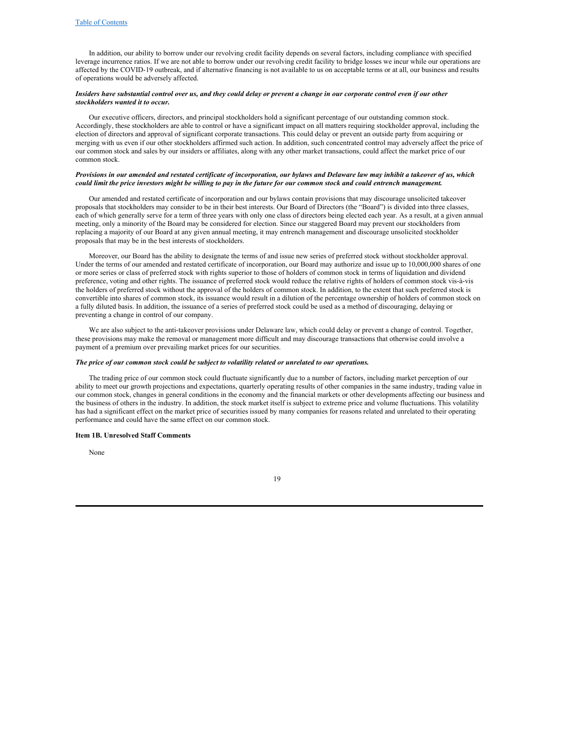In addition, our ability to borrow under our revolving credit facility depends on several factors, including compliance with specified leverage incurrence ratios. If we are not able to borrow under our revolving credit facility to bridge losses we incur while our operations are affected by the COVID-19 outbreak, and if alternative financing is not available to us on acceptable terms or at all, our business and results of operations would be adversely affected.

# Insiders have substantial control over us, and they could delay or prevent a change in our corporate control even if our other *stockholders wanted it to occur.*

Our executive officers, directors, and principal stockholders hold a significant percentage of our outstanding common stock. Accordingly, these stockholders are able to control or have a significant impact on all matters requiring stockholder approval, including the election of directors and approval of significant corporate transactions. This could delay or prevent an outside party from acquiring or merging with us even if our other stockholders affirmed such action. In addition, such concentrated control may adversely affect the price of our common stock and sales by our insiders or affiliates, along with any other market transactions, could affect the market price of our common stock.

### Provisions in our amended and restated certificate of incorporation, our bylaws and Delaware law may inhibit a takeover of us, which could limit the price investors might be willing to pay in the future for our common stock and could entrench management.

Our amended and restated certificate of incorporation and our bylaws contain provisions that may discourage unsolicited takeover proposals that stockholders may consider to be in their best interests. Our Board of Directors (the "Board") is divided into three classes, each of which generally serve for a term of three years with only one class of directors being elected each year. As a result, at a given annual meeting, only a minority of the Board may be considered for election. Since our staggered Board may prevent our stockholders from replacing a majority of our Board at any given annual meeting, it may entrench management and discourage unsolicited stockholder proposals that may be in the best interests of stockholders.

Moreover, our Board has the ability to designate the terms of and issue new series of preferred stock without stockholder approval. Under the terms of our amended and restated certificate of incorporation, our Board may authorize and issue up to 10,000,000 shares of one or more series or class of preferred stock with rights superior to those of holders of common stock in terms of liquidation and dividend preference, voting and other rights. The issuance of preferred stock would reduce the relative rights of holders of common stock vis-à-vis the holders of preferred stock without the approval of the holders of common stock. In addition, to the extent that such preferred stock is convertible into shares of common stock, its issuance would result in a dilution of the percentage ownership of holders of common stock on a fully diluted basis. In addition, the issuance of a series of preferred stock could be used as a method of discouraging, delaying or preventing a change in control of our company.

We are also subject to the anti-takeover provisions under Delaware law, which could delay or prevent a change of control. Together, these provisions may make the removal or management more difficult and may discourage transactions that otherwise could involve a payment of a premium over prevailing market prices for our securities.

# *The price of our common stock could be subject to volatility related or unrelated to our operations.*

The trading price of our common stock could fluctuate significantly due to a number of factors, including market perception of our ability to meet our growth projections and expectations, quarterly operating results of other companies in the same industry, trading value in our common stock, changes in general conditions in the economy and the financial markets or other developments affecting our business and the business of others in the industry. In addition, the stock market itself is subject to extreme price and volume fluctuations. This volatility has had a significant effect on the market price of securities issued by many companies for reasons related and unrelated to their operating performance and could have the same effect on our common stock.

# **Item 1B. Unresolved Staff Comments**

<span id="page-18-0"></span>None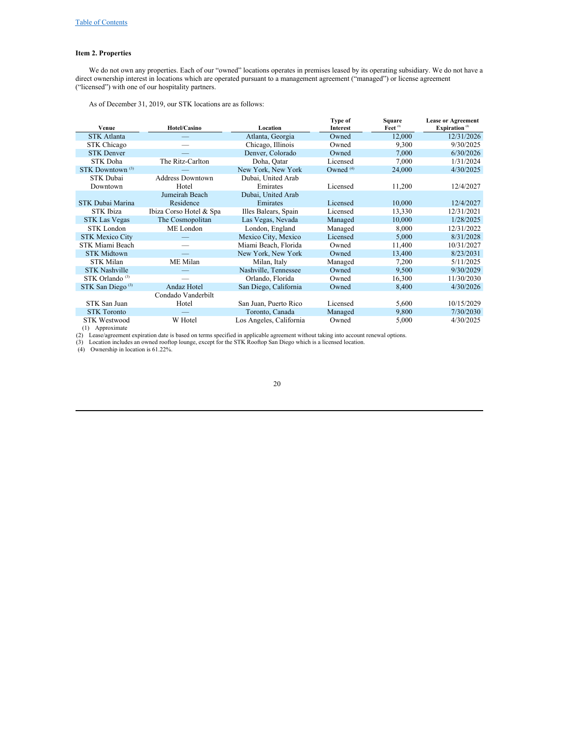# <span id="page-19-0"></span>**Item 2. Properties**

We do not own any properties. Each of our "owned" locations operates in premises leased by its operating subsidiary. We do not have a direct ownership interest in locations which are operated pursuant to a management agreement ("managed") or license agreement ("licensed") with one of our hospitality partners.

As of December 31, 2019, our STK locations are as follows:

|                              |                         |                         | Type of              | Square              | <b>Lease or Agreement</b> |
|------------------------------|-------------------------|-------------------------|----------------------|---------------------|---------------------------|
| Venue                        | Hotel/Casino            | Location                | <b>Interest</b>      | Feet <sup>(1)</sup> | Expiration <sup>(2)</sup> |
| <b>STK Atlanta</b>           |                         | Atlanta, Georgia        | Owned                | 12,000              | 12/31/2026                |
| <b>STK</b> Chicago           |                         | Chicago, Illinois       | Owned                | 9,300               | 9/30/2025                 |
| <b>STK Denver</b>            |                         | Denver, Colorado        | Owned                | 7.000               | 6/30/2026                 |
| STK Doha                     | The Ritz-Carlton        | Doha, Oatar             | Licensed             | 7,000               | 1/31/2024                 |
| STK Downtown <sup>(3)</sup>  |                         | New York, New York      | Owned <sup>(4)</sup> | 24,000              | 4/30/2025                 |
| <b>STK Dubai</b>             | <b>Address Downtown</b> | Dubai, United Arab      |                      |                     |                           |
| Downtown                     | Hotel                   | Emirates                | Licensed             | 11,200              | 12/4/2027                 |
|                              | Jumeirah Beach          | Dubai, United Arab      |                      |                     |                           |
| STK Dubai Marina             | Residence               | Emirates                | Licensed             | 10,000              | 12/4/2027                 |
| <b>STK</b> Ibiza             | Ibiza Corso Hotel & Spa | Illes Balears, Spain    | Licensed             | 13,330              | 12/31/2021                |
| <b>STK Las Vegas</b>         | The Cosmopolitan        | Las Vegas, Nevada       | Managed              | 10.000              | 1/28/2025                 |
| STK London                   | ME London               | London, England         | Managed              | 8,000               | 12/31/2022                |
| <b>STK Mexico City</b>       |                         | Mexico City, Mexico     | Licensed             | 5,000               | 8/31/2028                 |
| STK Miami Beach              |                         | Miami Beach, Florida    | Owned                | 11,400              | 10/31/2027                |
| <b>STK Midtown</b>           |                         | New York, New York      | Owned                | 13.400              | 8/23/2031                 |
| <b>STK Milan</b>             | ME Milan                | Milan, Italy            | Managed              | 7,200               | 5/11/2025                 |
| <b>STK Nashville</b>         |                         | Nashville, Tennessee    | Owned                | 9,500               | 9/30/2029                 |
| STK Orlando <sup>(3)</sup>   |                         | Orlando, Florida        | Owned                | 16,300              | 11/30/2030                |
| STK San Diego <sup>(3)</sup> | Andaz Hotel             | San Diego, California   | Owned                | 8,400               | 4/30/2026                 |
|                              | Condado Vanderbilt      |                         |                      |                     |                           |
| STK San Juan                 | Hotel                   | San Juan, Puerto Rico   | Licensed             | 5,600               | 10/15/2029                |
| <b>STK Toronto</b>           |                         | Toronto, Canada         | Managed              | 9,800               | 7/30/2030                 |
| <b>STK Westwood</b>          | W Hotel                 | Los Angeles, California | Owned                | 5,000               | 4/30/2025                 |

(1) Approximate

(2) Lease/agreement expiration date is based on terms specified in applicable agreement without taking into account renewal options.

(3) Location includes an owned rooftop lounge, except for the STK Rooftop San Diego which is a licensed location. (4) Ownership in location is 61.22%.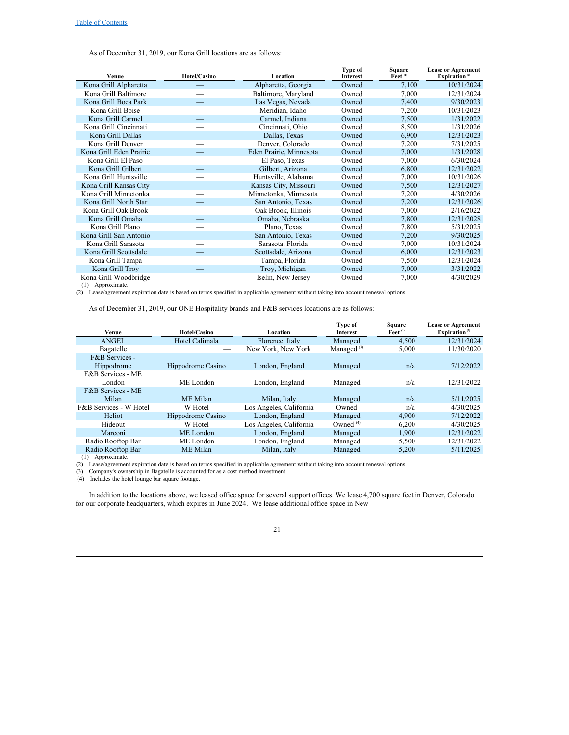# As of December 31, 2019, our Kona Grill locations are as follows:

| Venue                   | Hotel/Casino | Location                | Type of<br>Interest | <b>Square</b><br>Feet <sup>(1)</sup> | <b>Lease or Agreement</b><br>Expiration <sup>(2)</sup> |
|-------------------------|--------------|-------------------------|---------------------|--------------------------------------|--------------------------------------------------------|
| Kona Grill Alpharetta   |              | Alpharetta, Georgia     | Owned               | 7,100                                | 10/31/2024                                             |
| Kona Grill Baltimore    |              | Baltimore, Maryland     | Owned               | 7,000                                | 12/31/2024                                             |
| Kona Grill Boca Park    |              | Las Vegas, Nevada       | Owned               | 7,400                                | 9/30/2023                                              |
| Kona Grill Boise        |              | Meridian, Idaho         | Owned               | 7,200                                | 10/31/2023                                             |
| Kona Grill Carmel       |              | Carmel, Indiana         | Owned               | 7,500                                | 1/31/2022                                              |
| Kona Grill Cincinnati   |              | Cincinnati, Ohio        | Owned               | 8,500                                | 1/31/2026                                              |
| Kona Grill Dallas       |              | Dallas, Texas           | Owned               | 6,900                                | 12/31/2023                                             |
| Kona Grill Denver       |              | Denver, Colorado        | Owned               | 7,200                                | 7/31/2025                                              |
| Kona Grill Eden Prairie |              | Eden Prairie, Minnesota | Owned               | 7,000                                | 1/31/2028                                              |
| Kona Grill El Paso      |              | El Paso, Texas          | Owned               | 7,000                                | 6/30/2024                                              |
| Kona Grill Gilbert      |              | Gilbert, Arizona        | Owned               | 6,800                                | 12/31/2022                                             |
| Kona Grill Huntsville   |              | Huntsville, Alabama     | Owned               | 7,000                                | 10/31/2026                                             |
| Kona Grill Kansas City  |              | Kansas City, Missouri   | Owned               | 7,500                                | 12/31/2027                                             |
| Kona Grill Minnetonka   |              | Minnetonka, Minnesota   | Owned               | 7,200                                | 4/30/2026                                              |
| Kona Grill North Star   |              | San Antonio, Texas      | Owned               | 7,200                                | 12/31/2026                                             |
| Kona Grill Oak Brook    |              | Oak Brook, Illinois     | Owned               | 7,000                                | 2/16/2022                                              |
| Kona Grill Omaha        |              | Omaha, Nebraska         | Owned               | 7,800                                | 12/31/2028                                             |
| Kona Grill Plano        |              | Plano, Texas            | Owned               | 7,800                                | 5/31/2025                                              |
| Kona Grill San Antonio  |              | San Antonio, Texas      | Owned               | 7,200                                | 9/30/2025                                              |
| Kona Grill Sarasota     |              | Sarasota, Florida       | Owned               | 7,000                                | 10/31/2024                                             |
| Kona Grill Scottsdale   |              | Scottsdale, Arizona     | Owned               | 6,000                                | 12/31/2023                                             |
| Kona Grill Tampa        |              | Tampa, Florida          | Owned               | 7,500                                | 12/31/2024                                             |
| Kona Grill Troy         |              | Troy, Michigan          | Owned               | 7,000                                | 3/31/2022                                              |
| Kona Grill Woodbridge   |              | Iselin, New Jersey      | Owned               | 7,000                                | 4/30/2029                                              |

(1) Approximate.

(2) Lease/agreement expiration date is based on terms specified in applicable agreement without taking into account renewal options.

As of December 31, 2019, our ONE Hospitality brands and F&B services locations are as follows:

| Venue                  | Hotel/Casino      | Location                | Type of<br>Interest    | Square<br>Feet <sup>(1)</sup> | <b>Lease or Agreement</b><br>Expiration $\alpha$ |
|------------------------|-------------------|-------------------------|------------------------|-------------------------------|--------------------------------------------------|
|                        |                   |                         |                        |                               |                                                  |
| <b>ANGEL</b>           | Hotel Calimala    | Florence, Italy         | Managed                | 4.500                         | 12/31/2024                                       |
| Bagatelle              |                   | New York, New York      | Managed <sup>(3)</sup> | 5.000                         | 11/30/2020                                       |
| F&B Services -         |                   |                         |                        |                               |                                                  |
| Hippodrome             | Hippodrome Casino | London, England         | Managed                | n/a                           | 7/12/2022                                        |
| F&B Services - ME      |                   |                         |                        |                               |                                                  |
| London                 | ME London         | London, England         | Managed                | n/a                           | 12/31/2022                                       |
| F&B Services - ME      |                   |                         |                        |                               |                                                  |
| Milan                  | ME Milan          | Milan, Italy            | Managed                | n/a                           | 5/11/2025                                        |
| F&B Services - W Hotel | W Hotel           | Los Angeles, California | Owned                  | n/a                           | 4/30/2025                                        |
| Heliot                 | Hippodrome Casino | London, England         | Managed                | 4.900                         | 7/12/2022                                        |
| Hideout                | W Hotel           | Los Angeles, California | Owned $(4)$            | 6,200                         | 4/30/2025                                        |
| Marconi                | ME London         | London, England         | Managed                | 1.900                         | 12/31/2022                                       |
| Radio Rooftop Bar      | ME London         | London, England         | Managed                | 5,500                         | 12/31/2022                                       |
| Radio Rooftop Bar      | ME Milan          | Milan, Italy            | Managed                | 5,200                         | 5/11/2025                                        |
|                        |                   |                         |                        |                               |                                                  |

(1) Approximate.

(2) Lease/agreement expiration date is based on terms specified in applicable agreement without taking into account renewal options.<br>(3) Company's ownership in Bagatelle is accounted for as a cost method investment.<br>(4) In

In addition to the locations above, we leased office space for several support offices. We lease 4,700 square feet in Denver, Colorado for our corporate headquarters, which expires in June 2024. We lease additional office space in New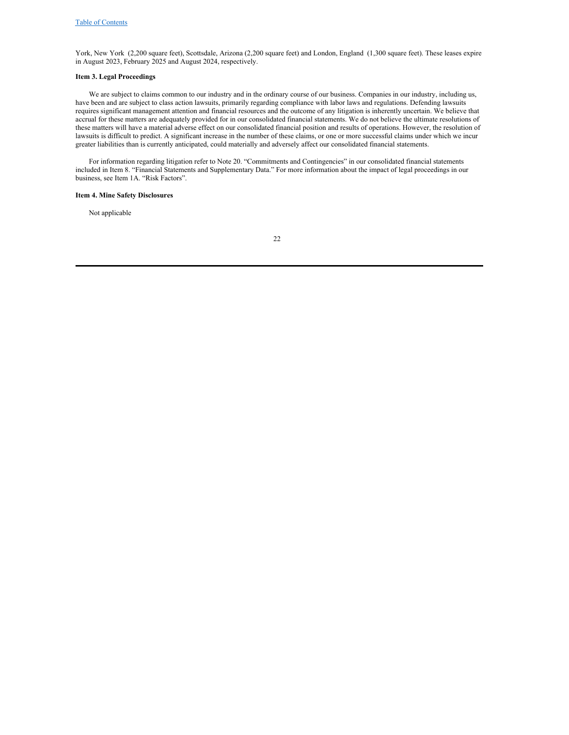York, New York (2,200 square feet), Scottsdale, Arizona (2,200 square feet) and London, England (1,300 square feet). These leases expire in August 2023, February 2025 and August 2024, respectively.

# <span id="page-21-0"></span>**Item 3. Legal Proceedings**

We are subject to claims common to our industry and in the ordinary course of our business. Companies in our industry, including us, have been and are subject to class action lawsuits, primarily regarding compliance with labor laws and regulations. Defending lawsuits requires significant management attention and financial resources and the outcome of any litigation is inherently uncertain. We believe that accrual for these matters are adequately provided for in our consolidated financial statements. We do not believe the ultimate resolutions of these matters will have a material adverse effect on our consolidated financial position and results of operations. However, the resolution of lawsuits is difficult to predict. A significant increase in the number of these claims, or one or more successful claims under which we incur greater liabilities than is currently anticipated, could materially and adversely affect our consolidated financial statements.

For information regarding litigation refer to Note 20. "Commitments and Contingencies" in our consolidated financial statements included in Item 8. "Financial Statements and Supplementary Data." For more information about the impact of legal proceedings in our business, see Item 1A. "Risk Factors".

### **Item 4. Mine Safety Disclosures**

<span id="page-21-1"></span>Not applicable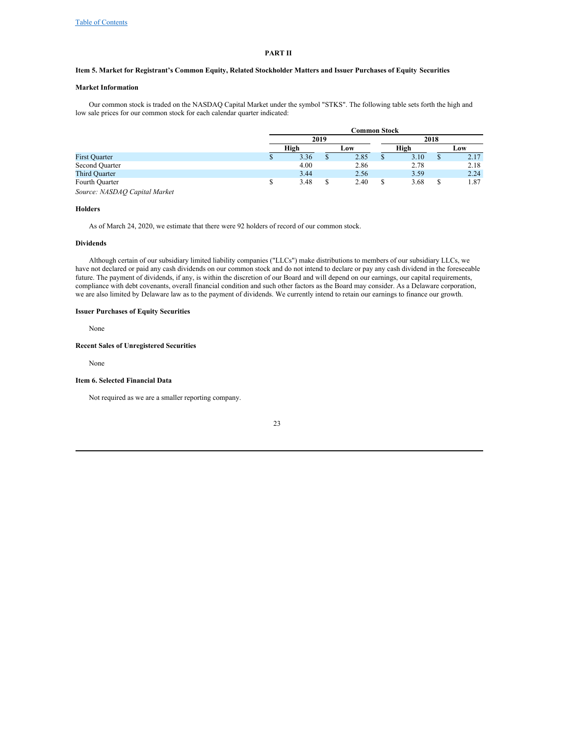# <span id="page-22-1"></span><span id="page-22-0"></span>**PART II**

# Item 5. Market for Registrant's Common Equity, Related Stockholder Matters and Issuer Purchases of Equity Securities

# **Market Information**

Our common stock is traded on the NASDAQ Capital Market under the symbol "STKS". The following table sets forth the high and low sale prices for our common stock for each calendar quarter indicated:

|                               | <b>Common Stock</b> |   |      |               |      |     |      |  |  |  |
|-------------------------------|---------------------|---|------|---------------|------|-----|------|--|--|--|
|                               | 2019                |   |      |               | 2018 |     |      |  |  |  |
|                               | High                |   | Low  |               | High | Low |      |  |  |  |
| <b>First Quarter</b>          | 3.36                | S | 2.85 |               | 3.10 | S   | 2.17 |  |  |  |
| Second Quarter                | 4.00                |   | 2.86 |               | 2.78 |     | 2.18 |  |  |  |
| <b>Third Quarter</b>          | 3.44                |   | 2.56 |               | 3.59 |     | 2.24 |  |  |  |
| Fourth Quarter                | \$<br>3.48          | S | 2.40 | <sup>\$</sup> | 3.68 |     | 1.87 |  |  |  |
| Source: NASDAQ Capital Market |                     |   |      |               |      |     |      |  |  |  |

#### **Holders**

As of March 24, 2020, we estimate that there were 92 holders of record of our common stock.

# **Dividends**

Although certain of our subsidiary limited liability companies ("LLCs") make distributions to members of our subsidiary LLCs, we have not declared or paid any cash dividends on our common stock and do not intend to declare or pay any cash dividend in the foreseeable future. The payment of dividends, if any, is within the discretion of our Board and will depend on our earnings, our capital requirements, compliance with debt covenants, overall financial condition and such other factors as the Board may consider. As a Delaware corporation, we are also limited by Delaware law as to the payment of dividends. We currently intend to retain our earnings to finance our growth.

# **Issuer Purchases of Equity Securities**

None

# **Recent Sales of Unregistered Securities**

<span id="page-22-2"></span>None

# **Item 6. Selected Financial Data**

Not required as we are a smaller reporting company.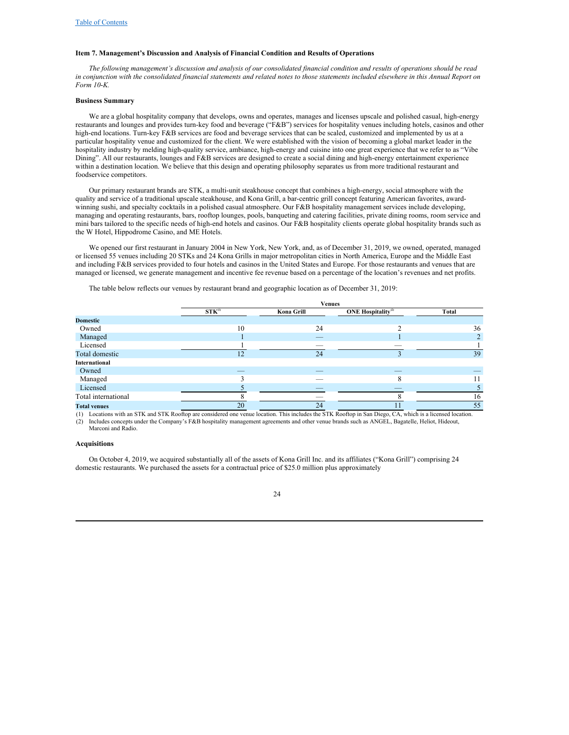# **Item 7. Management's Discussion and Analysis of Financial Condition and Results of Operations**

<span id="page-23-0"></span>The following management's discussion and analysis of our consolidated financial condition and results of operations should be read in conjunction with the consolidated financial statements and related notes to those statements included elsewhere in this Annual Report on *Form 10‑K.*

# **Business Summary**

We are a global hospitality company that develops, owns and operates, manages and licenses upscale and polished casual, high-energy restaurants and lounges and provides turn-key food and beverage ("F&B") services for hospitality venues including hotels, casinos and other high-end locations. Turn-key F&B services are food and beverage services that can be scaled, customized and implemented by us at a particular hospitality venue and customized for the client. We were established with the vision of becoming a global market leader in the hospitality industry by melding high-quality service, ambiance, high-energy and cuisine into one great experience that we refer to as "Vibe Dining". All our restaurants, lounges and F&B services are designed to create a social dining and high-energy entertainment experience within a destination location. We believe that this design and operating philosophy separates us from more traditional restaurant and foodservice competitors.

Our primary restaurant brands are STK, a multi-unit steakhouse concept that combines a high-energy, social atmosphere with the quality and service of a traditional upscale steakhouse, and Kona Grill, a bar-centric grill concept featuring American favorites, awardwinning sushi, and specialty cocktails in a polished casual atmosphere. Our F&B hospitality management services include developing, managing and operating restaurants, bars, rooftop lounges, pools, banqueting and catering facilities, private dining rooms, room service and mini bars tailored to the specific needs of high-end hotels and casinos. Our F&B hospitality clients operate global hospitality brands such as the W Hotel, Hippodrome Casino, and ME Hotels.

We opened our first restaurant in January 2004 in New York, New York, and, as of December 31, 2019, we owned, operated, managed or licensed 55 venues including 20 STKs and 24 Kona Grills in major metropolitan cities in North America, Europe and the Middle East and including F&B services provided to four hotels and casinos in the United States and Europe. For those restaurants and venues that are managed or licensed, we generate management and incentive fee revenue based on a percentage of the location's revenues and net profits.

The table below reflects our venues by restaurant brand and geographic location as of December 31, 2019:

|                     |                          | <b>Venues</b>            |                                       |       |
|---------------------|--------------------------|--------------------------|---------------------------------------|-------|
|                     | $STK^{(1)}$              | Kona Grill               | <b>ONE Hospitality</b> <sup>(2)</sup> | Total |
| <b>Domestic</b>     |                          |                          |                                       |       |
| Owned               | 10                       | 24                       | ↑                                     | 36    |
| Managed             |                          | _                        |                                       | ◠     |
| Licensed            |                          |                          |                                       |       |
| Total domestic      | 12                       | 24                       |                                       | 39    |
| International       |                          |                          |                                       |       |
| Owned               | $\overline{\phantom{a}}$ | $\overline{\phantom{a}}$ | __                                    |       |
| Managed             | $\sqrt{2}$               |                          | 8                                     |       |
| Licensed            |                          | __                       |                                       |       |
| Total international |                          |                          |                                       | 16    |
| <b>Total venues</b> | 20                       | 24                       |                                       | 55    |

(1) Locations with an STK and STK Rooftop are considered one venue location. This includes the STK Rooftop in San Diego, CA, which is a licensed location. (2) Includes concepts under the Company's F&B hospitality management agreements and other venue brands such as ANGEL, Bagatelle, Heliot, Hideout,

# **Acquisitions**

Marconi and Radio.

On October 4, 2019, we acquired substantially all of the assets of Kona Grill Inc. and its affiliates ("Kona Grill") comprising 24 domestic restaurants. We purchased the assets for a contractual price of \$25.0 million plus approximately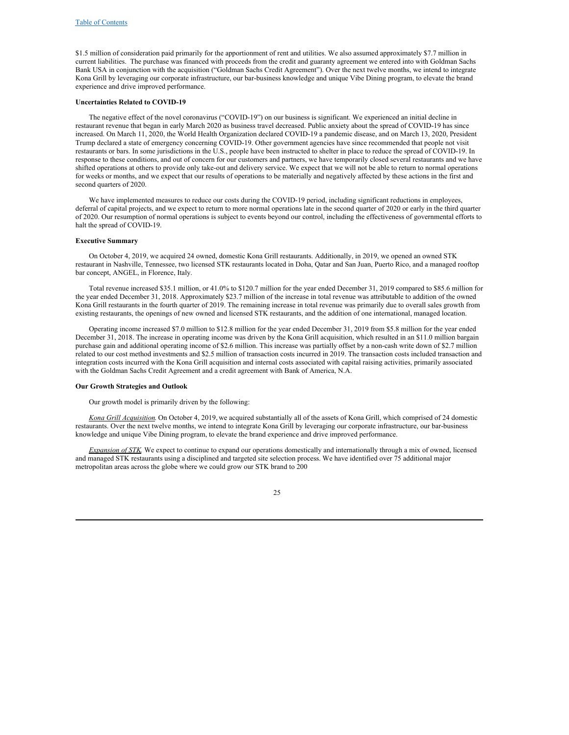\$1.5 million of consideration paid primarily for the apportionment of rent and utilities. We also assumed approximately \$7.7 million in current liabilities. The purchase was financed with proceeds from the credit and guaranty agreement we entered into with Goldman Sachs Bank USA in conjunction with the acquisition ("Goldman Sachs Credit Agreement"). Over the next twelve months, we intend to integrate Kona Grill by leveraging our corporate infrastructure, our bar-business knowledge and unique Vibe Dining program, to elevate the brand experience and drive improved performance.

#### **Uncertainties Related to COVID-19**

The negative effect of the novel coronavirus ("COVID-19") on our business is significant. We experienced an initial decline in restaurant revenue that began in early March 2020 as business travel decreased. Public anxiety about the spread of COVID-19 has since increased. On March 11, 2020, the World Health Organization declared COVID-19 a pandemic disease, and on March 13, 2020, President Trump declared a state of emergency concerning COVID-19. Other government agencies have since recommended that people not visit restaurants or bars. In some jurisdictions in the U.S., people have been instructed to shelter in place to reduce the spread of COVID-19. In response to these conditions, and out of concern for our customers and partners, we have temporarily closed several restaurants and we have shifted operations at others to provide only take-out and delivery service. We expect that we will not be able to return to normal operations for weeks or months, and we expect that our results of operations to be materially and negatively affected by these actions in the first and second quarters of 2020.

We have implemented measures to reduce our costs during the COVID-19 period, including significant reductions in employees, deferral of capital projects, and we expect to return to more normal operations late in the second quarter of 2020 or early in the third quarter of 2020. Our resumption of normal operations is subject to events beyond our control, including the effectiveness of governmental efforts to halt the spread of COVID-19.

# **Executive Summary**

On October 4, 2019, we acquired 24 owned, domestic Kona Grill restaurants. Additionally, in 2019, we opened an owned STK restaurant in Nashville, Tennessee, two licensed STK restaurants located in Doha, Qatar and San Juan, Puerto Rico, and a managed rooftop bar concept, ANGEL, in Florence, Italy.

Total revenue increased \$35.1 million, or 41.0% to \$120.7 million for the year ended December 31, 2019 compared to \$85.6 million for the year ended December 31, 2018. Approximately \$23.7 million of the increase in total revenue was attributable to addition of the owned Kona Grill restaurants in the fourth quarter of 2019. The remaining increase in total revenue was primarily due to overall sales growth from existing restaurants, the openings of new owned and licensed STK restaurants, and the addition of one international, managed location.

Operating income increased \$7.0 million to \$12.8 million for the year ended December 31, 2019 from \$5.8 million for the year ended December 31, 2018. The increase in operating income was driven by the Kona Grill acquisition, which resulted in an \$11.0 million bargain purchase gain and additional operating income of \$2.6 million. This increase was partially offset by a non-cash write down of \$2.7 million related to our cost method investments and \$2.5 million of transaction costs incurred in 2019. The transaction costs included transaction and integration costs incurred with the Kona Grill acquisition and internal costs associated with capital raising activities, primarily associated with the Goldman Sachs Credit Agreement and a credit agreement with Bank of America, N.A.

# **Our Growth Strategies and Outlook**

Our growth model is primarily driven by the following:

*Kona Grill Acquisition*. On October 4, 2019, we acquired substantially all of the assets of Kona Grill, which comprised of 24 domestic restaurants. Over the next twelve months, we intend to integrate Kona Grill by leveraging our corporate infrastructure, our bar-business knowledge and unique Vibe Dining program, to elevate the brand experience and drive improved performance.

*Expansion of STK.* We expect to continue to expand our operations domestically and internationally through a mix of owned, licensed and managed STK restaurants using a disciplined and targeted site selection process. We have identified over 75 additional major metropolitan areas across the globe where we could grow our STK brand to 200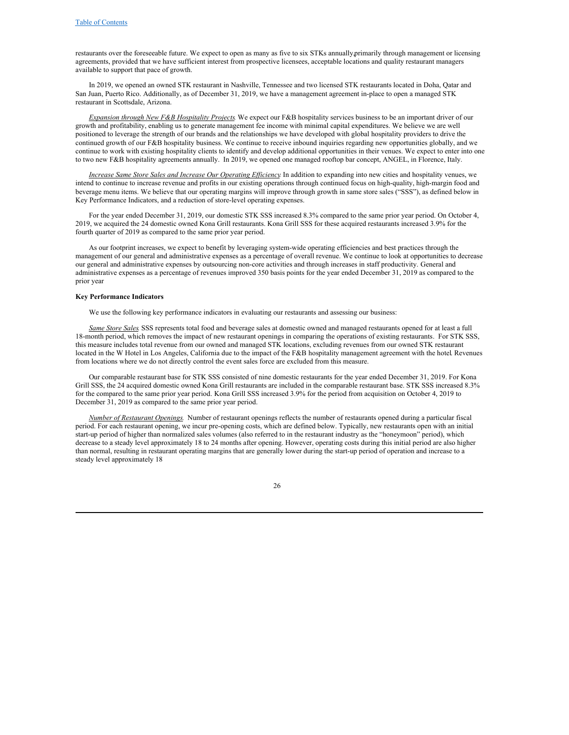restaurants over the foreseeable future. We expect to open as many as five to six STKs annually,primarily through management or licensing agreements, provided that we have sufficient interest from prospective licensees, acceptable locations and quality restaurant managers available to support that pace of growth.

In 2019, we opened an owned STK restaurant in Nashville, Tennessee and two licensed STK restaurants located in Doha, Qatar and San Juan, Puerto Rico. Additionally, as of December 31, 2019, we have a management agreement in-place to open a managed STK restaurant in Scottsdale, Arizona.

*Expansion through New F&B Hospitality Projects.* We expect our F&B hospitality services business to be an important driver of our growth and profitability, enabling us to generate management fee income with minimal capital expenditures. We believe we are well positioned to leverage the strength of our brands and the relationships we have developed with global hospitality providers to drive the continued growth of our F&B hospitality business. We continue to receive inbound inquiries regarding new opportunities globally, and we continue to work with existing hospitality clients to identify and develop additional opportunities in their venues. We expect to enter into one to two new F&B hospitality agreements annually. In 2019, we opened one managed rooftop bar concept, ANGEL, in Florence, Italy.

*Increase Same Store Sales and Increase Our Operating Ef iciency.* In addition to expanding into new cities and hospitality venues, we intend to continue to increase revenue and profits in our existing operations through continued focus on high-quality, high-margin food and beverage menu items. We believe that our operating margins will improve through growth in same store sales ("SSS"), as defined below in Key Performance Indicators, and a reduction of store-level operating expenses.

For the year ended December 31, 2019, our domestic STK SSS increased 8.3% compared to the same prior year period. On October 4, 2019, we acquired the 24 domestic owned Kona Grill restaurants. Kona Grill SSS for these acquired restaurants increased 3.9% for the fourth quarter of 2019 as compared to the same prior year period.

As our footprint increases, we expect to benefit by leveraging system-wide operating efficiencies and best practices through the management of our general and administrative expenses as a percentage of overall revenue. We continue to look at opportunities to decrease our general and administrative expenses by outsourcing non-core activities and through increases in staff productivity. General and administrative expenses as a percentage of revenues improved 350 basis points for the year ended December 31, 2019 as compared to the prior year

#### **Key Performance Indicators**

We use the following key performance indicators in evaluating our restaurants and assessing our business:

*Same Store Sales.* SSS represents total food and beverage sales at domestic owned and managed restaurants opened for at least a full 18-month period, which removes the impact of new restaurant openings in comparing the operations of existing restaurants. For STK SSS, this measure includes total revenue from our owned and managed STK locations, excluding revenues from our owned STK restaurant located in the W Hotel in Los Angeles, California due to the impact of the F&B hospitality management agreement with the hotel. Revenues from locations where we do not directly control the event sales force are excluded from this measure.

Our comparable restaurant base for STK SSS consisted of nine domestic restaurants for the year ended December 31, 2019. For Kona Grill SSS, the 24 acquired domestic owned Kona Grill restaurants are included in the comparable restaurant base. STK SSS increased 8.3% for the compared to the same prior year period. Kona Grill SSS increased 3.9% for the period from acquisition on October 4, 2019 to December 31, 2019 as compared to the same prior year period.

*Number of Restaurant Openings.* Number of restaurant openings reflects the number of restaurants opened during a particular fiscal period. For each restaurant opening, we incur pre-opening costs, which are defined below. Typically, new restaurants open with an initial start-up period of higher than normalized sales volumes (also referred to in the restaurant industry as the "honeymoon" period), which decrease to a steady level approximately 18 to 24 months after opening. However, operating costs during this initial period are also higher than normal, resulting in restaurant operating margins that are generally lower during the start-up period of operation and increase to a steady level approximately 18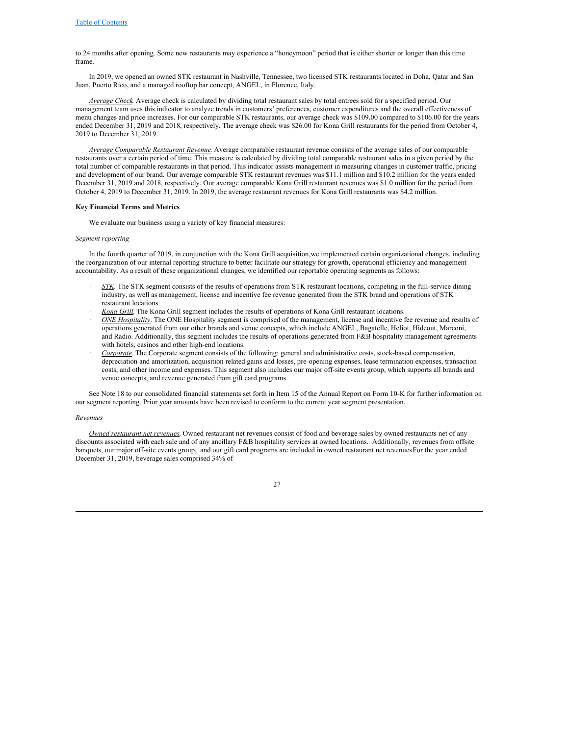to 24 months after opening. Some new restaurants may experience a "honeymoon" period that is either shorter or longer than this time frame.

In 2019, we opened an owned STK restaurant in Nashville, Tennessee, two licensed STK restaurants located in Doha, Qatar and San Juan, Puerto Rico, and a managed rooftop bar concept, ANGEL, in Florence, Italy.

*Average Check.* Average check is calculated by dividing total restaurant sales by total entrees sold for a specified period. Our management team uses this indicator to analyze trends in customers' preferences, customer expenditures and the overall effectiveness of menu changes and price increases. For our comparable STK restaurants, our average check was \$109.00 compared to \$106.00 for the years ended December 31, 2019 and 2018, respectively. The average check was \$26.00 for Kona Grill restaurants for the period from October 4, 2019 to December 31, 2019.

*Average Comparable Restaurant Revenue*. Average comparable restaurant revenue consists of the average sales of our comparable restaurants over a certain period of time. This measure is calculated by dividing total comparable restaurant sales in a given period by the total number of comparable restaurants in that period. This indicator assists management in measuring changes in customer traffic, pricing and development of our brand. Our average comparable STK restaurant revenues was \$11.1 million and \$10.2 million for the years ended December 31, 2019 and 2018, respectively. Our average comparable Kona Grill restaurant revenues was \$1.0 million for the period from October 4, 2019 to December 31, 2019. In 2019, the average restaurant revenues for Kona Grill restaurants was \$4.2 million.

### **Key Financial Terms and Metrics**

We evaluate our business using a variety of key financial measures:

### *Segment reporting*

In the fourth quarter of 2019, in conjunction with the Kona Grill acquisition,we implemented certain organizational changes, including the reorganization of our internal reporting structure to better facilitate our strategy for growth, operational efficiency and management accountability. As a result of these organizational changes, we identified our reportable operating segments as follows:

- · *STK*. The STK segment consists of the results of operations from STK restaurant locations, competing in the full-service dining industry, as well as management, license and incentive fee revenue generated from the STK brand and operations of STK restaurant locations.
- · *Kona Grill*. The Kona Grill segment includes the results of operations of Kona Grill restaurant locations.
- · *ONE Hospitality*. The ONE Hospitality segment is comprised of the management, license and incentive fee revenue and results of operations generated from our other brands and venue concepts, which include ANGEL, Bagatelle, Heliot, Hideout, Marconi, and Radio. Additionally, this segment includes the results of operations generated from F&B hospitality management agreements with hotels, casinos and other high-end locations.
- · *Corporate*. The Corporate segment consists of the following: general and administrative costs, stock-based compensation, depreciation and amortization, acquisition related gains and losses, pre-opening expenses, lease termination expenses, transaction costs, and other income and expenses. This segment also includes our major off-site events group, which supports all brands and venue concepts, and revenue generated from gift card programs.

See Note 18 to our consolidated financial statements set forth in Item 15 of the Annual Report on Form 10‑K for further information on our segment reporting. Prior year amounts have been revised to conform to the current year segment presentation.

#### *Revenues*

*Owned restaurant net revenues*. Owned restaurant net revenues consist of food and beverage sales by owned restaurants net of any discounts associated with each sale and of any ancillary F&B hospitality services at owned locations. Additionally, revenues from offsite banquets, our major off-site events group, and our gift card programs are included in owned restaurant net revenues.For the year ended December 31, 2019, beverage sales comprised 34% of

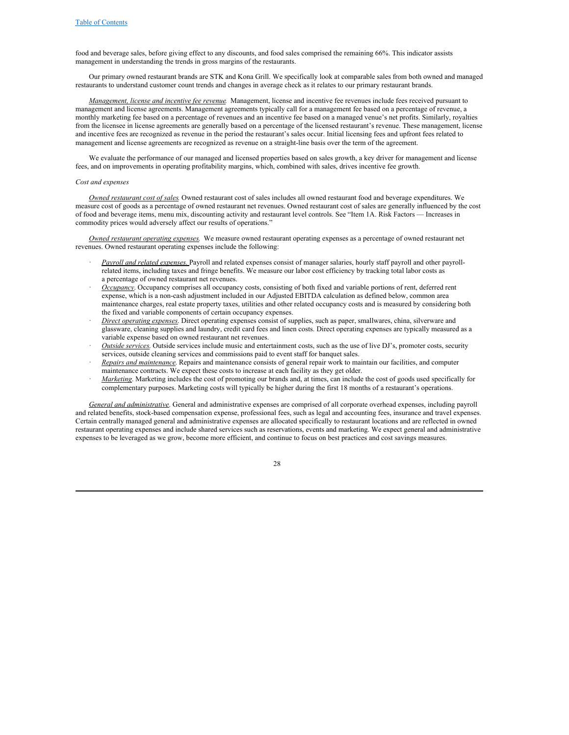food and beverage sales, before giving effect to any discounts, and food sales comprised the remaining 66%. This indicator assists management in understanding the trends in gross margins of the restaurants.

Our primary owned restaurant brands are STK and Kona Grill. We specifically look at comparable sales from both owned and managed restaurants to understand customer count trends and changes in average check as it relates to our primary restaurant brands.

*Management, license and incentive fee revenue.* Management, license and incentive fee revenues include fees received pursuant to management and license agreements. Management agreements typically call for a management fee based on a percentage of revenue, a monthly marketing fee based on a percentage of revenues and an incentive fee based on a managed venue's net profits. Similarly, royalties from the licensee in license agreements are generally based on a percentage of the licensed restaurant's revenue. These management, license and incentive fees are recognized as revenue in the period the restaurant's sales occur. Initial licensing fees and upfront fees related to management and license agreements are recognized as revenue on a straight-line basis over the term of the agreement.

We evaluate the performance of our managed and licensed properties based on sales growth, a key driver for management and license fees, and on improvements in operating profitability margins, which, combined with sales, drives incentive fee growth.

# *Cost and expenses*

*Owned restaurant cost of sales.* Owned restaurant cost of sales includes all owned restaurant food and beverage expenditures. We measure cost of goods as a percentage of owned restaurant net revenues. Owned restaurant cost of sales are generally influenced by the cost of food and beverage items, menu mix, discounting activity and restaurant level controls. See "Item 1A. Risk Factors — Increases in commodity prices would adversely affect our results of operations."

*Owned restaurant operating expenses.* We measure owned restaurant operating expenses as a percentage of owned restaurant net revenues. Owned restaurant operating expenses include the following:

- · *Payroll and related expenses.* Payroll and related expenses consist of manager salaries, hourly staff payroll and other payrollrelated items, including taxes and fringe benefits. We measure our labor cost efficiency by tracking total labor costs as a percentage of owned restaurant net revenues.
- · *Occupancy*. Occupancy comprises all occupancy costs, consisting of both fixed and variable portions of rent, deferred rent expense, which is a non-cash adjustment included in our Adjusted EBITDA calculation as defined below, common area maintenance charges, real estate property taxes, utilities and other related occupancy costs and is measured by considering both the fixed and variable components of certain occupancy expenses.
- · *Direct operating expenses*. Direct operating expenses consist of supplies, such as paper, smallwares, china, silverware and glassware, cleaning supplies and laundry, credit card fees and linen costs. Direct operating expenses are typically measured as a variable expense based on owned restaurant net revenues.
- · *Outside services*. Outside services include music and entertainment costs, such as the use of live DJ's, promoter costs, security services, outside cleaning services and commissions paid to event staff for banquet sales.
- · *Repairs and maintenance*. Repairs and maintenance consists of general repair work to maintain our facilities, and computer maintenance contracts. We expect these costs to increase at each facility as they get older.
- · *Marketing*. Marketing includes the cost of promoting our brands and, at times, can include the cost of goods used specifically for complementary purposes. Marketing costs will typically be higher during the first 18 months of a restaurant's operations.

*General and administrative.* General and administrative expenses are comprised of all corporate overhead expenses, including payroll and related benefits, stock-based compensation expense, professional fees, such as legal and accounting fees, insurance and travel expenses. Certain centrally managed general and administrative expenses are allocated specifically to restaurant locations and are reflected in owned restaurant operating expenses and include shared services such as reservations, events and marketing. We expect general and administrative expenses to be leveraged as we grow, become more efficient, and continue to focus on best practices and cost savings measures.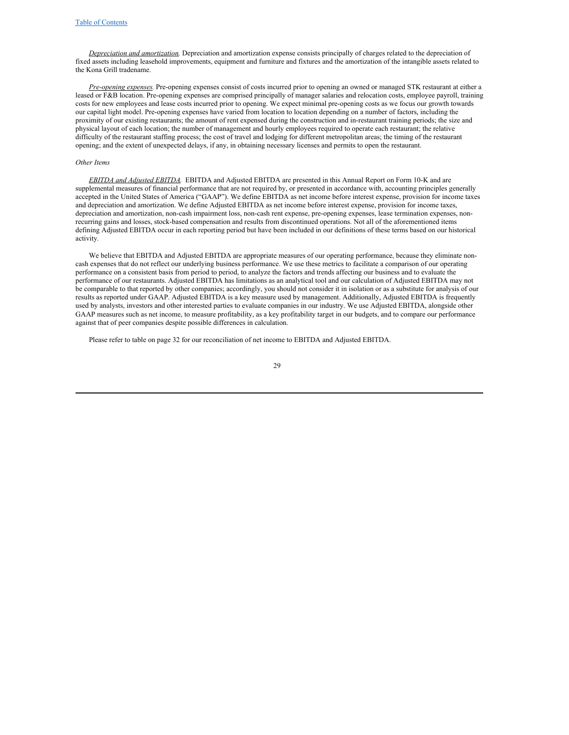*Depreciation and amortization.* Depreciation and amortization expense consists principally of charges related to the depreciation of fixed assets including leasehold improvements, equipment and furniture and fixtures and the amortization of the intangible assets related to the Kona Grill tradename.

*Pre-opening expenses.* Pre-opening expenses consist of costs incurred prior to opening an owned or managed STK restaurant at either a leased or F&B location. Pre-opening expenses are comprised principally of manager salaries and relocation costs, employee payroll, training costs for new employees and lease costs incurred prior to opening. We expect minimal pre-opening costs as we focus our growth towards our capital light model. Pre-opening expenses have varied from location to location depending on a number of factors, including the proximity of our existing restaurants; the amount of rent expensed during the construction and in-restaurant training periods; the size and physical layout of each location; the number of management and hourly employees required to operate each restaurant; the relative difficulty of the restaurant staffing process; the cost of travel and lodging for different metropolitan areas; the timing of the restaurant opening; and the extent of unexpected delays, if any, in obtaining necessary licenses and permits to open the restaurant.

# *Other Items*

*EBITDA and Adjusted EBITDA.* EBITDA and Adjusted EBITDA are presented in this Annual Report on Form 10-K and are supplemental measures of financial performance that are not required by, or presented in accordance with, accounting principles generally accepted in the United States of America ("GAAP"). We define EBITDA as net income before interest expense, provision for income taxes and depreciation and amortization. We define Adjusted EBITDA as net income before interest expense, provision for income taxes, depreciation and amortization, non-cash impairment loss, non-cash rent expense, pre-opening expenses, lease termination expenses, nonrecurring gains and losses, stock-based compensation and results from discontinued operations. Not all of the aforementioned items defining Adjusted EBITDA occur in each reporting period but have been included in our definitions of these terms based on our historical activity*.*

We believe that EBITDA and Adjusted EBITDA are appropriate measures of our operating performance, because they eliminate noncash expenses that do not reflect our underlying business performance. We use these metrics to facilitate a comparison of our operating performance on a consistent basis from period to period, to analyze the factors and trends affecting our business and to evaluate the performance of our restaurants. Adjusted EBITDA has limitations as an analytical tool and our calculation of Adjusted EBITDA may not be comparable to that reported by other companies; accordingly, you should not consider it in isolation or as a substitute for analysis of our results as reported under GAAP. Adjusted EBITDA is a key measure used by management. Additionally, Adjusted EBITDA is frequently used by analysts, investors and other interested parties to evaluate companies in our industry. We use Adjusted EBITDA, alongside other GAAP measures such as net income, to measure profitability, as a key profitability target in our budgets, and to compare our performance against that of peer companies despite possible differences in calculation.

Please refer to table on page 32 for our reconciliation of net income to EBITDA and Adjusted EBITDA.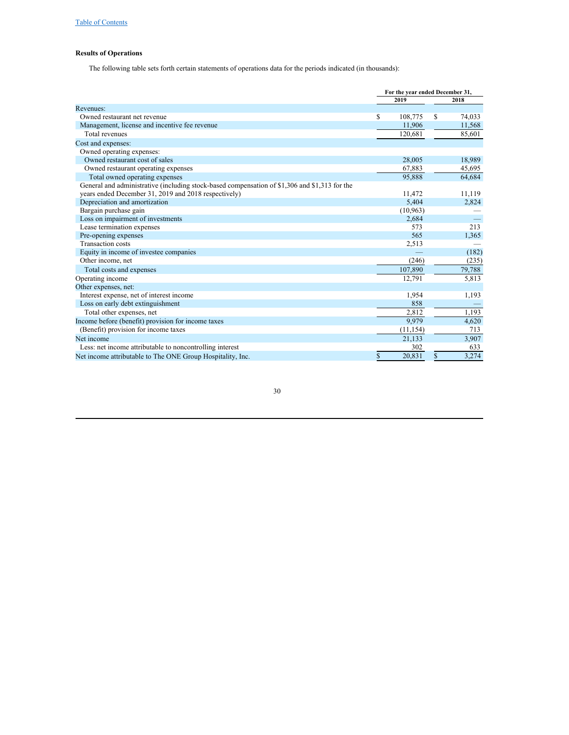# **Results of Operations**

The following table sets forth certain statements of operations data for the periods indicated (in thousands):

|                                                                                               | For the year ended December 31, |           |              |        |
|-----------------------------------------------------------------------------------------------|---------------------------------|-----------|--------------|--------|
|                                                                                               |                                 | 2019      |              | 2018   |
| Revenues:                                                                                     |                                 |           |              |        |
| Owned restaurant net revenue                                                                  | S                               | 108,775   | S            | 74,033 |
| Management, license and incentive fee revenue                                                 |                                 | 11,906    |              | 11,568 |
| Total revenues                                                                                |                                 | 120,681   |              | 85,601 |
| Cost and expenses:                                                                            |                                 |           |              |        |
| Owned operating expenses:                                                                     |                                 |           |              |        |
| Owned restaurant cost of sales                                                                |                                 | 28,005    |              | 18,989 |
| Owned restaurant operating expenses                                                           |                                 | 67,883    |              | 45,695 |
| Total owned operating expenses                                                                |                                 | 95,888    |              | 64,684 |
| General and administrative (including stock-based compensation of \$1,306 and \$1,313 for the |                                 |           |              |        |
| years ended December 31, 2019 and 2018 respectively)                                          |                                 | 11,472    |              | 11,119 |
| Depreciation and amortization                                                                 |                                 | 5,404     |              | 2,824  |
| Bargain purchase gain                                                                         |                                 | (10, 963) |              |        |
| Loss on impairment of investments                                                             |                                 | 2,684     |              |        |
| Lease termination expenses                                                                    |                                 | 573       |              | 213    |
| Pre-opening expenses                                                                          |                                 | 565       |              | 1,365  |
| <b>Transaction</b> costs                                                                      |                                 | 2,513     |              |        |
| Equity in income of investee companies                                                        |                                 |           |              | (182)  |
| Other income, net                                                                             |                                 | (246)     |              | (235)  |
| Total costs and expenses                                                                      |                                 | 107,890   |              | 79,788 |
| Operating income                                                                              |                                 | 12,791    |              | 5,813  |
| Other expenses, net:                                                                          |                                 |           |              |        |
| Interest expense, net of interest income                                                      |                                 | 1,954     |              | 1,193  |
| Loss on early debt extinguishment                                                             |                                 | 858       |              |        |
| Total other expenses, net                                                                     |                                 | 2,812     |              | 1,193  |
| Income before (benefit) provision for income taxes                                            |                                 | 9.979     |              | 4,620  |
| (Benefit) provision for income taxes                                                          |                                 | (11, 154) |              | 713    |
| Net income                                                                                    |                                 | 21,133    |              | 3,907  |
| Less: net income attributable to noncontrolling interest                                      |                                 | 302       |              | 633    |
| Net income attributable to The ONE Group Hospitality, Inc.                                    | \$                              | 20,831    | $\mathbb{S}$ | 3,274  |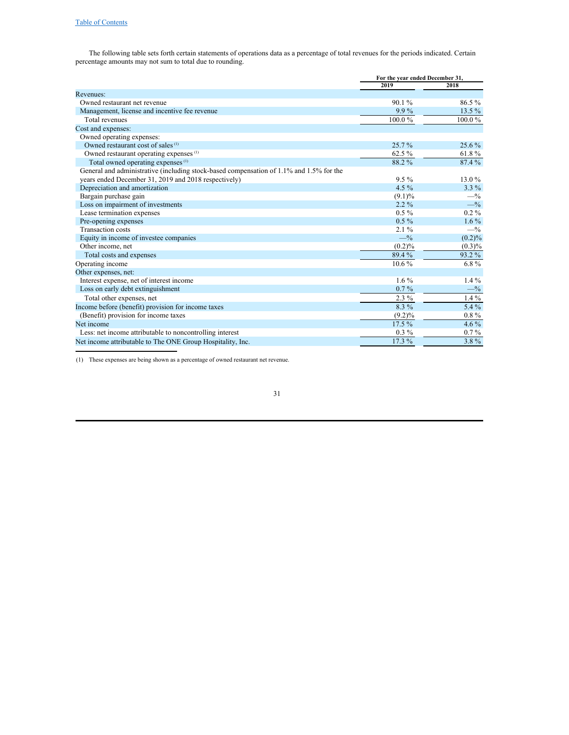The following table sets forth certain statements of operations data as a percentage of total revenues for the periods indicated. Certain percentage amounts may not sum to total due to rounding.

|                                                                                         | For the year ended December 31, |           |  |
|-----------------------------------------------------------------------------------------|---------------------------------|-----------|--|
|                                                                                         | 2019                            | 2018      |  |
| Revenues:                                                                               |                                 |           |  |
| Owned restaurant net revenue                                                            | 90.1%                           | 86.5%     |  |
| Management, license and incentive fee revenue                                           | $9.9\%$                         | $13.5\%$  |  |
| Total revenues                                                                          | 100.0%                          | 100.0%    |  |
| Cost and expenses:                                                                      |                                 |           |  |
| Owned operating expenses:                                                               |                                 |           |  |
| Owned restaurant cost of sales <sup>(1)</sup>                                           | $25.7\%$                        | $25.6\%$  |  |
| Owned restaurant operating expenses <sup>(1)</sup>                                      | 62.5 %                          | 61.8%     |  |
| Total owned operating expenses <sup>(1)</sup>                                           | 88.2%                           | 87.4 %    |  |
| General and administrative (including stock-based compensation of 1.1% and 1.5% for the |                                 |           |  |
| years ended December 31, 2019 and 2018 respectively)                                    | $9.5\%$                         | 13.0 %    |  |
| Depreciation and amortization                                                           | 4.5 $\%$                        | $3.3\%$   |  |
| Bargain purchase gain                                                                   | $(9.1)\%$                       | $-$ %     |  |
| Loss on impairment of investments                                                       | $2.2\%$                         | $-$ %     |  |
| Lease termination expenses                                                              | $0.5\%$                         | $0.2\%$   |  |
| Pre-opening expenses                                                                    | $0.5\%$                         | $1.6\%$   |  |
| <b>Transaction</b> costs                                                                | $2.1\%$                         | $-$ %     |  |
| Equity in income of investee companies                                                  | $-$ %                           | (0.2)%    |  |
| Other income, net                                                                       | $(0.2)\%$                       | $(0.3)\%$ |  |
| Total costs and expenses                                                                | 89.4%                           | 93.2%     |  |
| Operating income                                                                        | $10.6\%$                        | 6.8 $%$   |  |
| Other expenses, net:                                                                    |                                 |           |  |
| Interest expense, net of interest income                                                | $1.6\%$                         | $1.4\%$   |  |
| Loss on early debt extinguishment                                                       | $0.7\%$                         | $-$ %     |  |
| Total other expenses, net                                                               | $2.3\%$                         | $1.4\%$   |  |
| Income before (benefit) provision for income taxes                                      | $8.3\%$                         | 5.4 %     |  |
| (Benefit) provision for income taxes                                                    | $(9.2)\%$                       | $0.8\%$   |  |
| Net income                                                                              | 17.5 %                          | 4.6 $%$   |  |
| Less: net income attributable to noncontrolling interest                                | $0.3\%$                         | $0.7\%$   |  |
| Net income attributable to The ONE Group Hospitality, Inc.                              | 17.3 %                          | 3.8%      |  |

(1) These expenses are being shown as a percentage of owned restaurant net revenue.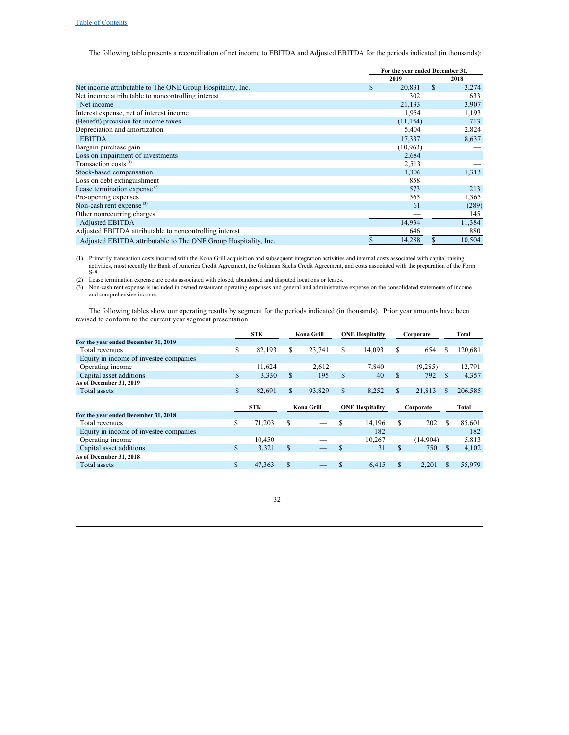The following table presents a reconciliation of net income to EBITDA and Adjusted EBITDA for the periods indicated (in thousands):

|                                                                 |    | For the year ended December 31, |   |        |  |  |
|-----------------------------------------------------------------|----|---------------------------------|---|--------|--|--|
|                                                                 |    | 2019                            |   | 2018   |  |  |
| Net income attributable to The ONE Group Hospitality, Inc.      | \$ | 20,831                          | S | 3,274  |  |  |
| Net income attributable to noncontrolling interest              |    | 302                             |   | 633    |  |  |
| Net income                                                      |    | 21,133                          |   | 3,907  |  |  |
| Interest expense, net of interest income                        |    | 1,954                           |   | 1,193  |  |  |
| (Benefit) provision for income taxes                            |    | (11, 154)                       |   | 713    |  |  |
| Depreciation and amortization                                   |    | 5,404                           |   | 2,824  |  |  |
| <b>EBITDA</b>                                                   |    | 17,337                          |   | 8,637  |  |  |
| Bargain purchase gain                                           |    | (10, 963)                       |   |        |  |  |
| Loss on impairment of investments                               |    | 2,684                           |   |        |  |  |
| Transaction costs <sup>(1)</sup>                                |    | 2,513                           |   |        |  |  |
| Stock-based compensation                                        |    | 1,306                           |   | 1,313  |  |  |
| Loss on debt extinguishment                                     |    | 858                             |   |        |  |  |
| Lease termination expense <sup>(2)</sup>                        |    | 573                             |   | 213    |  |  |
| Pre-opening expenses                                            |    | 565                             |   | 1,365  |  |  |
| Non-cash rent expense <sup>(3)</sup>                            |    | 61                              |   | (289)  |  |  |
| Other nonrecurring charges                                      |    |                                 |   | 145    |  |  |
| <b>Adjusted EBITDA</b>                                          |    | 14,934                          |   | 11,384 |  |  |
| Adjusted EBITDA attributable to noncontrolling interest         |    | 646                             |   | 880    |  |  |
| Adjusted EBITDA attributable to The ONE Group Hospitality, Inc. | S  | 14,288                          |   | 10,504 |  |  |

(1) Primarily transaction costs incurred with the Kona Grill acquisition and subsequent integration activities and internal costs associated with capital raising activities, most recently the Bank of America Credit Agreeme S-8.<br>
(2) Lease termination expense are costs associated with closed, abandoned and disputed locations or leases.

(2) Lease termination expense are costs associated with closed, abandoned and disputed locations or leases.<br>(3) Non-cash rent expense is included in owned restaurant operating expenses and general and administrative expens

The following tables show our operating results by segment for the periods indicated (in thousands). Prior year amounts have been revised to conform to the current year segment presentation.

|                                        |    | <b>STK</b> |    | Kona Grill |    | <b>ONE Hospitality</b> | Corporate    |    | Total   |
|----------------------------------------|----|------------|----|------------|----|------------------------|--------------|----|---------|
| For the year ended December 31, 2019   |    |            |    |            |    |                        |              |    |         |
| Total revenues                         | S  | 82,193     | S  | 23,741     | \$ | 14.093                 | \$<br>654    |    | 120,681 |
| Equity in income of investee companies |    |            |    |            |    |                        |              |    |         |
| Operating income                       |    | 11,624     |    | 2,612      |    | 7.840                  | (9, 285)     |    | 12,791  |
| Capital asset additions                | S  | 3,330      | \$ | 195        | S  | 40                     | \$<br>792    | S  | 4,357   |
| As of December 31, 2019                |    |            |    |            |    |                        |              |    |         |
| <b>Total assets</b>                    | S  | 82,691     | \$ | 93,829     | \$ | 8,252                  | \$<br>21.813 |    | 206,585 |
|                                        |    |            |    |            |    |                        |              |    |         |
|                                        |    | <b>STK</b> |    | Kona Grill |    | <b>ONE Hospitality</b> | Corporate    |    | Total   |
| For the year ended December 31, 2018   |    |            |    |            |    |                        |              |    |         |
| Total revenues                         | \$ | 71,203     | S  |            | \$ | 14,196                 | \$<br>202    | S  | 85,601  |
| Equity in income of investee companies |    |            |    |            |    | 182                    |              |    | 182     |
| Operating income                       |    | 10.450     |    |            |    | 10,267                 | (14,904)     |    | 5,813   |
| Capital asset additions                | \$ | 3,321      | S  |            | \$ | 31                     | \$<br>750    | S  | 4,102   |
| As of December 31, 2018                |    |            |    |            |    |                        |              |    |         |
| Total assets                           | \$ | 47.363     | S  |            | \$ | 6.415                  | \$<br>2.201  | S. | 55,979  |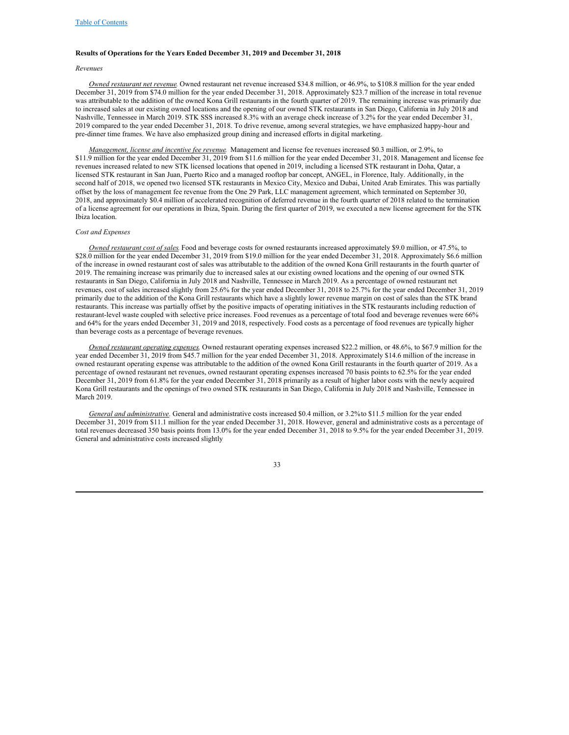# **Results of Operations for the Years Ended December 31, 2019 and December 31, 2018**

### *Revenues*

*Owned restaurant net revenue.* Owned restaurant net revenue increased \$34.8 million, or 46.9%, to \$108.8 million for the year ended December 31, 2019 from \$74.0 million for the year ended December 31, 2018. Approximately \$23.7 million of the increase in total revenue was attributable to the addition of the owned Kona Grill restaurants in the fourth quarter of 2019. The remaining increase was primarily due to increased sales at our existing owned locations and the opening of our owned STK restaurants in San Diego, California in July 2018 and Nashville, Tennessee in March 2019. STK SSS increased 8.3% with an average check increase of 3.2% for the year ended December 31, 2019 compared to the year ended December 31, 2018. To drive revenue, among several strategies, we have emphasized happy-hour and pre-dinner time frames. We have also emphasized group dining and increased efforts in digital marketing.

*Management, license and incentive fee revenue.* Management and license fee revenues increased \$0.3 million, or 2.9%, to \$11.9 million for the year ended December 31, 2019 from \$11.6 million for the year ended December 31, 2018. Management and license fee revenues increased related to new STK licensed locations that opened in 2019, including a licensed STK restaurant in Doha, Qatar, a licensed STK restaurant in San Juan, Puerto Rico and a managed rooftop bar concept, ANGEL, in Florence, Italy. Additionally, in the second half of 2018, we opened two licensed STK restaurants in Mexico City, Mexico and Dubai, United Arab Emirates. This was partially offset by the loss of management fee revenue from the One 29 Park, LLC management agreement, which terminated on September 30, 2018, and approximately \$0.4 million of accelerated recognition of deferred revenue in the fourth quarter of 2018 related to the termination of a license agreement for our operations in Ibiza, Spain. During the first quarter of 2019, we executed a new license agreement for the STK Ibiza location.

#### *Cost and Expenses*

*Owned restaurant cost of sales.* Food and beverage costs for owned restaurants increased approximately \$9.0 million, or 47.5%, to \$28.0 million for the year ended December 31, 2019 from \$19.0 million for the year ended December 31, 2018. Approximately \$6.6 million of the increase in owned restaurant cost of sales was attributable to the addition of the owned Kona Grill restaurants in the fourth quarter of 2019. The remaining increase was primarily due to increased sales at our existing owned locations and the opening of our owned STK restaurants in San Diego, California in July 2018 and Nashville, Tennessee in March 2019. As a percentage of owned restaurant net revenues, cost of sales increased slightly from 25.6% for the year ended December 31, 2018 to 25.7% for the year ended December 31, 2019 primarily due to the addition of the Kona Grill restaurants which have a slightly lower revenue margin on cost of sales than the STK brand restaurants. This increase was partially offset by the positive impacts of operating initiatives in the STK restaurants including reduction of restaurant-level waste coupled with selective price increases. Food revenues as a percentage of total food and beverage revenues were 66% and 64% for the years ended December 31, 2019 and 2018, respectively. Food costs as a percentage of food revenues are typically higher than beverage costs as a percentage of beverage revenues.

*Owned restaurant operating expenses.* Owned restaurant operating expenses increased \$22.2 million, or 48.6%, to \$67.9 million for the year ended December 31, 2019 from \$45.7 million for the year ended December 31, 2018. Approximately \$14.6 million of the increase in owned restaurant operating expense was attributable to the addition of the owned Kona Grill restaurants in the fourth quarter of 2019. As a percentage of owned restaurant net revenues, owned restaurant operating expenses increased 70 basis points to 62.5% for the year ended December 31, 2019 from 61.8% for the year ended December 31, 2018 primarily as a result of higher labor costs with the newly acquired Kona Grill restaurants and the openings of two owned STK restaurants in San Diego, California in July 2018 and Nashville, Tennessee in March 2019.

*General and administrative.* General and administrative costs increased \$0.4 million, or 3.2%to \$11.5 million for the year ended December 31, 2019 from \$11.1 million for the year ended December 31, 2018. However, general and administrative costs as a percentage of total revenues decreased 350 basis points from 13.0% for the year ended December 31, 2018 to 9.5% for the year ended December 31, 2019. General and administrative costs increased slightly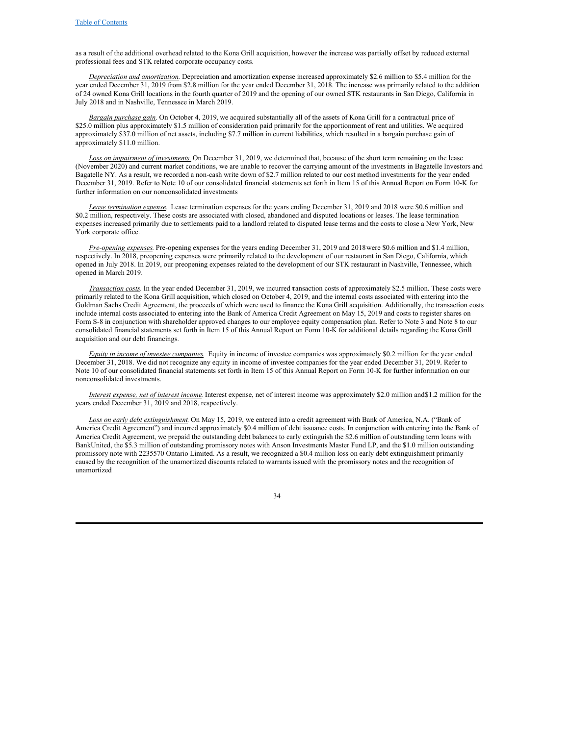as a result of the additional overhead related to the Kona Grill acquisition, however the increase was partially offset by reduced external professional fees and STK related corporate occupancy costs.

*Depreciation and amortization.* Depreciation and amortization expense increased approximately \$2.6 million to \$5.4 million for the year ended December 31, 2019 from \$2.8 million for the year ended December 31, 2018. The increase was primarily related to the addition of 24 owned Kona Grill locations in the fourth quarter of 2019 and the opening of our owned STK restaurants in San Diego, California in July 2018 and in Nashville, Tennessee in March 2019.

*Bargain purchase gain.* On October 4, 2019, we acquired substantially all of the assets of Kona Grill for a contractual price of \$25.0 million plus approximately \$1.5 million of consideration paid primarily for the apportionment of rent and utilities. We acquired approximately \$37.0 million of net assets, including \$7.7 million in current liabilities, which resulted in a bargain purchase gain of approximately \$11.0 million.

*Loss on impairment of investments.* On December 31, 2019, we determined that, because of the short term remaining on the lease (November 2020) and current market conditions, we are unable to recover the carrying amount of the investments in Bagatelle Investors and Bagatelle NY. As a result, we recorded a non-cash write down of \$2.7 million related to our cost method investments for the year ended December 31, 2019. Refer to Note 10 of our consolidated financial statements set forth in Item 15 of this Annual Report on Form 10-K for further information on our nonconsolidated investments

*Lease termination expense.* Lease termination expenses for the years ending December 31, 2019 and 2018 were \$0.6 million and \$0.2 million, respectively. These costs are associated with closed, abandoned and disputed locations or leases. The lease termination expenses increased primarily due to settlements paid to a landlord related to disputed lease terms and the costs to close a New York, New York corporate office.

*Pre-opening expenses*. Pre-opening expenses for the years ending December 31, 2019 and 2018 were \$0.6 million and \$1.4 million, respectively. In 2018, preopening expenses were primarily related to the development of our restaurant in San Diego, California, which opened in July 2018. In 2019, our preopening expenses related to the development of our STK restaurant in Nashville, Tennessee, which opened in March 2019.

*Transaction costs.* In the year ended December 31, 2019, we incurred transaction costs of approximately \$2.5 million. These costs were primarily related to the Kona Grill acquisition, which closed on October 4, 2019, and the internal costs associated with entering into the Goldman Sachs Credit Agreement, the proceeds of which were used to finance the Kona Grill acquisition. Additionally, the transaction costs include internal costs associated to entering into the Bank of America Credit Agreement on May 15, 2019 and costs to register shares on Form S-8 in conjunction with shareholder approved changes to our employee equity compensation plan. Refer to Note 3 and Note 8 to our consolidated financial statements set forth in Item 15 of this Annual Report on Form 10-K for additional details regarding the Kona Grill acquisition and our debt financings.

*Equity in income of investee companies.* Equity in income of investee companies was approximately \$0.2 million for the year ended December 31, 2018. We did not recognize any equity in income of investee companies for the year ended December 31, 2019. Refer to Note 10 of our consolidated financial statements set forth in Item 15 of this Annual Report on Form 10-K for further information on our nonconsolidated investments.

*Interest expense, net of interest income.* Interest expense, net of interest income was approximately \$2.0 million and\$1.2 million for the years ended December 31, 2019 and 2018, respectively.

*Loss on early debt extinguishment.* On May 15, 2019, we entered into a credit agreement with Bank of America, N.A. ("Bank of America Credit Agreement") and incurred approximately \$0.4 million of debt issuance costs. In conjunction with entering into the Bank of America Credit Agreement, we prepaid the outstanding debt balances to early extinguish the \$2.6 million of outstanding term loans with BankUnited, the \$5.3 million of outstanding promissory notes with Anson Investments Master Fund LP, and the \$1.0 million outstanding promissory note with 2235570 Ontario Limited. As a result, we recognized a \$0.4 million loss on early debt extinguishment primarily caused by the recognition of the unamortized discounts related to warrants issued with the promissory notes and the recognition of unamortized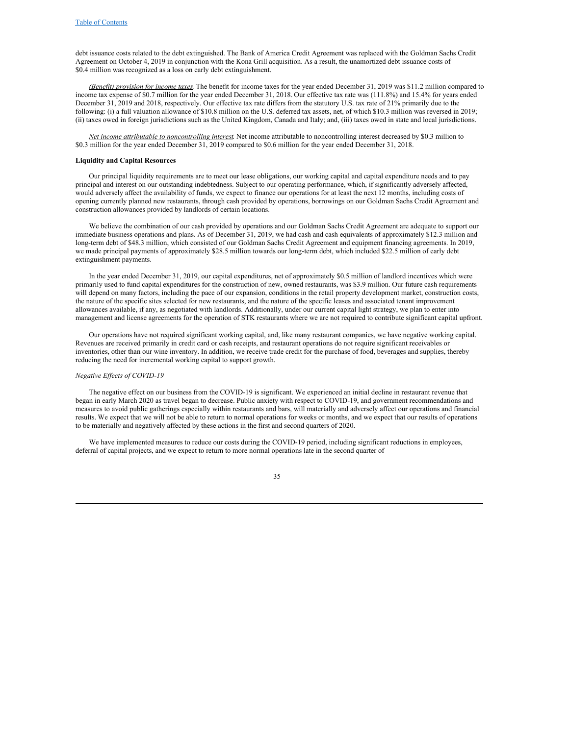debt issuance costs related to the debt extinguished. The Bank of America Credit Agreement was replaced with the Goldman Sachs Credit Agreement on October 4, 2019 in conjunction with the Kona Grill acquisition. As a result, the unamortized debt issuance costs of \$0.4 million was recognized as a loss on early debt extinguishment.

*(Benefit) provision for income taxes.* The benefit for income taxes for the year ended December 31, 2019 was \$11.2 million compared to income tax expense of \$0.7 million for the year ended December 31, 2018. Our effective tax rate was (111.8%) and 15.4% for years ended December 31, 2019 and 2018, respectively. Our effective tax rate differs from the statutory U.S. tax rate of 21% primarily due to the following: (i) a full valuation allowance of \$10.8 million on the U.S. deferred tax assets, net, of which \$10.3 million was reversed in 2019; (ii) taxes owed in foreign jurisdictions such as the United Kingdom, Canada and Italy; and, (iii) taxes owed in state and local jurisdictions.

*Net income attributable to noncontrolling interest*. Net income attributable to noncontrolling interest decreased by \$0.3 million to \$0.3 million for the year ended December 31, 2019 compared to \$0.6 million for the year ended December 31, 2018.

#### **Liquidity and Capital Resources**

Our principal liquidity requirements are to meet our lease obligations, our working capital and capital expenditure needs and to pay principal and interest on our outstanding indebtedness. Subject to our operating performance, which, if significantly adversely affected, would adversely affect the availability of funds, we expect to finance our operations for at least the next 12 months, including costs of opening currently planned new restaurants, through cash provided by operations, borrowings on our Goldman Sachs Credit Agreement and construction allowances provided by landlords of certain locations.

We believe the combination of our cash provided by operations and our Goldman Sachs Credit Agreement are adequate to support our immediate business operations and plans. As of December 31, 2019, we had cash and cash equivalents of approximately \$12.3 million and long-term debt of \$48.3 million, which consisted of our Goldman Sachs Credit Agreement and equipment financing agreements. In 2019, we made principal payments of approximately \$28.5 million towards our long-term debt, which included \$22.5 million of early debt extinguishment payments.

In the year ended December 31, 2019, our capital expenditures, net of approximately \$0.5 million of landlord incentives which were primarily used to fund capital expenditures for the construction of new, owned restaurants, was \$3.9 million. Our future cash requirements will depend on many factors, including the pace of our expansion, conditions in the retail property development market, construction costs, the nature of the specific sites selected for new restaurants, and the nature of the specific leases and associated tenant improvement allowances available, if any, as negotiated with landlords. Additionally, under our current capital light strategy, we plan to enter into management and license agreements for the operation of STK restaurants where we are not required to contribute significant capital upfront.

Our operations have not required significant working capital, and, like many restaurant companies, we have negative working capital. Revenues are received primarily in credit card or cash receipts, and restaurant operations do not require significant receivables or inventories, other than our wine inventory. In addition, we receive trade credit for the purchase of food, beverages and supplies, thereby reducing the need for incremental working capital to support growth.

### *Negative Ef ects of COVID-19*

The negative effect on our business from the COVID-19 is significant. We experienced an initial decline in restaurant revenue that began in early March 2020 as travel began to decrease. Public anxiety with respect to COVID-19, and government recommendations and measures to avoid public gatherings especially within restaurants and bars, will materially and adversely affect our operations and financial results. We expect that we will not be able to return to normal operations for weeks or months, and we expect that our results of operations to be materially and negatively affected by these actions in the first and second quarters of 2020.

We have implemented measures to reduce our costs during the COVID-19 period, including significant reductions in employees, deferral of capital projects, and we expect to return to more normal operations late in the second quarter of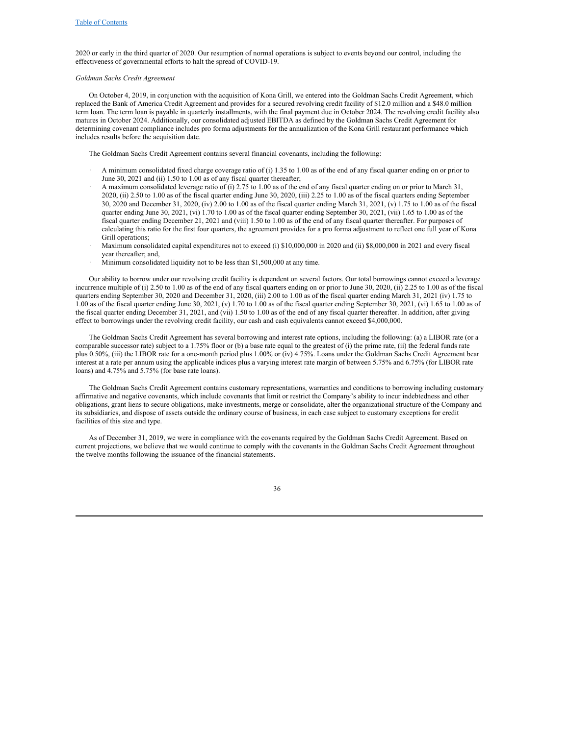2020 or early in the third quarter of 2020. Our resumption of normal operations is subject to events beyond our control, including the effectiveness of governmental efforts to halt the spread of COVID-19.

# *Goldman Sachs Credit Agreement*

On October 4, 2019, in conjunction with the acquisition of Kona Grill, we entered into the Goldman Sachs Credit Agreement, which replaced the Bank of America Credit Agreement and provides for a secured revolving credit facility of \$12.0 million and a \$48.0 million term loan. The term loan is payable in quarterly installments, with the final payment due in October 2024. The revolving credit facility also matures in October 2024. Additionally, our consolidated adjusted EBITDA as defined by the Goldman Sachs Credit Agreement for determining covenant compliance includes pro forma adjustments for the annualization of the Kona Grill restaurant performance which includes results before the acquisition date.

The Goldman Sachs Credit Agreement contains several financial covenants, including the following:

- · A minimum consolidated fixed charge coverage ratio of (i) 1.35 to 1.00 as of the end of any fiscal quarter ending on or prior to June 30, 2021 and (ii) 1.50 to 1.00 as of any fiscal quarter thereafter;
- A maximum consolidated leverage ratio of (i) 2.75 to 1.00 as of the end of any fiscal quarter ending on or prior to March 31, 2020, (ii) 2.50 to 1.00 as of the fiscal quarter ending June 30, 2020, (iii) 2.25 to 1.00 as of the fiscal quarters ending September 30, 2020 and December 31, 2020, (iv) 2.00 to 1.00 as of the fiscal quarter ending March 31, 2021, (v) 1.75 to 1.00 as of the fiscal quarter ending June 30, 2021, (vi) 1.70 to 1.00 as of the fiscal quarter ending September 30, 2021, (vii) 1.65 to 1.00 as of the fiscal quarter ending December 21, 2021 and (viii) 1.50 to 1.00 as of the end of any fiscal quarter thereafter. For purposes of calculating this ratio for the first four quarters, the agreement provides for a pro forma adjustment to reflect one full year of Kona Grill operations;
- Maximum consolidated capital expenditures not to exceed (i) \$10,000,000 in 2020 and (ii) \$8,000,000 in 2021 and every fiscal year thereafter; and,
- Minimum consolidated liquidity not to be less than \$1,500,000 at any time.

Our ability to borrow under our revolving credit facility is dependent on several factors. Our total borrowings cannot exceed a leverage incurrence multiple of (i) 2.50 to 1.00 as of the end of any fiscal quarters ending on or prior to June 30, 2020, (ii) 2.25 to 1.00 as of the fiscal quarters ending September 30, 2020 and December 31, 2020, (iii) 2.00 to 1.00 as of the fiscal quarter ending March 31, 2021 (iv) 1.75 to 1.00 as of the fiscal quarter ending June 30, 2021, (v) 1.70 to 1.00 as of the fiscal quarter ending September 30, 2021, (vi) 1.65 to 1.00 as of the fiscal quarter ending December 31, 2021, and (vii) 1.50 to 1.00 as of the end of any fiscal quarter thereafter. In addition, after giving effect to borrowings under the revolving credit facility, our cash and cash equivalents cannot exceed \$4,000,000.

The Goldman Sachs Credit Agreement has several borrowing and interest rate options, including the following: (a) a LIBOR rate (or a comparable successor rate) subject to a 1.75% floor or (b) a base rate equal to the greatest of (i) the prime rate, (ii) the federal funds rate plus 0.50%, (iii) the LIBOR rate for a one-month period plus 1.00% or (iv) 4.75%. Loans under the Goldman Sachs Credit Agreement bear interest at a rate per annum using the applicable indices plus a varying interest rate margin of between 5.75% and 6.75% (for LIBOR rate loans) and 4.75% and 5.75% (for base rate loans).

The Goldman Sachs Credit Agreement contains customary representations, warranties and conditions to borrowing including customary affirmative and negative covenants, which include covenants that limit or restrict the Company's ability to incur indebtedness and other obligations, grant liens to secure obligations, make investments, merge or consolidate, alter the organizational structure of the Company and its subsidiaries, and dispose of assets outside the ordinary course of business, in each case subject to customary exceptions for credit facilities of this size and type.

As of December 31, 2019, we were in compliance with the covenants required by the Goldman Sachs Credit Agreement. Based on current projections, we believe that we would continue to comply with the covenants in the Goldman Sachs Credit Agreement throughout the twelve months following the issuance of the financial statements.

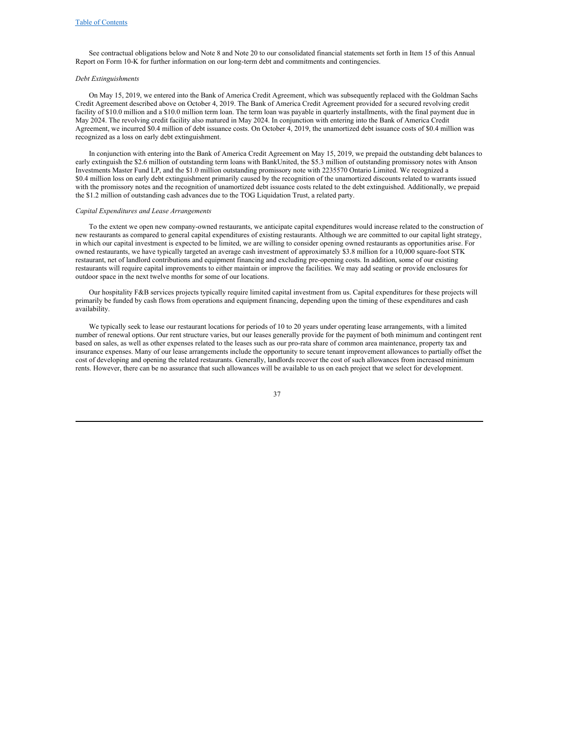See contractual obligations below and Note 8 and Note 20 to our consolidated financial statements set forth in Item 15 of this Annual Report on Form 10‑K for further information on our long-term debt and commitments and contingencies.

#### *Debt Extinguishments*

On May 15, 2019, we entered into the Bank of America Credit Agreement, which was subsequently replaced with the Goldman Sachs Credit Agreement described above on October 4, 2019. The Bank of America Credit Agreement provided for a secured revolving credit facility of \$10.0 million and a \$10.0 million term loan. The term loan was payable in quarterly installments, with the final payment due in May 2024. The revolving credit facility also matured in May 2024. In conjunction with entering into the Bank of America Credit Agreement, we incurred \$0.4 million of debt issuance costs. On October 4, 2019, the unamortized debt issuance costs of \$0.4 million was recognized as a loss on early debt extinguishment.

In conjunction with entering into the Bank of America Credit Agreement on May 15, 2019, we prepaid the outstanding debt balances to early extinguish the \$2.6 million of outstanding term loans with BankUnited, the \$5.3 million of outstanding promissory notes with Anson Investments Master Fund LP, and the \$1.0 million outstanding promissory note with 2235570 Ontario Limited. We recognized a \$0.4 million loss on early debt extinguishment primarily caused by the recognition of the unamortized discounts related to warrants issued with the promissory notes and the recognition of unamortized debt issuance costs related to the debt extinguished. Additionally, we prepaid the \$1.2 million of outstanding cash advances due to the TOG Liquidation Trust, a related party.

#### *Capital Expenditures and Lease Arrangements*

To the extent we open new company-owned restaurants, we anticipate capital expenditures would increase related to the construction of new restaurants as compared to general capital expenditures of existing restaurants. Although we are committed to our capital light strategy, in which our capital investment is expected to be limited, we are willing to consider opening owned restaurants as opportunities arise. For owned restaurants, we have typically targeted an average cash investment of approximately \$3.8 million for a 10,000 square-foot STK restaurant, net of landlord contributions and equipment financing and excluding pre-opening costs. In addition, some of our existing restaurants will require capital improvements to either maintain or improve the facilities. We may add seating or provide enclosures for outdoor space in the next twelve months for some of our locations.

Our hospitality F&B services projects typically require limited capital investment from us. Capital expenditures for these projects will primarily be funded by cash flows from operations and equipment financing, depending upon the timing of these expenditures and cash availability.

We typically seek to lease our restaurant locations for periods of 10 to 20 years under operating lease arrangements, with a limited number of renewal options. Our rent structure varies, but our leases generally provide for the payment of both minimum and contingent rent based on sales, as well as other expenses related to the leases such as our pro-rata share of common area maintenance, property tax and insurance expenses. Many of our lease arrangements include the opportunity to secure tenant improvement allowances to partially offset the cost of developing and opening the related restaurants. Generally, landlords recover the cost of such allowances from increased minimum rents. However, there can be no assurance that such allowances will be available to us on each project that we select for development.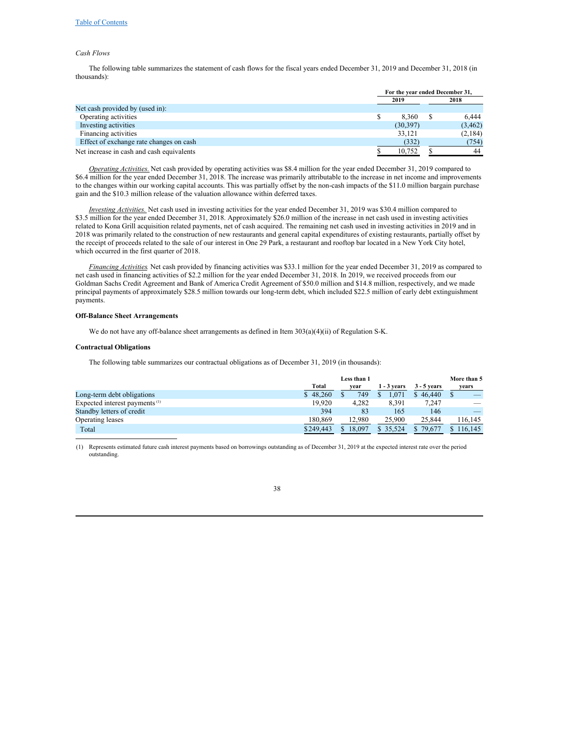## Table of [Contents](#page-1-0)

#### *Cash Flows*

The following table summarizes the statement of cash flows for the fiscal years ended December 31, 2019 and December 31, 2018 (in thousands):

|                                           | For the year ended December 31, |           |  |          |  |
|-------------------------------------------|---------------------------------|-----------|--|----------|--|
|                                           |                                 | 2019      |  | 2018     |  |
| Net cash provided by (used in):           |                                 |           |  |          |  |
| Operating activities                      |                                 | 8.360     |  | 6.444    |  |
| Investing activities                      |                                 | (30, 397) |  | (3, 462) |  |
| Financing activities                      |                                 | 33,121    |  | (2, 184) |  |
| Effect of exchange rate changes on cash   |                                 | (332)     |  | (754)    |  |
| Net increase in cash and cash equivalents |                                 | 10.752    |  | 44       |  |

*Operating Activities.* Net cash provided by operating activities was \$8.4 million for the year ended December 31, 2019 compared to \$6.4 million for the year ended December 31, 2018. The increase was primarily attributable to the increase in net income and improvements to the changes within our working capital accounts. This was partially offset by the non-cash impacts of the \$11.0 million bargain purchase gain and the \$10.3 million release of the valuation allowance within deferred taxes.

*Investing Activities.* Net cash used in investing activities for the year ended December 31, 2019 was \$30.4 million compared to \$3.5 million for the year ended December 31, 2018. Approximately \$26.0 million of the increase in net cash used in investing activities related to Kona Grill acquisition related payments, net of cash acquired. The remaining net cash used in investing activities in 2019 and in 2018 was primarily related to the construction of new restaurants and general capital expenditures of existing restaurants, partially offset by the receipt of proceeds related to the sale of our interest in One 29 Park, a restaurant and rooftop bar located in a New York City hotel, which occurred in the first quarter of 2018.

*Financing Activities.* Net cash provided by financing activities was \$33.1 million for the year ended December 31, 2019 as compared to net cash used in financing activities of \$2.2 million for the year ended December 31, 2018. In 2019, we received proceeds from our Goldman Sachs Credit Agreement and Bank of America Credit Agreement of \$50.0 million and \$14.8 million, respectively, and we made principal payments of approximately \$28.5 million towards our long-term debt, which included \$22.5 million of early debt extinguishment payments.

# **Off-Balance Sheet Arrangements**

We do not have any off-balance sheet arrangements as defined in Item 303(a)(4)(ii) of Regulation S-K.

#### **Contractual Obligations**

The following table summarizes our contractual obligations as of December 31, 2019 (in thousands):

|                                           | Less than 1 |        |               |               |                          |  |
|-------------------------------------------|-------------|--------|---------------|---------------|--------------------------|--|
|                                           | Total       | vear   | $1 - 3$ vears | $3 - 5$ vears | years                    |  |
| Long-term debt obligations                | \$48,260    | 749    | 1.071         | \$46,440      |                          |  |
| Expected interest payments <sup>(1)</sup> | 19.920      | 4.282  | 8.391         | 7.247         | $\overline{\phantom{a}}$ |  |
| Standby letters of credit                 | 394         | 83     | 165           | 146           |                          |  |
| <b>Operating leases</b>                   | 180.869     | 12.980 | 25,900        | 25.844        | 116.145                  |  |
| Total                                     | \$249,443   | 18.097 | 35.524        | 79.677        | 16.145                   |  |

(1) Represents estimated future cash interest payments based on borrowings outstanding as of December 31, 2019 at the expected interest rate over the period outstanding.

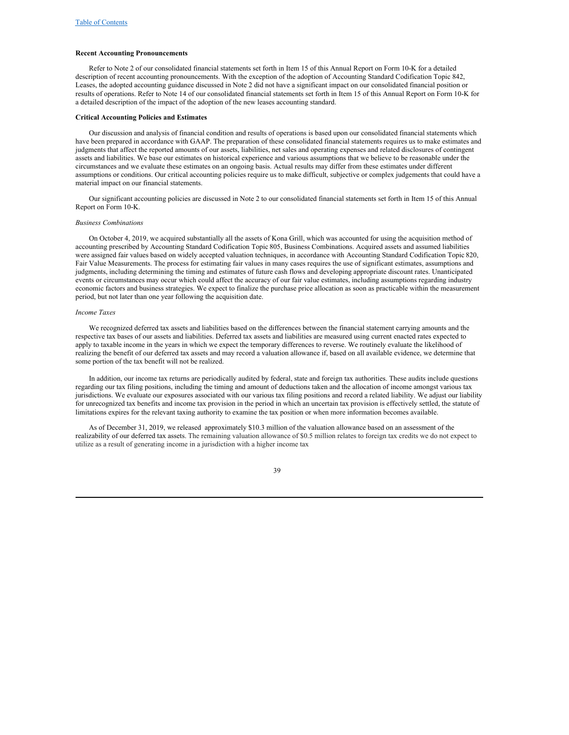## **Recent Accounting Pronouncements**

Refer to Note 2 of our consolidated financial statements set forth in Item 15 of this Annual Report on Form 10‑K for a detailed description of recent accounting pronouncements. With the exception of the adoption of Accounting Standard Codification Topic 842, Leases, the adopted accounting guidance discussed in Note 2 did not have a significant impact on our consolidated financial position or results of operations. Refer to Note 14 of our consolidated financial statements set forth in Item 15 of this Annual Report on Form 10‑K for a detailed description of the impact of the adoption of the new leases accounting standard.

#### **Critical Accounting Policies and Estimates**

Our discussion and analysis of financial condition and results of operations is based upon our consolidated financial statements which have been prepared in accordance with GAAP. The preparation of these consolidated financial statements requires us to make estimates and judgments that affect the reported amounts of our assets, liabilities, net sales and operating expenses and related disclosures of contingent assets and liabilities. We base our estimates on historical experience and various assumptions that we believe to be reasonable under the circumstances and we evaluate these estimates on an ongoing basis. Actual results may differ from these estimates under different assumptions or conditions. Our critical accounting policies require us to make difficult, subjective or complex judgements that could have a material impact on our financial statements.

Our significant accounting policies are discussed in Note 2 to our consolidated financial statements set forth in Item 15 of this Annual Report on Form 10‑K.

## *Business Combinations*

On October 4, 2019, we acquired substantially all the assets of Kona Grill, which was accounted for using the acquisition method of accounting prescribed by Accounting Standard Codification Topic 805, Business Combinations. Acquired assets and assumed liabilities were assigned fair values based on widely accepted valuation techniques, in accordance with Accounting Standard Codification Topic 820, Fair Value Measurements. The process for estimating fair values in many cases requires the use of significant estimates, assumptions and judgments, including determining the timing and estimates of future cash flows and developing appropriate discount rates. Unanticipated events or circumstances may occur which could affect the accuracy of our fair value estimates, including assumptions regarding industry economic factors and business strategies. We expect to finalize the purchase price allocation as soon as practicable within the measurement period, but not later than one year following the acquisition date.

#### *Income Taxes*

We recognized deferred tax assets and liabilities based on the differences between the financial statement carrying amounts and the respective tax bases of our assets and liabilities. Deferred tax assets and liabilities are measured using current enacted rates expected to apply to taxable income in the years in which we expect the temporary differences to reverse. We routinely evaluate the likelihood of realizing the benefit of our deferred tax assets and may record a valuation allowance if, based on all available evidence, we determine that some portion of the tax benefit will not be realized.

In addition, our income tax returns are periodically audited by federal, state and foreign tax authorities. These audits include questions regarding our tax filing positions, including the timing and amount of deductions taken and the allocation of income amongst various tax jurisdictions. We evaluate our exposures associated with our various tax filing positions and record a related liability. We adjust our liability for unrecognized tax benefits and income tax provision in the period in which an uncertain tax provision is effectively settled, the statute of limitations expires for the relevant taxing authority to examine the tax position or when more information becomes available.

As of December 31, 2019, we released approximately \$10.3 million of the valuation allowance based on an assessment of the realizability of our deferred tax assets. The remaining valuation allowance of \$0.5 million relates to foreign tax credits we do not expect to utilize as a result of generating income in a jurisdiction with a higher income tax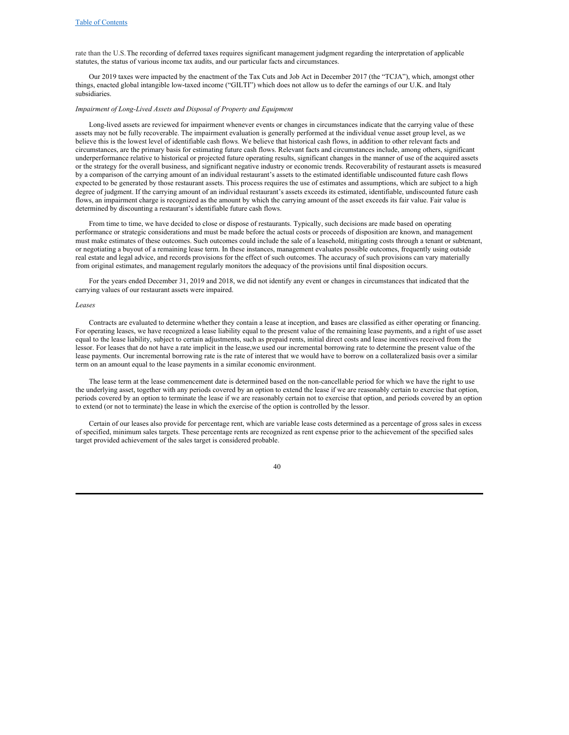rate than the U.S.The recording of deferred taxes requires significant management judgment regarding the interpretation of applicable statutes, the status of various income tax audits, and our particular facts and circumstances.

Our 2019 taxes were impacted by the enactment of the Tax Cuts and Job Act in December 2017 (the "TCJA"), which, amongst other things, enacted global intangible low-taxed income ("GILTI") which does not allow us to defer the earnings of our U.K. and Italy subsidiaries.

#### *Impairment of Long-Lived Assets and Disposal of Property and Equipment*

Long-lived assets are reviewed for impairment whenever events or changes in circumstances indicate that the carrying value of these assets may not be fully recoverable. The impairment evaluation is generally performed at the individual venue asset group level, as we believe this is the lowest level of identifiable cash flows. We believe that historical cash flows, in addition to other relevant facts and circumstances, are the primary basis for estimating future cash flows. Relevant facts and circumstances include, among others, significant underperformance relative to historical or projected future operating results, significant changes in the manner of use of the acquired assets or the strategy for the overall business, and significant negative industry or economic trends. Recoverability of restaurant assets is measured by a comparison of the carrying amount of an individual restaurant's assets to the estimated identifiable undiscounted future cash flows expected to be generated by those restaurant assets. This process requires the use of estimates and assumptions, which are subject to a high degree of judgment. If the carrying amount of an individual restaurant's assets exceeds its estimated, identifiable, undiscounted future cash flows, an impairment charge is recognized as the amount by which the carrying amount of the asset exceeds its fair value. Fair value is determined by discounting a restaurant's identifiable future cash flows.

From time to time, we have decided to close or dispose of restaurants. Typically, such decisions are made based on operating performance or strategic considerations and must be made before the actual costs or proceeds of disposition are known, and management must make estimates of these outcomes. Such outcomes could include the sale of a leasehold, mitigating costs through a tenant or subtenant, or negotiating a buyout of a remaining lease term. In these instances, management evaluates possible outcomes, frequently using outside real estate and legal advice, and records provisions for the effect of such outcomes. The accuracy of such provisions can vary materially from original estimates, and management regularly monitors the adequacy of the provisions until final disposition occurs.

For the years ended December 31, 2019 and 2018, we did not identify any event or changes in circumstances that indicated that the carrying values of our restaurant assets were impaired.

## *Leases*

Contracts are evaluated to determine whether they contain a lease at inception, and bases are classified as either operating or financing. For operating leases, we have recognized a lease liability equal to the present value of the remaining lease payments, and a right of use asset equal to the lease liability, subject to certain adjustments, such as prepaid rents, initial direct costs and lease incentives received from the lessor. For leases that do not have a rate implicit in the lease,we used our incremental borrowing rate to determine the present value of the lease payments. Our incremental borrowing rate is the rate of interest that we would have to borrow on a collateralized basis over a similar term on an amount equal to the lease payments in a similar economic environment.

The lease term at the lease commencement date is determined based on the non-cancellable period for which we have the right to use the underlying asset, together with any periods covered by an option to extend the lease if we are reasonably certain to exercise that option, periods covered by an option to terminate the lease if we are reasonably certain not to exercise that option, and periods covered by an option to extend (or not to terminate) the lease in which the exercise of the option is controlled by the lessor.

Certain of our leases also provide for percentage rent, which are variable lease costs determined as a percentage of gross sales in excess of specified, minimum sales targets. These percentage rents are recognized as rent expense prior to the achievement of the specified sales target provided achievement of the sales target is considered probable.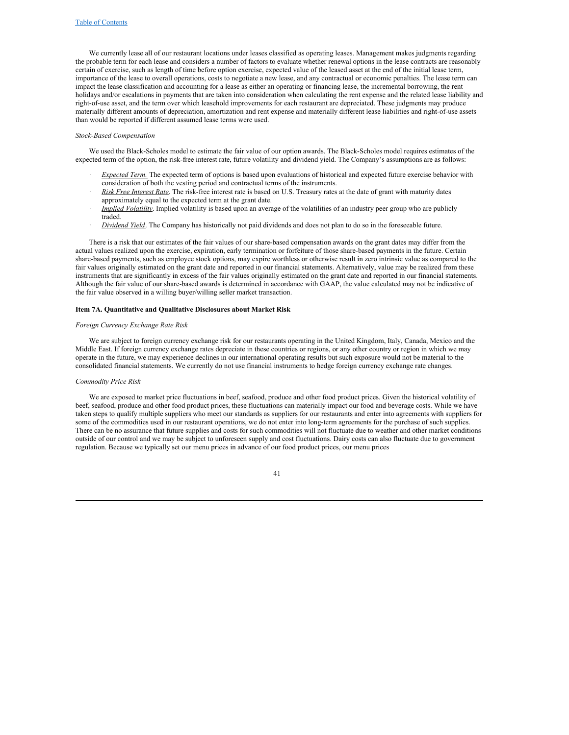We currently lease all of our restaurant locations under leases classified as operating leases. Management makes judgments regarding the probable term for each lease and considers a number of factors to evaluate whether renewal options in the lease contracts are reasonably certain of exercise, such as length of time before option exercise, expected value of the leased asset at the end of the initial lease term, importance of the lease to overall operations, costs to negotiate a new lease, and any contractual or economic penalties. The lease term can impact the lease classification and accounting for a lease as either an operating or financing lease, the incremental borrowing, the rent holidays and/or escalations in payments that are taken into consideration when calculating the rent expense and the related lease liability and right-of-use asset, and the term over which leasehold improvements for each restaurant are depreciated. These judgments may produce materially different amounts of depreciation, amortization and rent expense and materially different lease liabilities and right-of-use assets than would be reported if different assumed lease terms were used.

#### *Stock-Based Compensation*

We used the Black-Scholes model to estimate the fair value of our option awards. The Black-Scholes model requires estimates of the expected term of the option, the risk-free interest rate, future volatility and dividend yield. The Company's assumptions are as follows:

- Expected Term. The expected term of options is based upon evaluations of historical and expected future exercise behavior with consideration of both the vesting period and contractual terms of the instruments.
- · *Risk Free Interest Rate*. The risk-free interest rate is based on U.S. Treasury rates at the date of grant with maturity dates approximately equal to the expected term at the grant date.
- · *Implied Volatility*. Implied volatility is based upon an average of the volatilities of an industry peer group who are publicly traded.
- · *Dividend Yield*. The Company has historically not paid dividends and does not plan to do so in the foreseeable future.

There is a risk that our estimates of the fair values of our share-based compensation awards on the grant dates may differ from the actual values realized upon the exercise, expiration, early termination or forfeiture of those share-based payments in the future. Certain share-based payments, such as employee stock options, may expire worthless or otherwise result in zero intrinsic value as compared to the fair values originally estimated on the grant date and reported in our financial statements. Alternatively, value may be realized from these instruments that are significantly in excess of the fair values originally estimated on the grant date and reported in our financial statements. Although the fair value of our share-based awards is determined in accordance with GAAP, the value calculated may not be indicative of the fair value observed in a willing buyer/willing seller market transaction.

#### **Item 7A. Quantitative and Qualitative Disclosures about Market Risk**

## *Foreign Currency Exchange Rate Risk*

We are subject to foreign currency exchange risk for our restaurants operating in the United Kingdom, Italy, Canada, Mexico and the Middle East. If foreign currency exchange rates depreciate in these countries or regions, or any other country or region in which we may operate in the future, we may experience declines in our international operating results but such exposure would not be material to the consolidated financial statements. We currently do not use financial instruments to hedge foreign currency exchange rate changes.

## *Commodity Price Risk*

We are exposed to market price fluctuations in beef, seafood, produce and other food product prices. Given the historical volatility of beef, seafood, produce and other food product prices, these fluctuations can materially impact our food and beverage costs. While we have taken steps to qualify multiple suppliers who meet our standards as suppliers for our restaurants and enter into agreements with suppliers for some of the commodities used in our restaurant operations, we do not enter into long-term agreements for the purchase of such supplies. There can be no assurance that future supplies and costs for such commodities will not fluctuate due to weather and other market conditions outside of our control and we may be subject to unforeseen supply and cost fluctuations. Dairy costs can also fluctuate due to government regulation. Because we typically set our menu prices in advance of our food product prices, our menu prices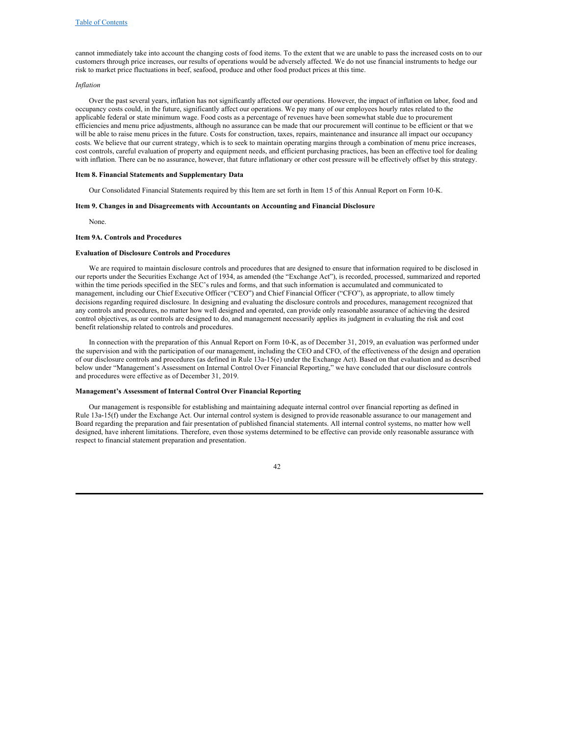cannot immediately take into account the changing costs of food items. To the extent that we are unable to pass the increased costs on to our customers through price increases, our results of operations would be adversely affected. We do not use financial instruments to hedge our risk to market price fluctuations in beef, seafood, produce and other food product prices at this time.

## *Inflation*

Over the past several years, inflation has not significantly affected our operations. However, the impact of inflation on labor, food and occupancy costs could, in the future, significantly affect our operations. We pay many of our employees hourly rates related to the applicable federal or state minimum wage. Food costs as a percentage of revenues have been somewhat stable due to procurement efficiencies and menu price adjustments, although no assurance can be made that our procurement will continue to be efficient or that we will be able to raise menu prices in the future. Costs for construction, taxes, repairs, maintenance and insurance all impact our occupancy costs. We believe that our current strategy, which is to seek to maintain operating margins through a combination of menu price increases, cost controls, careful evaluation of property and equipment needs, and efficient purchasing practices, has been an effective tool for dealing with inflation. There can be no assurance, however, that future inflationary or other cost pressure will be effectively offset by this strategy.

#### **Item 8. Financial Statements and Supplementary Data**

Our Consolidated Financial Statements required by this Item are set forth in Item 15 of this Annual Report on Form 10‑K.

#### **Item 9. Changes in and Disagreements with Accountants on Accounting and Financial Disclosure**

None.

#### **Item 9A. Controls and Procedures**

#### **Evaluation of Disclosure Controls and Procedures**

We are required to maintain disclosure controls and procedures that are designed to ensure that information required to be disclosed in our reports under the Securities Exchange Act of 1934, as amended (the "Exchange Act"), is recorded, processed, summarized and reported within the time periods specified in the SEC's rules and forms, and that such information is accumulated and communicated to management, including our Chief Executive Officer ("CEO") and Chief Financial Officer ("CFO"), as appropriate, to allow timely decisions regarding required disclosure. In designing and evaluating the disclosure controls and procedures, management recognized that any controls and procedures, no matter how well designed and operated, can provide only reasonable assurance of achieving the desired control objectives, as our controls are designed to do, and management necessarily applies its judgment in evaluating the risk and cost benefit relationship related to controls and procedures.

In connection with the preparation of this Annual Report on Form 10‑K, as of December 31, 2019, an evaluation was performed under the supervision and with the participation of our management, including the CEO and CFO, of the effectiveness of the design and operation of our disclosure controls and procedures (as defined in Rule 13a‑15(e) under the Exchange Act). Based on that evaluation and as described below under "Management's Assessment on Internal Control Over Financial Reporting," we have concluded that our disclosure controls and procedures were effective as of December 31, 2019.

# **Management's Assessment of Internal Control Over Financial Reporting**

Our management is responsible for establishing and maintaining adequate internal control over financial reporting as defined in Rule 13a‑15(f) under the Exchange Act. Our internal control system is designed to provide reasonable assurance to our management and Board regarding the preparation and fair presentation of published financial statements. All internal control systems, no matter how well designed, have inherent limitations. Therefore, even those systems determined to be effective can provide only reasonable assurance with respect to financial statement preparation and presentation.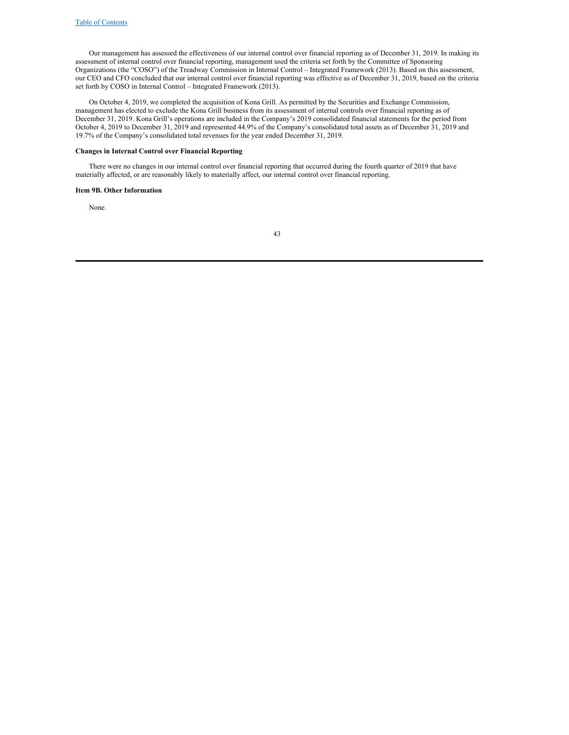Our management has assessed the effectiveness of our internal control over financial reporting as of December 31, 2019. In making its assessment of internal control over financial reporting, management used the criteria set forth by the Committee of Sponsoring Organizations (the "COSO") of the Treadway Commission in Internal Control – Integrated Framework (2013). Based on this assessment, our CEO and CFO concluded that our internal control over financial reporting was effective as of December 31, 2019, based on the criteria set forth by COSO in Internal Control – Integrated Framework (2013).

On October 4, 2019, we completed the acquisition of Kona Grill. As permitted by the Securities and Exchange Commission, management has elected to exclude the Kona Grill business from its assessment of internal controls over financial reporting as of December 31, 2019. Kona Grill's operations are included in the Company's 2019 consolidated financial statements for the period from October 4, 2019 to December 31, 2019 and represented 44.9% of the Company's consolidated total assets as of December 31, 2019 and 19.7% of the Company's consolidated total revenues for the year ended December 31, 2019.

#### **Changes in Internal Control over Financial Reporting**

There were no changes in our internal control over financial reporting that occurred during the fourth quarter of 2019 that have materially affected, or are reasonably likely to materially affect, our internal control over financial reporting.

## **Item 9B. Other Information**

None.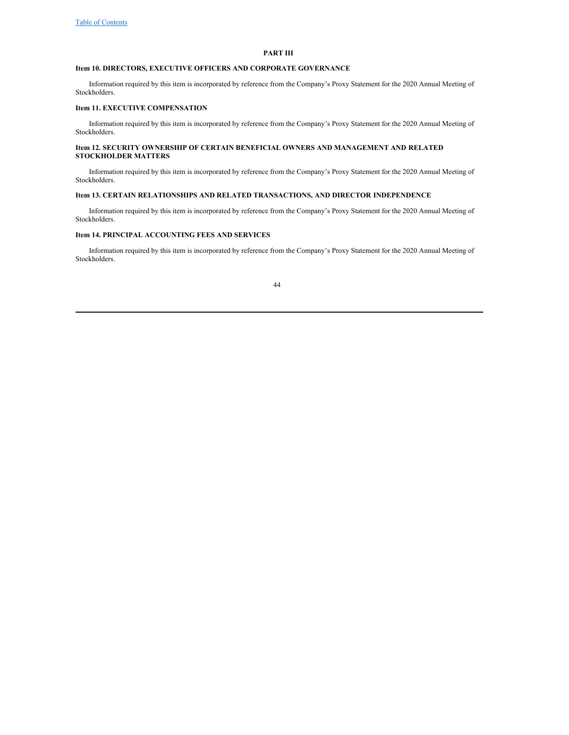## **PART III**

#### **Item 10. DIRECTORS, EXECUTIVE OFFICERS AND CORPORATE GOVERNANCE**

Information required by this item is incorporated by reference from the Company's Proxy Statement for the 2020 Annual Meeting of Stockholders.

# **Item 11. EXECUTIVE COMPENSATION**

Information required by this item is incorporated by reference from the Company's Proxy Statement for the 2020 Annual Meeting of Stockholders.

# **Item 12. SECURITY OWNERSHIP OF CERTAIN BENEFICIAL OWNERS AND MANAGEMENT AND RELATED STOCKHOLDER MATTERS**

Information required by this item is incorporated by reference from the Company's Proxy Statement for the 2020 Annual Meeting of Stockholders.

# **Item 13. CERTAIN RELATIONSHIPS AND RELATED TRANSACTIONS, AND DIRECTOR INDEPENDENCE**

Information required by this item is incorporated by reference from the Company's Proxy Statement for the 2020 Annual Meeting of Stockholders.

# **Item 14. PRINCIPAL ACCOUNTING FEES AND SERVICES**

Information required by this item is incorporated by reference from the Company's Proxy Statement for the 2020 Annual Meeting of Stockholders.

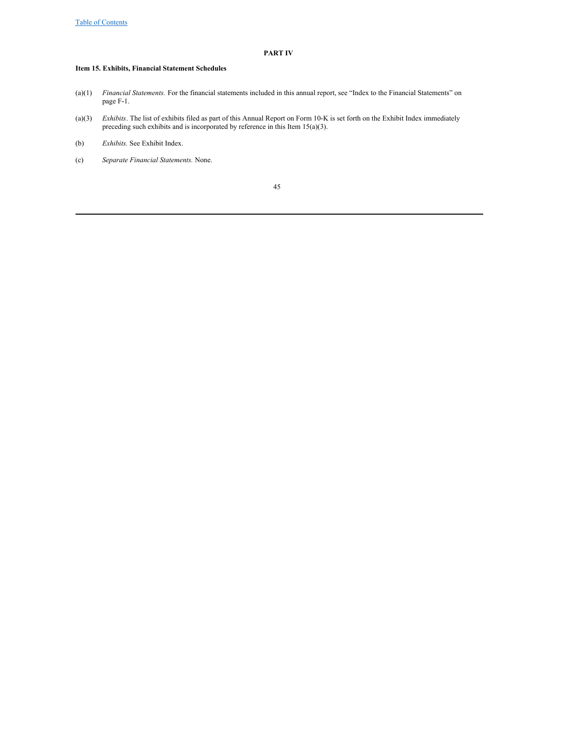# **PART IV**

# **Item 15. Exhibits, Financial Statement Schedules**

- (a)(1) *Financial Statements.* For the financial statements included in this annual report, see "Index to the Financial Statements" on page F‑1.
- (a)(3) *Exhibits*. The list of exhibits filed as part of this Annual Report on Form 10‑K is set forth on the Exhibit Index immediately preceding such exhibits and is incorporated by reference in this Item 15(a)(3).
- (b) *Exhibits.* See Exhibit Index.
- (c) *Separate Financial Statements.* None.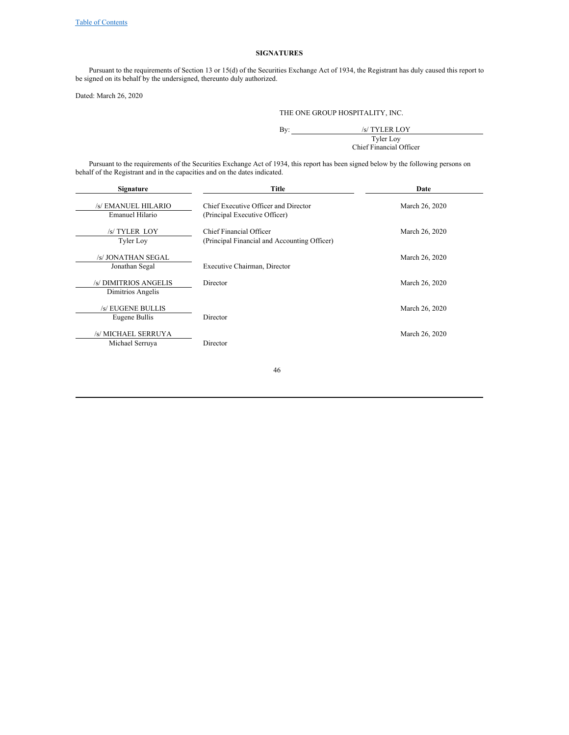# **SIGNATURES**

Pursuant to the requirements of Section 13 or 15(d) of the Securities Exchange Act of 1934, the Registrant has duly caused this report to be signed on its behalf by the undersigned, thereunto duly authorized.

Dated: March 26, 2020

# THE ONE GROUP HOSPITALITY, INC.

| By: | /s/ TYLER LOY           |
|-----|-------------------------|
|     | <b>Tyler Loy</b>        |
|     | Chief Financial Officer |

Pursuant to the requirements of the Securities Exchange Act of 1934, this report has been signed below by the following persons on behalf of the Registrant and in the capacities and on the dates indicated.

| <b>Signature</b>                           | <b>Title</b>                                                            | Date           |
|--------------------------------------------|-------------------------------------------------------------------------|----------------|
| /s/ EMANUEL HILARIO<br>Emanuel Hilario     | Chief Executive Officer and Director<br>(Principal Executive Officer)   | March 26, 2020 |
| /s/TYLER LOY<br><b>Tyler Loy</b>           | Chief Financial Officer<br>(Principal Financial and Accounting Officer) | March 26, 2020 |
| /s/ JONATHAN SEGAL<br>Jonathan Segal       | Executive Chairman, Director                                            | March 26, 2020 |
| /s/ DIMITRIOS ANGELIS<br>Dimitrios Angelis | Director                                                                | March 26, 2020 |
| /s/ EUGENE BULLIS<br>Eugene Bullis         | Director                                                                | March 26, 2020 |
| /s/ MICHAEL SERRUYA<br>Michael Serruya     | Director                                                                | March 26, 2020 |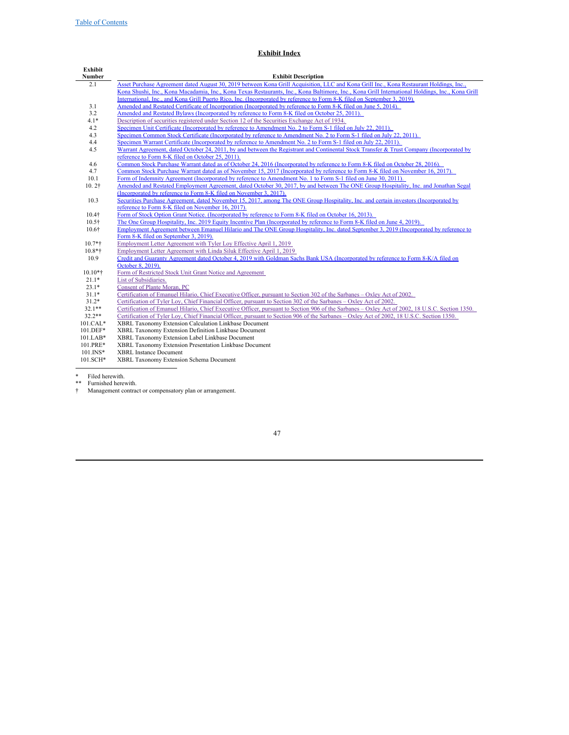# **Exhibit Index**

| Exhibit           |                                                                                                                                                  |
|-------------------|--------------------------------------------------------------------------------------------------------------------------------------------------|
| Number            | <b>Exhibit Description</b>                                                                                                                       |
| 2.1               | Asset Purchase Agreement dated August 30, 2019 between Kona Grill Acquisition, LLC and Kona Grill Inc., Kona Restaurant Holdings, Inc.,          |
|                   | Kona Shushi, Inc., Kona Macadamia, Inc., Kona Texas Restaurants, Inc., Kona Baltimore, Inc., Kona Grill International Holdings, Inc., Kona Grill |
|                   | International, Inc., and Kona Grill Puerto Rico, Inc. (Incorporated by reference to Form 8-K filed on September 3, 2019).                        |
| 3.1               | Amended and Restated Certificate of Incorporation (Incorporated by reference to Form 8-K filed on June 5, 2014).                                 |
| 3.2               | Amended and Restated Bylaws (Incorporated by reference to Form 8-K filed on October 25, 2011).                                                   |
| $4.1*$            | Description of securities registered under Section 12 of the Securities Exchange Act of 1934.                                                    |
| 4.2               | Specimen Unit Certificate (Incorporated by reference to Amendment No. 2 to Form S-1 filed on July 22, 2011).                                     |
| 4.3               | Specimen Common Stock Certificate (Incorporated by reference to Amendment No. 2 to Form S-1 filed on July 22, 2011).                             |
| 4.4               | Specimen Warrant Certificate (Incorporated by reference to Amendment No. 2 to Form S-1 filed on July 22, 2011).                                  |
| 4.5               | Warrant Agreement, dated October 24, 2011, by and between the Registrant and Continental Stock Transfer & Trust Company (Incorporated by         |
|                   | reference to Form 8-K filed on October 25, 2011).                                                                                                |
| 4.6               | Common Stock Purchase Warrant dated as of October 24, 2016 (Incorporated by reference to Form 8-K filed on October 28, 2016).                    |
| 4.7               | Common Stock Purchase Warrant dated as of November 15, 2017 (Incorporated by reference to Form 8-K filed on November 16, 2017).                  |
| 10.1              | Form of Indemnity Agreement (Incorporated by reference to Amendment No. 1 to Form S-1 filed on June 30, 2011).                                   |
| 10.2 <sup>†</sup> | Amended and Restated Employment Agreement, dated October 30, 2017, by and between The ONE Group Hospitality, Inc. and Jonathan Segal             |
|                   | (Incorporated by reference to Form 8-K filed on November 3, 2017).                                                                               |
| 10.3              | Securities Purchase Agreement, dated November 15, 2017, among The ONE Group Hospitality, Inc. and certain investors (Incorporated by             |
|                   | reference to Form 8-K filed on November 16, 2017).                                                                                               |
| $10.4\dagger$     | Form of Stock Option Grant Notice. (Incorporated by reference to Form 8-K filed on October 16, 2013).                                            |
| $10.5\dagger$     | The One Group Hospitality, Inc. 2019 Equity Incentive Plan (Incorporated by reference to Form 8-K filed on June 4, 2019).                        |
| $10.6\dagger$     | Employment Agreement between Emanuel Hilario and The ONE Group Hospitality, Inc. dated September 3, 2019 (Incorporated by reference to           |
|                   | Form 8-K filed on September 3, 2019).                                                                                                            |
| $10.7*$ †         | Employment Letter Agreement with Tyler Loy Effective April 1, 2019                                                                               |
| $10.8*$ †         | Employment Letter Agreement with Linda Siluk Effective April 1, 2019                                                                             |
| 10.9              | Credit and Guaranty Agreement dated October 4, 2019 with Goldman Sachs Bank USA (Incorporated by reference to Form 8-K/A filed on                |
|                   | October 8, 2019).                                                                                                                                |
| $10.10*$ †        | Form of Restricted Stock Unit Grant Notice and Agreement                                                                                         |
| $21.1*$           | List of Subsidiaries.                                                                                                                            |
| $23.1*$           | Consent of Plante Moran, PC                                                                                                                      |
| $31.1*$           | Certification of Emanuel Hilario, Chief Executive Officer, pursuant to Section 302 of the Sarbanes - Oxley Act of 2002.                          |
| $31.2*$           | Certification of Tyler Loy, Chief Financial Officer, pursuant to Section 302 of the Sarbanes – Oxley Act of 2002.                                |
| $32.1**$          | Certification of Emanuel Hilario, Chief Executive Officer, pursuant to Section 906 of the Sarbanes - Oxley Act of 2002, 18 U.S.C. Section 1350.  |
| $32.2**$          | Certification of Tyler Loy, Chief Financial Officer, pursuant to Section 906 of the Sarbanes – Oxley Act of 2002, 18 U.S.C. Section 1350.        |
| $101.CAL*$        | XBRL Taxonomy Extension Calculation Linkbase Document                                                                                            |
| 101.DEF*          | XBRL Taxonomy Extension Definition Linkbase Document                                                                                             |
| $101.LAB*$        | XBRL Taxonomy Extension Label Linkbase Document                                                                                                  |
| 101.PRE*          | XBRL Taxonomy Extension Presentation Linkbase Document                                                                                           |
| $101$ . INS*      | <b>XBRL</b> Instance Document                                                                                                                    |
| 101.SCH*          | XBRL Taxonomy Extension Schema Document                                                                                                          |

\* Filed herewith. \*\* Furnished herewith. † Management contract or compensatory plan or arrangement.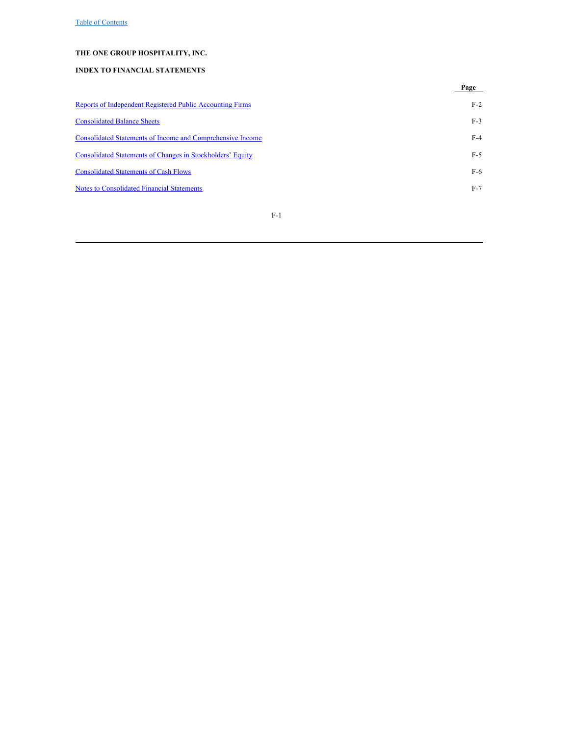# **THE ONE GROUP HOSPITALITY, INC.**

# **INDEX TO FINANCIAL STATEMENTS**

|                                                                   | Page  |
|-------------------------------------------------------------------|-------|
| Reports of Independent Registered Public Accounting Firms         | $F-2$ |
| <b>Consolidated Balance Sheets</b>                                | $F-3$ |
| Consolidated Statements of Income and Comprehensive Income        | $F-4$ |
| <b>Consolidated Statements of Changes in Stockholders' Equity</b> | $F-5$ |
| <b>Consolidated Statements of Cash Flows</b>                      | F-6   |
| <b>Notes to Consolidated Financial Statements</b>                 | $F-7$ |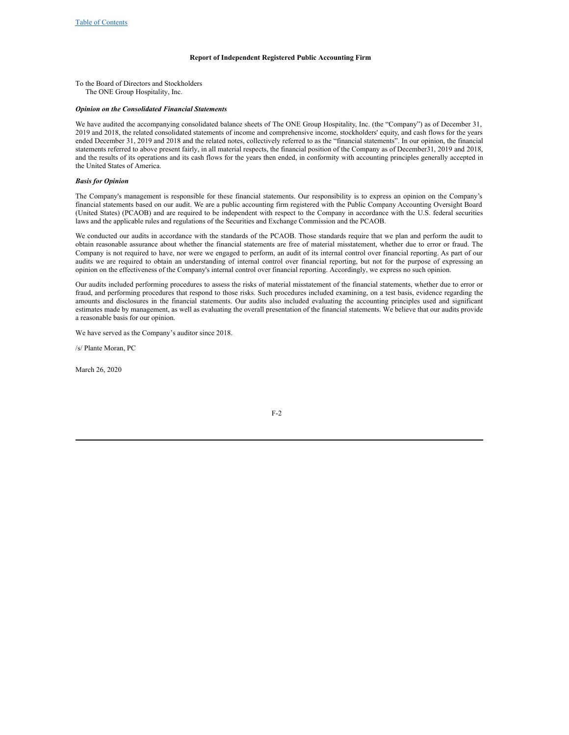## <span id="page-48-0"></span>**Report of Independent Registered Public Accounting Firm**

To the Board of Directors and Stockholders The ONE Group Hospitality, Inc.

#### *Opinion on the Consolidated Financial Statements*

We have audited the accompanying consolidated balance sheets of The ONE Group Hospitality, Inc. (the "Company") as of December 31, 2019 and 2018, the related consolidated statements of income and comprehensive income, stockholders' equity, and cash flows for the years ended December 31, 2019 and 2018 and the related notes, collectively referred to as the "financial statements". In our opinion, the financial statements referred to above present fairly, in all material respects, the financial position of the Company as of December31, 2019 and 2018, and the results of its operations and its cash flows for the years then ended, in conformity with accounting principles generally accepted in the United States of America.

## *Basis for Opinion*

The Company's management is responsible for these financial statements. Our responsibility is to express an opinion on the Company's financial statements based on our audit. We are a public accounting firm registered with the Public Company Accounting Oversight Board (United States) (PCAOB) and are required to be independent with respect to the Company in accordance with the U.S. federal securities laws and the applicable rules and regulations of the Securities and Exchange Commission and the PCAOB.

We conducted our audits in accordance with the standards of the PCAOB. Those standards require that we plan and perform the audit to obtain reasonable assurance about whether the financial statements are free of material misstatement, whether due to error or fraud. The Company is not required to have, nor were we engaged to perform, an audit of its internal control over financial reporting. As part of our audits we are required to obtain an understanding of internal control over financial reporting, but not for the purpose of expressing an opinion on the effectiveness of the Company's internal control over financial reporting. Accordingly, we express no such opinion.

Our audits included performing procedures to assess the risks of material misstatement of the financial statements, whether due to error or fraud, and performing procedures that respond to those risks. Such procedures included examining, on a test basis, evidence regarding the amounts and disclosures in the financial statements. Our audits also included evaluating the accounting principles used and significant estimates made by management, as well as evaluating the overall presentation of the financial statements. We believe that our audits provide a reasonable basis for our opinion.

We have served as the Company's auditor since 2018.

/s/ Plante Moran, PC

March 26, 2020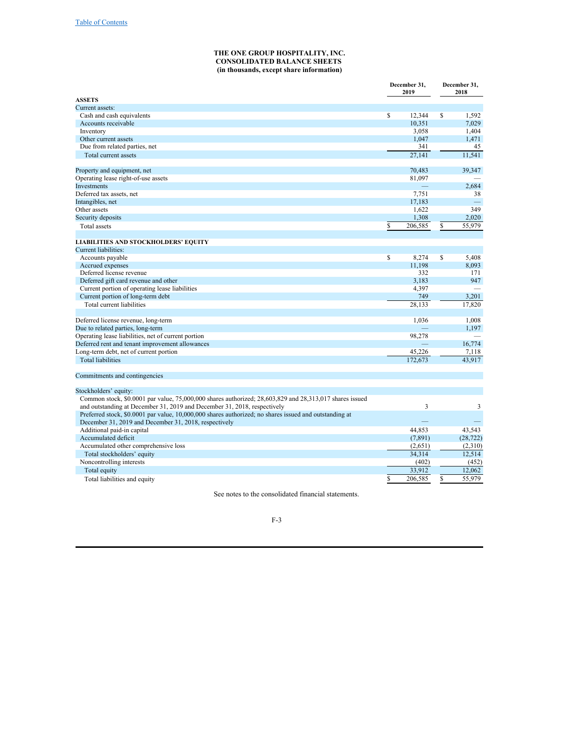### <span id="page-49-0"></span>**THE ONE GROUP HOSPITALITY, INC. CONSOLIDATED BALANCE SHEETS (in thousands, except share information)**

|                                                                                                         | December 31,<br>2019 |         | December 31,<br>2018 |
|---------------------------------------------------------------------------------------------------------|----------------------|---------|----------------------|
| <b>ASSETS</b>                                                                                           |                      |         |                      |
| Current assets:                                                                                         |                      |         |                      |
| Cash and cash equivalents                                                                               | \$                   | 12,344  | \$<br>1,592          |
| Accounts receivable                                                                                     |                      | 10,351  | 7,029                |
| Inventory                                                                                               |                      | 3,058   | 1,404                |
| Other current assets                                                                                    |                      | 1,047   | 1,471                |
| Due from related parties, net                                                                           |                      | 341     | 45                   |
| Total current assets                                                                                    |                      | 27,141  | 11,541               |
| Property and equipment, net                                                                             |                      | 70.483  | 39,347               |
| Operating lease right-of-use assets                                                                     |                      | 81,097  |                      |
| <b>Investments</b>                                                                                      |                      |         | 2.684                |
| Deferred tax assets, net                                                                                |                      | 7,751   | 38                   |
| Intangibles, net                                                                                        |                      | 17,183  | ÷,                   |
| Other assets                                                                                            |                      | 1.622   | 349                  |
| Security deposits                                                                                       |                      | 1,308   | 2,020                |
| <b>Total</b> assets                                                                                     | S                    | 206,585 | \$<br>55,979         |
| <b>LIABILITIES AND STOCKHOLDERS' EQUITY</b>                                                             |                      |         |                      |
| Current liabilities:                                                                                    |                      |         |                      |
| Accounts payable                                                                                        | \$                   | 8,274   | \$<br>5,408          |
| Accrued expenses                                                                                        |                      | 11.198  | 8.093                |
| Deferred license revenue                                                                                |                      | 332     | 171                  |
| Deferred gift card revenue and other                                                                    |                      | 3,183   | 947                  |
| Current portion of operating lease liabilities                                                          |                      | 4,397   |                      |
| Current portion of long-term debt                                                                       |                      | 749     | 3.201                |
| Total current liabilities                                                                               |                      | 28,133  | 17,820               |
| Deferred license revenue, long-term                                                                     |                      | 1,036   | 1,008                |
| Due to related parties, long-term                                                                       |                      |         | 1,197                |
| Operating lease liabilities, net of current portion                                                     |                      | 98,278  |                      |
| Deferred rent and tenant improvement allowances                                                         |                      |         | 16,774               |
| Long-term debt, net of current portion                                                                  |                      | 45,226  | 7,118                |
| <b>Total liabilities</b>                                                                                |                      | 172,673 | 43,917               |
| Commitments and contingencies                                                                           |                      |         |                      |
| Stockholders' equity:                                                                                   |                      |         |                      |
| Common stock, \$0.0001 par value, 75,000,000 shares authorized; 28,603,829 and 28,313,017 shares issued |                      |         |                      |
| and outstanding at December 31, 2019 and December 31, 2018, respectively                                |                      | 3       | 3                    |
| Preferred stock, \$0.0001 par value, 10,000,000 shares authorized; no shares issued and outstanding at  |                      |         |                      |
| December 31, 2019 and December 31, 2018, respectively                                                   |                      |         |                      |
| Additional paid-in capital                                                                              |                      | 44.853  | 43,543               |
| Accumulated deficit                                                                                     |                      | (7,891) | (28, 722)            |
| Accumulated other comprehensive loss                                                                    |                      | (2,651) | (2,310)              |
| Total stockholders' equity                                                                              |                      | 34,314  | 12,514               |
| Noncontrolling interests                                                                                |                      | (402)   | (452)                |
| Total equity                                                                                            |                      | 33,912  | 12,062               |
| Total liabilities and equity                                                                            | \$                   | 206,585 | \$<br>55,979         |

See notes to the consolidated financial statements.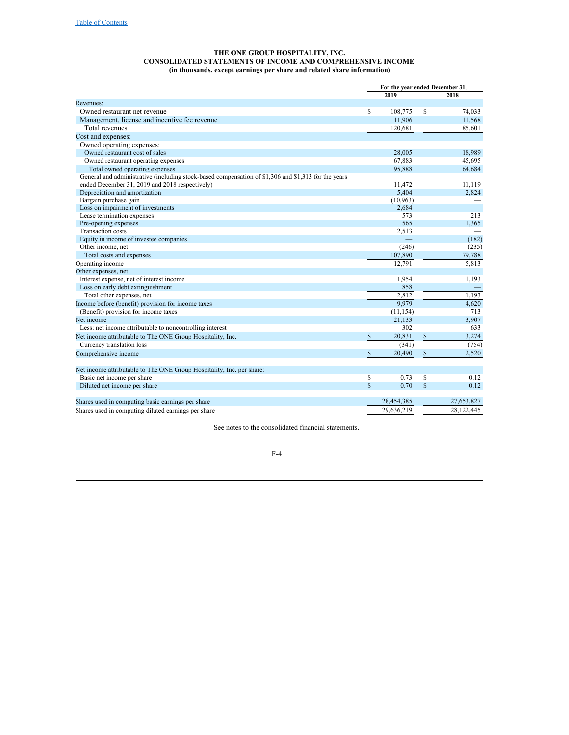## <span id="page-50-0"></span>**THE ONE GROUP HOSPITALITY, INC. CONSOLIDATED STATEMENTS OF INCOME AND COMPREHENSIVE INCOME (in thousands, except earnings per share and related share information)**

|                                                                                                     | For the year ended December 31, |            |    |            |
|-----------------------------------------------------------------------------------------------------|---------------------------------|------------|----|------------|
|                                                                                                     |                                 | 2019       |    | 2018       |
| Revenues:                                                                                           |                                 |            |    |            |
| Owned restaurant net revenue                                                                        | S                               | 108,775    | \$ | 74,033     |
| Management, license and incentive fee revenue                                                       |                                 | 11.906     |    | 11.568     |
| Total revenues                                                                                      |                                 | 120.681    |    | 85,601     |
| Cost and expenses:                                                                                  |                                 |            |    |            |
| Owned operating expenses:                                                                           |                                 |            |    |            |
| Owned restaurant cost of sales                                                                      |                                 | 28,005     |    | 18.989     |
| Owned restaurant operating expenses                                                                 |                                 | 67,883     |    | 45,695     |
| Total owned operating expenses                                                                      |                                 | 95,888     |    | 64,684     |
| General and administrative (including stock-based compensation of \$1,306 and \$1,313 for the years |                                 |            |    |            |
| ended December 31, 2019 and 2018 respectively)                                                      |                                 | 11.472     |    | 11,119     |
| Depreciation and amortization                                                                       |                                 | 5,404      |    | 2,824      |
| Bargain purchase gain                                                                               |                                 | (10, 963)  |    |            |
| Loss on impairment of investments                                                                   |                                 | 2,684      |    | 二          |
| Lease termination expenses                                                                          |                                 | 573        |    | 213        |
| Pre-opening expenses                                                                                |                                 | 565        |    | 1,365      |
| <b>Transaction</b> costs                                                                            |                                 | 2,513      |    |            |
| Equity in income of investee companies                                                              |                                 |            |    | (182)      |
| Other income, net                                                                                   |                                 | (246)      |    | (235)      |
| Total costs and expenses                                                                            |                                 | 107,890    |    | 79,788     |
| Operating income                                                                                    |                                 | 12,791     |    | 5,813      |
| Other expenses, net:                                                                                |                                 |            |    |            |
| Interest expense, net of interest income                                                            |                                 | 1,954      |    | 1,193      |
| Loss on early debt extinguishment                                                                   |                                 | 858        |    |            |
| Total other expenses, net                                                                           |                                 | 2.812      |    | 1.193      |
| Income before (benefit) provision for income taxes                                                  |                                 | 9.979      |    | 4,620      |
| (Benefit) provision for income taxes                                                                |                                 | (11, 154)  |    | 713        |
| Net income                                                                                          |                                 | 21,133     |    | 3,907      |
| Less: net income attributable to noncontrolling interest                                            |                                 | 302        |    | 633        |
| Net income attributable to The ONE Group Hospitality, Inc.                                          | $\mathbf{\hat{s}}$              | 20,831     | \$ | 3,274      |
| Currency translation loss                                                                           |                                 | (341)      |    | (754)      |
| Comprehensive income                                                                                | $\mathbf S$                     | 20,490     | \$ | 2,520      |
|                                                                                                     |                                 |            |    |            |
| Net income attributable to The ONE Group Hospitality, Inc. per share:                               |                                 |            |    |            |
| Basic net income per share                                                                          | \$                              | 0.73       | \$ | 0.12       |
| Diluted net income per share                                                                        | \$                              | 0.70       | \$ | 0.12       |
|                                                                                                     |                                 |            |    |            |
| Shares used in computing basic earnings per share                                                   |                                 | 28,454,385 |    | 27,653,827 |
| Shares used in computing diluted earnings per share                                                 |                                 | 29,636,219 |    | 28,122,445 |

See notes to the consolidated financial statements.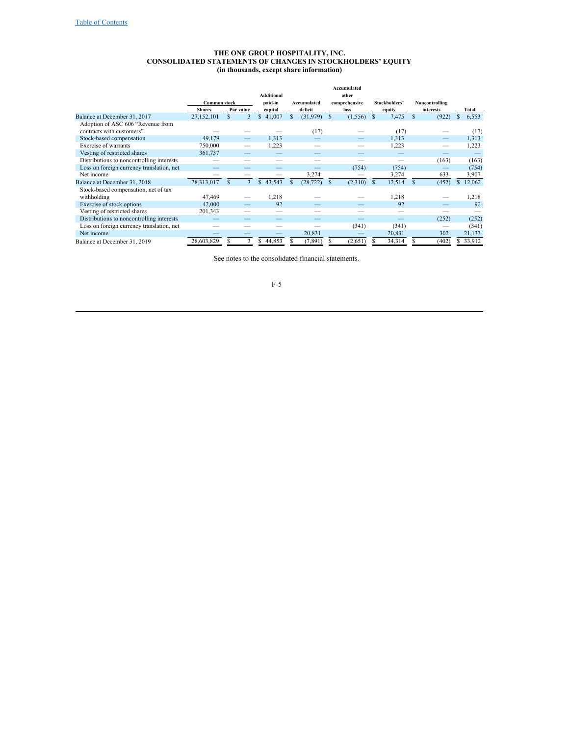## <span id="page-51-0"></span>**THE ONE GROUP HOSPITALITY, INC. CONSOLIDATED STATEMENTS OF CHANGES IN STOCKHOLDERS' EQUITY (in thousands, except share information)**

|                                           |                     |           |                        |             |              | Accumulated   |               |               |   |                |   |        |
|-------------------------------------------|---------------------|-----------|------------------------|-------------|--------------|---------------|---------------|---------------|---|----------------|---|--------|
|                                           |                     |           | <b>Additional</b>      |             |              | other         |               |               |   |                |   |        |
|                                           | <b>Common stock</b> |           | paid-in                | Accumulated |              | comprehensive |               | Stockholders' |   | Noncontrolling |   |        |
|                                           | <b>Shares</b>       | Par value | capital                | deficit     |              | loss          |               | equity        |   | interests      |   | Total  |
| Balance at December 31, 2017              | 27,152,101          | 3         | $\mathbb{S}$<br>41,007 | (31,979)    | <sup>S</sup> | (1, 556)      | <sup>\$</sup> | 7,475         | S | (922)          | S | 6,553  |
| Adoption of ASC 606 "Revenue from         |                     |           |                        |             |              |               |               |               |   |                |   |        |
| contracts with customers"                 |                     |           |                        | (17)        |              |               |               | (17)          |   |                |   | (17)   |
| Stock-based compensation                  | 49,179              |           | 1,313                  |             |              |               |               | 1,313         |   |                |   | 1,313  |
| Exercise of warrants                      | 750,000             |           | 1,223                  |             |              |               |               | 1,223         |   |                |   | 1,223  |
| Vesting of restricted shares              | 361,737             |           |                        |             |              |               |               |               |   |                |   |        |
| Distributions to noncontrolling interests |                     |           |                        |             |              |               |               |               |   | (163)          |   | (163)  |
| Loss on foreign currency translation, net |                     |           |                        |             |              | (754)         |               | (754)         |   |                |   | (754)  |
| Net income                                |                     |           |                        | 3,274       |              |               |               | 3,274         |   | 633            |   | 3,907  |
| Balance at December 31, 2018              | 28,313,017          | 3         | 43,543<br>\$           | (28, 722)   |              | (2,310)       |               | 12,514        |   | (452)          |   | 12,062 |
| Stock-based compensation, net of tax      |                     |           |                        |             |              |               |               |               |   |                |   |        |
| withholding                               | 47,469              |           | 1,218                  |             |              |               |               | 1,218         |   |                |   | 1,218  |
| Exercise of stock options                 | 42,000              |           | 92                     |             |              |               |               | 92            |   |                |   | 92     |
| Vesting of restricted shares              | 201,343             |           |                        |             |              |               |               | __            |   | __             |   |        |
| Distributions to noncontrolling interests |                     |           |                        |             |              |               |               |               |   | (252)          |   | (252)  |
| Loss on foreign currency translation, net |                     |           |                        |             |              | (341)         |               | (341)         |   |                |   | (341)  |
| Net income                                |                     |           |                        | 20,831      |              |               |               | 20,831        |   | 302            |   | 21,133 |
| Balance at December 31, 2019              | 28,603,829          | 3         | 44,853                 | (7, 891)    |              | (2,651)       |               | 34,314        |   | (402)          |   | 33,912 |

See notes to the consolidated financial statements.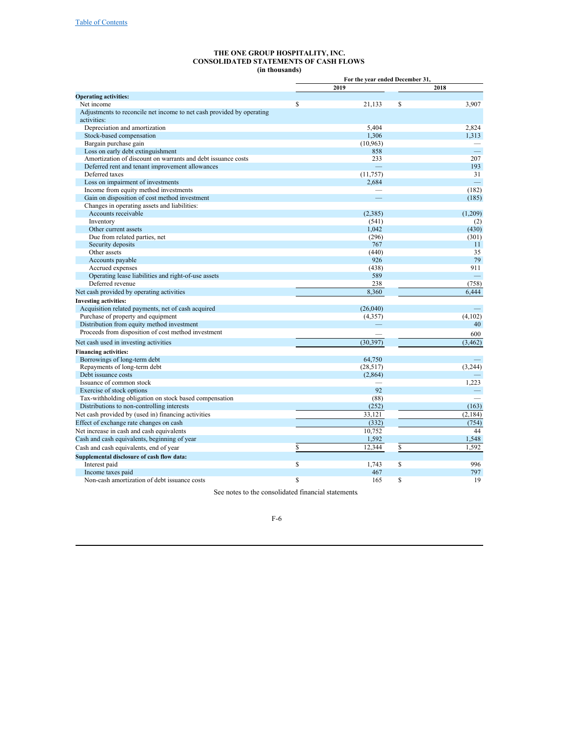### **THE ONE GROUP HOSPITALITY, INC. CONSOLIDATED STATEMENTS OF CASH FLOWS (in thousands)**

<span id="page-52-0"></span>

|                                                                       |             | For the year ended December 31, |             |
|-----------------------------------------------------------------------|-------------|---------------------------------|-------------|
|                                                                       |             | 2019                            | 2018        |
| <b>Operating activities:</b>                                          |             |                                 |             |
| Net income                                                            | $\mathbf S$ | 21,133                          | \$<br>3,907 |
| Adjustments to reconcile net income to net cash provided by operating |             |                                 |             |
| activities:                                                           |             |                                 |             |
| Depreciation and amortization                                         |             | 5,404                           | 2,824       |
| Stock-based compensation                                              |             | 1,306                           | 1,313       |
| Bargain purchase gain                                                 |             | (10, 963)                       |             |
| Loss on early debt extinguishment                                     |             | 858                             |             |
| Amortization of discount on warrants and debt issuance costs          |             | 233                             | 207         |
| Deferred rent and tenant improvement allowances                       |             |                                 | 193         |
| Deferred taxes                                                        |             | (11, 757)                       | 31          |
| Loss on impairment of investments                                     |             | 2,684                           | $\equiv$    |
| Income from equity method investments                                 |             |                                 | (182)       |
| Gain on disposition of cost method investment                         |             |                                 | (185)       |
| Changes in operating assets and liabilities:                          |             |                                 |             |
| Accounts receivable                                                   |             | (2,385)                         | (1,209)     |
| Inventory                                                             |             | (541)                           | (2)         |
| Other current assets                                                  |             | 1,042                           | (430)       |
| Due from related parties, net                                         |             | (296)                           | (301)       |
| Security deposits                                                     |             | 767                             | 11          |
| Other assets                                                          |             | (440)                           | 35          |
| Accounts payable                                                      |             | 926                             | 79          |
| Accrued expenses                                                      |             | (438)                           | 911         |
| Operating lease liabilities and right-of-use assets                   |             | 589                             |             |
| Deferred revenue                                                      |             | 238                             | (758)       |
| Net cash provided by operating activities                             |             | 8,360                           | 6,444       |
| <b>Investing activities:</b>                                          |             |                                 |             |
| Acquisition related payments, net of cash acquired                    |             | (26,040)                        |             |
| Purchase of property and equipment                                    |             | (4,357)                         | (4,102)     |
| Distribution from equity method investment                            |             |                                 | 40          |
| Proceeds from disposition of cost method investment                   |             |                                 | 600         |
| Net cash used in investing activities                                 |             | (30, 397)                       | (3, 462)    |
| <b>Financing activities:</b>                                          |             |                                 |             |
| Borrowings of long-term debt                                          |             | 64,750                          |             |
| Repayments of long-term debt                                          |             | (28, 517)                       | (3,244)     |
| Debt issuance costs                                                   |             | (2,864)                         |             |
| Issuance of common stock                                              |             |                                 | 1,223       |
| Exercise of stock options                                             |             | 92                              |             |
| Tax-withholding obligation on stock based compensation                |             | (88)                            |             |
| Distributions to non-controlling interests                            |             | (252)                           | (163)       |
| Net cash provided by (used in) financing activities                   |             | 33,121                          | (2, 184)    |
| Effect of exchange rate changes on cash                               |             | (332)                           | (754)       |
| Net increase in cash and cash equivalents                             |             | 10.752                          | 44          |
| Cash and cash equivalents, beginning of year                          |             | 1,592                           | 1,548       |
| Cash and cash equivalents, end of year                                | \$          | 12,344                          | \$<br>1.592 |
| Supplemental disclosure of cash flow data:                            |             |                                 |             |
| Interest paid                                                         | \$          | 1.743                           | \$<br>996   |
| Income taxes paid                                                     |             | 467                             | 797         |
| Non-cash amortization of debt issuance costs                          | \$          | 165                             | \$<br>19    |
|                                                                       |             |                                 |             |

See notes to the consolidated financial statements.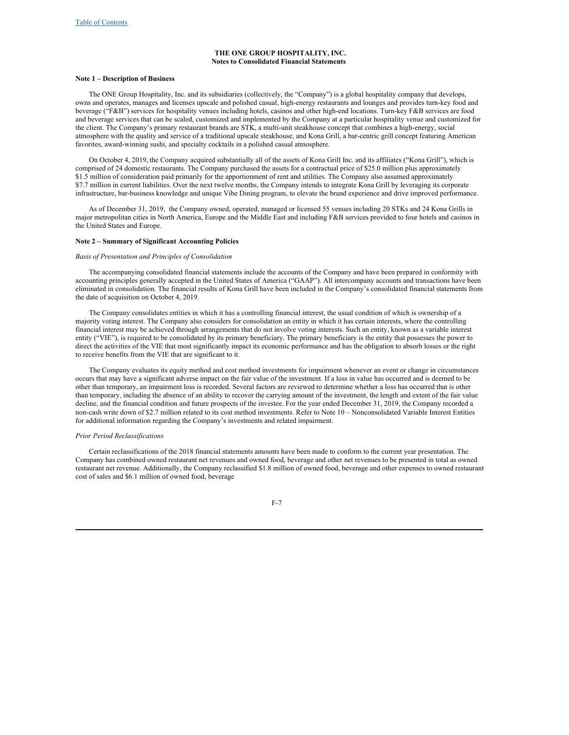## <span id="page-53-0"></span>**THE ONE GROUP HOSPITALITY, INC. Notes to Consolidated Financial Statements**

## **Note 1 – Description of Business**

The ONE Group Hospitality, Inc. and its subsidiaries (collectively, the "Company") is a global hospitality company that develops, owns and operates, manages and licenses upscale and polished casual, high-energy restaurants and lounges and provides turn-key food and beverage ("F&B") services for hospitality venues including hotels, casinos and other high-end locations. Turn-key F&B services are food and beverage services that can be scaled, customized and implemented by the Company at a particular hospitality venue and customized for the client. The Company's primary restaurant brands are STK, a multi-unit steakhouse concept that combines a high-energy, social atmosphere with the quality and service of a traditional upscale steakhouse, and Kona Grill, a bar-centric grill concept featuring American favorites, award-winning sushi, and specialty cocktails in a polished casual atmosphere.

On October 4, 2019, the Company acquired substantially all of the assets of Kona Grill Inc. and its affiliates ("Kona Grill"), which is comprised of 24 domestic restaurants. The Company purchased the assets for a contractual price of \$25.0 million plus approximately \$1.5 million of consideration paid primarily for the apportionment of rent and utilities. The Company also assumed approximately \$7.7 million in current liabilities. Over the next twelve months, the Company intends to integrate Kona Grill by leveraging its corporate infrastructure, bar-business knowledge and unique Vibe Dining program, to elevate the brand experience and drive improved performance.

As of December 31, 2019, the Company owned, operated, managed or licensed 55 venues including 20 STKs and 24 Kona Grills in major metropolitan cities in North America, Europe and the Middle East and including F&B services provided to four hotels and casinos in the United States and Europe.

#### **Note 2 – Summary of Significant Accounting Policies**

#### *Basis of Presentation and Principles of Consolidation*

The accompanying consolidated financial statements include the accounts of the Company and have been prepared in conformity with accounting principles generally accepted in the United States of America ("GAAP"). All intercompany accounts and transactions have been eliminated in consolidation. The financial results of Kona Grill have been included in the Company's consolidated financial statements from the date of acquisition on October 4, 2019.

The Company consolidates entities in which it has a controlling financial interest, the usual condition of which is ownership of a majority voting interest. The Company also considers for consolidation an entity in which it has certain interests, where the controlling financial interest may be achieved through arrangements that do not involve voting interests. Such an entity, known as a variable interest entity ("VIE"), is required to be consolidated by its primary beneficiary. The primary beneficiary is the entity that possesses the power to direct the activities of the VIE that most significantly impact its economic performance and has the obligation to absorb losses or the right to receive benefits from the VIE that are significant to it.

The Company evaluates its equity method and cost method investments for impairment whenever an event or change in circumstances occurs that may have a significant adverse impact on the fair value of the investment. If a loss in value has occurred and is deemed to be other than temporary, an impairment loss is recorded. Several factors are reviewed to determine whether a loss has occurred that is other than temporary, including the absence of an ability to recover the carrying amount of the investment, the length and extent of the fair value decline, and the financial condition and future prospects of the investee. For the year ended December 31, 2019, the Company recorded a non-cash write down of \$2.7 million related to its cost method investments. Refer to Note 10 – Nonconsolidated Variable Interest Entities for additional information regarding the Company's investments and related impairment.

#### *Prior Period Reclassifications*

Certain reclassifications of the 2018 financial statements amounts have been made to conform to the current year presentation. The Company has combined owned restaurant net revenues and owned food, beverage and other net revenues to be presented in total as owned restaurant net revenue. Additionally, the Company reclassified \$1.8 million of owned food, beverage and other expenses to owned restaurant cost of sales and \$6.1 million of owned food, beverage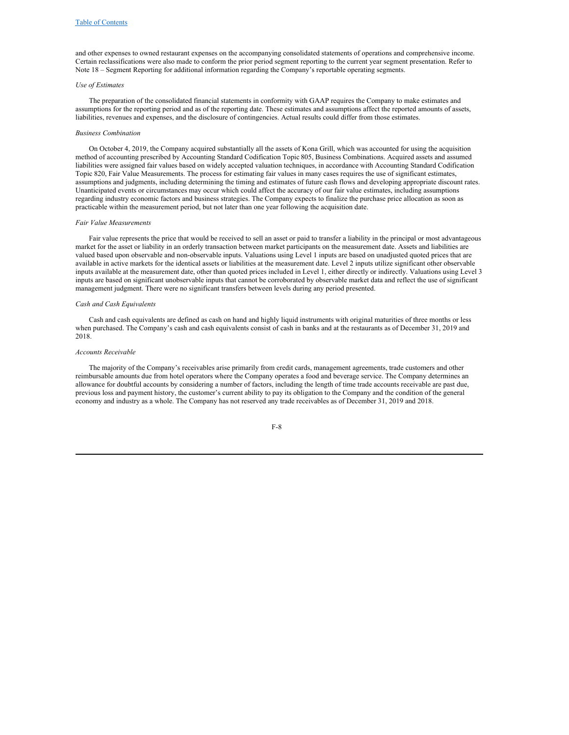and other expenses to owned restaurant expenses on the accompanying consolidated statements of operations and comprehensive income. Certain reclassifications were also made to conform the prior period segment reporting to the current year segment presentation. Refer to Note 18 – Segment Reporting for additional information regarding the Company's reportable operating segments.

## *Use of Estimates*

The preparation of the consolidated financial statements in conformity with GAAP requires the Company to make estimates and assumptions for the reporting period and as of the reporting date. These estimates and assumptions affect the reported amounts of assets, liabilities, revenues and expenses, and the disclosure of contingencies. Actual results could differ from those estimates.

#### *Business Combination*

On October 4, 2019, the Company acquired substantially all the assets of Kona Grill, which was accounted for using the acquisition method of accounting prescribed by Accounting Standard Codification Topic 805, Business Combinations. Acquired assets and assumed liabilities were assigned fair values based on widely accepted valuation techniques, in accordance with Accounting Standard Codification Topic 820, Fair Value Measurements. The process for estimating fair values in many cases requires the use of significant estimates, assumptions and judgments, including determining the timing and estimates of future cash flows and developing appropriate discount rates. Unanticipated events or circumstances may occur which could affect the accuracy of our fair value estimates, including assumptions regarding industry economic factors and business strategies. The Company expects to finalize the purchase price allocation as soon as practicable within the measurement period, but not later than one year following the acquisition date.

## *Fair Value Measurements*

Fair value represents the price that would be received to sell an asset or paid to transfer a liability in the principal or most advantageous market for the asset or liability in an orderly transaction between market participants on the measurement date. Assets and liabilities are valued based upon observable and non-observable inputs. Valuations using Level 1 inputs are based on unadjusted quoted prices that are available in active markets for the identical assets or liabilities at the measurement date. Level 2 inputs utilize significant other observable inputs available at the measurement date, other than quoted prices included in Level 1, either directly or indirectly. Valuations using Level 3 inputs are based on significant unobservable inputs that cannot be corroborated by observable market data and reflect the use of significant management judgment. There were no significant transfers between levels during any period presented.

#### *Cash and Cash Equivalents*

Cash and cash equivalents are defined as cash on hand and highly liquid instruments with original maturities of three months or less when purchased. The Company's cash and cash equivalents consist of cash in banks and at the restaurants as of December 31, 2019 and 2018.

#### *Accounts Receivable*

The majority of the Company's receivables arise primarily from credit cards, management agreements, trade customers and other reimbursable amounts due from hotel operators where the Company operates a food and beverage service. The Company determines an allowance for doubtful accounts by considering a number of factors, including the length of time trade accounts receivable are past due, previous loss and payment history, the customer's current ability to pay its obligation to the Company and the condition of the general economy and industry as a whole. The Company has not reserved any trade receivables as of December 31, 2019 and 2018.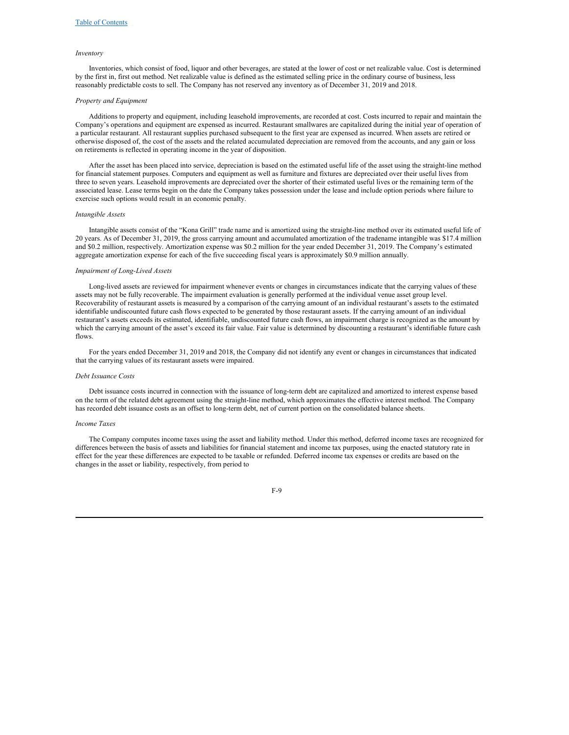#### *Inventory*

Inventories, which consist of food, liquor and other beverages, are stated at the lower of cost or net realizable value. Cost is determined by the first in, first out method. Net realizable value is defined as the estimated selling price in the ordinary course of business, less reasonably predictable costs to sell. The Company has not reserved any inventory as of December 31, 2019 and 2018.

## *Property and Equipment*

Additions to property and equipment, including leasehold improvements, are recorded at cost. Costs incurred to repair and maintain the Company's operations and equipment are expensed as incurred. Restaurant smallwares are capitalized during the initial year of operation of a particular restaurant. All restaurant supplies purchased subsequent to the first year are expensed as incurred. When assets are retired or otherwise disposed of, the cost of the assets and the related accumulated depreciation are removed from the accounts, and any gain or loss on retirements is reflected in operating income in the year of disposition.

After the asset has been placed into service, depreciation is based on the estimated useful life of the asset using the straight-line method for financial statement purposes. Computers and equipment as well as furniture and fixtures are depreciated over their useful lives from three to seven years. Leasehold improvements are depreciated over the shorter of their estimated useful lives or the remaining term of the associated lease. Lease terms begin on the date the Company takes possession under the lease and include option periods where failure to exercise such options would result in an economic penalty.

#### *Intangible Assets*

Intangible assets consist of the "Kona Grill" trade name and is amortized using the straight-line method over its estimated useful life of 20 years. As of December 31, 2019, the gross carrying amount and accumulated amortization of the tradename intangible was \$17.4 million and \$0.2 million, respectively. Amortization expense was \$0.2 million for the year ended December 31, 2019. The Company's estimated aggregate amortization expense for each of the five succeeding fiscal years is approximately \$0.9 million annually.

#### *Impairment of Long-Lived Assets*

Long-lived assets are reviewed for impairment whenever events or changes in circumstances indicate that the carrying values of these assets may not be fully recoverable. The impairment evaluation is generally performed at the individual venue asset group level. Recoverability of restaurant assets is measured by a comparison of the carrying amount of an individual restaurant's assets to the estimated identifiable undiscounted future cash flows expected to be generated by those restaurant assets. If the carrying amount of an individual restaurant's assets exceeds its estimated, identifiable, undiscounted future cash flows, an impairment charge is recognized as the amount by which the carrying amount of the asset's exceed its fair value. Fair value is determined by discounting a restaurant's identifiable future cash flows.

For the years ended December 31, 2019 and 2018, the Company did not identify any event or changes in circumstances that indicated that the carrying values of its restaurant assets were impaired.

#### *Debt Issuance Costs*

Debt issuance costs incurred in connection with the issuance of long-term debt are capitalized and amortized to interest expense based on the term of the related debt agreement using the straight-line method, which approximates the effective interest method. The Company has recorded debt issuance costs as an offset to long-term debt, net of current portion on the consolidated balance sheets.

#### *Income Taxes*

The Company computes income taxes using the asset and liability method. Under this method, deferred income taxes are recognized for differences between the basis of assets and liabilities for financial statement and income tax purposes, using the enacted statutory rate in effect for the year these differences are expected to be taxable or refunded. Deferred income tax expenses or credits are based on the changes in the asset or liability, respectively, from period to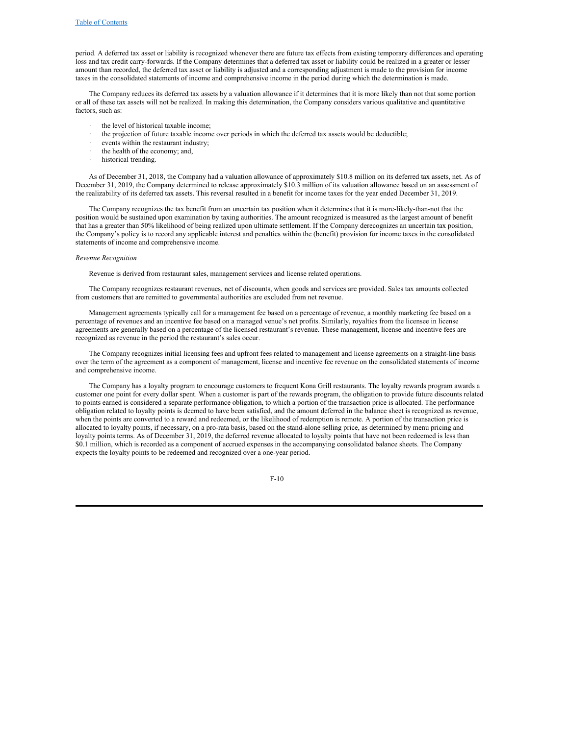period. A deferred tax asset or liability is recognized whenever there are future tax effects from existing temporary differences and operating loss and tax credit carry-forwards. If the Company determines that a deferred tax asset or liability could be realized in a greater or lesser amount than recorded, the deferred tax asset or liability is adjusted and a corresponding adjustment is made to the provision for income taxes in the consolidated statements of income and comprehensive income in the period during which the determination is made.

The Company reduces its deferred tax assets by a valuation allowance if it determines that it is more likely than not that some portion or all of these tax assets will not be realized. In making this determination, the Company considers various qualitative and quantitative factors, such as:

- · the level of historical taxable income;
- · the projection of future taxable income over periods in which the deferred tax assets would be deductible;
- events within the restaurant industry;
- the health of the economy; and,
- historical trending.

As of December 31, 2018, the Company had a valuation allowance of approximately \$10.8 million on its deferred tax assets, net. As of December 31, 2019, the Company determined to release approximately \$10.3 million of its valuation allowance based on an assessment of the realizability of its deferred tax assets. This reversal resulted in a benefit for income taxes for the year ended December 31, 2019.

The Company recognizes the tax benefit from an uncertain tax position when it determines that it is more-likely-than-not that the position would be sustained upon examination by taxing authorities. The amount recognized is measured as the largest amount of benefit that has a greater than 50% likelihood of being realized upon ultimate settlement. If the Company derecognizes an uncertain tax position, the Company's policy is to record any applicable interest and penalties within the (benefit) provision for income taxes in the consolidated statements of income and comprehensive income.

#### *Revenue Recognition*

Revenue is derived from restaurant sales, management services and license related operations.

The Company recognizes restaurant revenues, net of discounts, when goods and services are provided. Sales tax amounts collected from customers that are remitted to governmental authorities are excluded from net revenue.

Management agreements typically call for a management fee based on a percentage of revenue, a monthly marketing fee based on a percentage of revenues and an incentive fee based on a managed venue's net profits. Similarly, royalties from the licensee in license agreements are generally based on a percentage of the licensed restaurant's revenue. These management, license and incentive fees are recognized as revenue in the period the restaurant's sales occur.

The Company recognizes initial licensing fees and upfront fees related to management and license agreements on a straight-line basis over the term of the agreement as a component of management, license and incentive fee revenue on the consolidated statements of income and comprehensive income.

The Company has a loyalty program to encourage customers to frequent Kona Grill restaurants. The loyalty rewards program awards a customer one point for every dollar spent. When a customer is part of the rewards program, the obligation to provide future discounts related to points earned is considered a separate performance obligation, to which a portion of the transaction price is allocated. The performance obligation related to loyalty points is deemed to have been satisfied, and the amount deferred in the balance sheet is recognized as revenue, when the points are converted to a reward and redeemed, or the likelihood of redemption is remote. A portion of the transaction price is allocated to loyalty points, if necessary, on a pro-rata basis, based on the stand-alone selling price, as determined by menu pricing and loyalty points terms. As of December 31, 2019, the deferred revenue allocated to loyalty points that have not been redeemed is less than \$0.1 million, which is recorded as a component of accrued expenses in the accompanying consolidated balance sheets. The Company expects the loyalty points to be redeemed and recognized over a one-year period.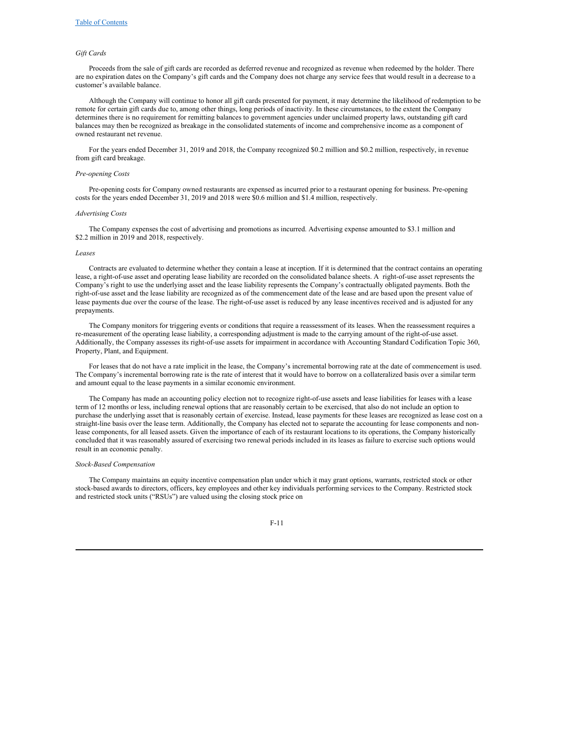#### *Gift Cards*

Proceeds from the sale of gift cards are recorded as deferred revenue and recognized as revenue when redeemed by the holder. There are no expiration dates on the Company's gift cards and the Company does not charge any service fees that would result in a decrease to a customer's available balance.

Although the Company will continue to honor all gift cards presented for payment, it may determine the likelihood of redemption to be remote for certain gift cards due to, among other things, long periods of inactivity. In these circumstances, to the extent the Company determines there is no requirement for remitting balances to government agencies under unclaimed property laws, outstanding gift card balances may then be recognized as breakage in the consolidated statements of income and comprehensive income as a component of owned restaurant net revenue.

For the years ended December 31, 2019 and 2018, the Company recognized \$0.2 million and \$0.2 million, respectively, in revenue from gift card breakage.

#### *Pre-opening Costs*

Pre-opening costs for Company owned restaurants are expensed as incurred prior to a restaurant opening for business. Pre-opening costs for the years ended December 31, 2019 and 2018 were \$0.6 million and \$1.4 million, respectively.

#### *Advertising Costs*

The Company expenses the cost of advertising and promotions as incurred. Advertising expense amounted to \$3.1 million and \$2.2 million in 2019 and 2018, respectively.

#### *Leases*

Contracts are evaluated to determine whether they contain a lease at inception. If it is determined that the contract contains an operating lease, a right-of-use asset and operating lease liability are recorded on the consolidated balance sheets. A right-of-use asset represents the Company's right to use the underlying asset and the lease liability represents the Company's contractually obligated payments. Both the right-of-use asset and the lease liability are recognized as of the commencement date of the lease and are based upon the present value of lease payments due over the course of the lease. The right-of-use asset is reduced by any lease incentives received and is adjusted for any prepayments.

The Company monitors for triggering events or conditions that require a reassessment of its leases. When the reassessment requires a re-measurement of the operating lease liability, a corresponding adjustment is made to the carrying amount of the right-of-use asset. Additionally, the Company assesses its right-of-use assets for impairment in accordance with Accounting Standard Codification Topic 360, Property, Plant, and Equipment.

For leases that do not have a rate implicit in the lease, the Company's incremental borrowing rate at the date of commencement is used. The Company's incremental borrowing rate is the rate of interest that it would have to borrow on a collateralized basis over a similar term and amount equal to the lease payments in a similar economic environment.

The Company has made an accounting policy election not to recognize right-of-use assets and lease liabilities for leases with a lease term of 12 months or less, including renewal options that are reasonably certain to be exercised, that also do not include an option to purchase the underlying asset that is reasonably certain of exercise. Instead, lease payments for these leases are recognized as lease cost on a straight-line basis over the lease term. Additionally, the Company has elected not to separate the accounting for lease components and nonlease components, for all leased assets. Given the importance of each of its restaurant locations to its operations, the Company historically concluded that it was reasonably assured of exercising two renewal periods included in its leases as failure to exercise such options would result in an economic penalty.

#### *Stock-Based Compensation*

The Company maintains an equity incentive compensation plan under which it may grant options, warrants, restricted stock or other stock-based awards to directors, officers, key employees and other key individuals performing services to the Company. Restricted stock and restricted stock units ("RSUs") are valued using the closing stock price on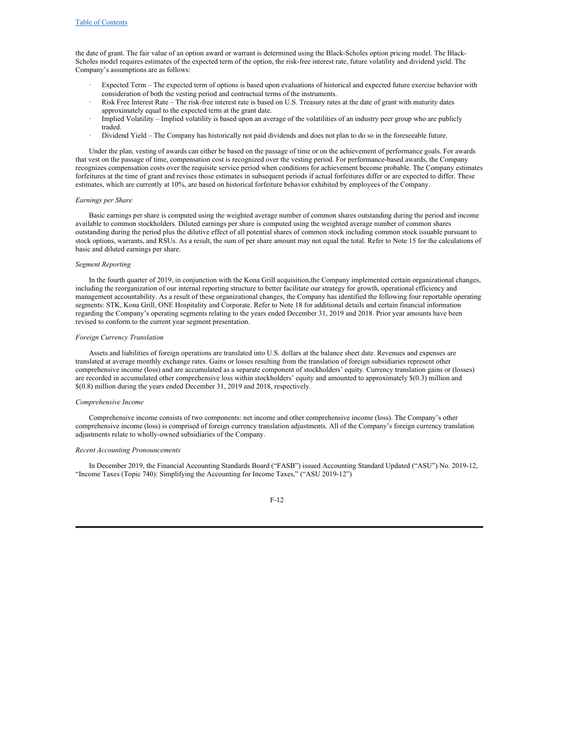the date of grant. The fair value of an option award or warrant is determined using the Black-Scholes option pricing model. The Black-Scholes model requires estimates of the expected term of the option, the risk-free interest rate, future volatility and dividend yield. The Company's assumptions are as follows:

- Expected Term The expected term of options is based upon evaluations of historical and expected future exercise behavior with consideration of both the vesting period and contractual terms of the instruments.
- Risk Free Interest Rate The risk-free interest rate is based on U.S. Treasury rates at the date of grant with maturity dates approximately equal to the expected term at the grant date.
- Implied Volatility Implied volatility is based upon an average of the volatilities of an industry peer group who are publicly traded.
- Dividend Yield The Company has historically not paid dividends and does not plan to do so in the foreseeable future.

Under the plan, vesting of awards can either be based on the passage of time or on the achievement of performance goals. For awards that vest on the passage of time, compensation cost is recognized over the vesting period. For performance-based awards, the Company recognizes compensation costs over the requisite service period when conditions for achievement become probable. The Company estimates forfeitures at the time of grant and revises those estimates in subsequent periods if actual forfeitures differ or are expected to differ. These estimates, which are currently at 10%, are based on historical forfeiture behavior exhibited by employees of the Company.

#### *Earnings per Share*

Basic earnings per share is computed using the weighted average number of common shares outstanding during the period and income available to common stockholders. Diluted earnings per share is computed using the weighted average number of common shares outstanding during the period plus the dilutive effect of all potential shares of common stock including common stock issuable pursuant to stock options, warrants, and RSUs. As a result, the sum of per share amount may not equal the total. Refer to Note 15 for the calculations of basic and diluted earnings per share.

## *Segment Reporting*

In the fourth quarter of 2019, in conjunction with the Kona Grill acquisition,the Company implemented certain organizational changes, including the reorganization of our internal reporting structure to better facilitate our strategy for growth, operational efficiency and management accountability. As a result of these organizational changes, the Company has identified the following four reportable operating segments: STK, Kona Grill, ONE Hospitality and Corporate. Refer to Note 18 for additional details and certain financial information regarding the Company's operating segments relating to the years ended December 31, 2019 and 2018. Prior year amounts have been revised to conform to the current year segment presentation.

### *Foreign Currency Translation*

Assets and liabilities of foreign operations are translated into U.S. dollars at the balance sheet date. Revenues and expenses are translated at average monthly exchange rates. Gains or losses resulting from the translation of foreign subsidiaries represent other comprehensive income (loss) and are accumulated as a separate component of stockholders' equity. Currency translation gains or (losses) are recorded in accumulated other comprehensive loss within stockholders' equity and amounted to approximately \$(0.3) million and \$(0.8) million during the years ended December 31, 2019 and 2018, respectively.

#### *Comprehensive Income*

Comprehensive income consists of two components: net income and other comprehensive income (loss). The Company's other comprehensive income (loss) is comprised of foreign currency translation adjustments. All of the Company's foreign currency translation adjustments relate to wholly-owned subsidiaries of the Company.

#### *Recent Accounting Pronouncements*

In December 2019, the Financial Accounting Standards Board ("FASB") issued Accounting Standard Updated ("ASU") No. 2019-12, "Income Taxes (Topic 740): Simplifying the Accounting for Income Taxes," ("ASU 2019-12")

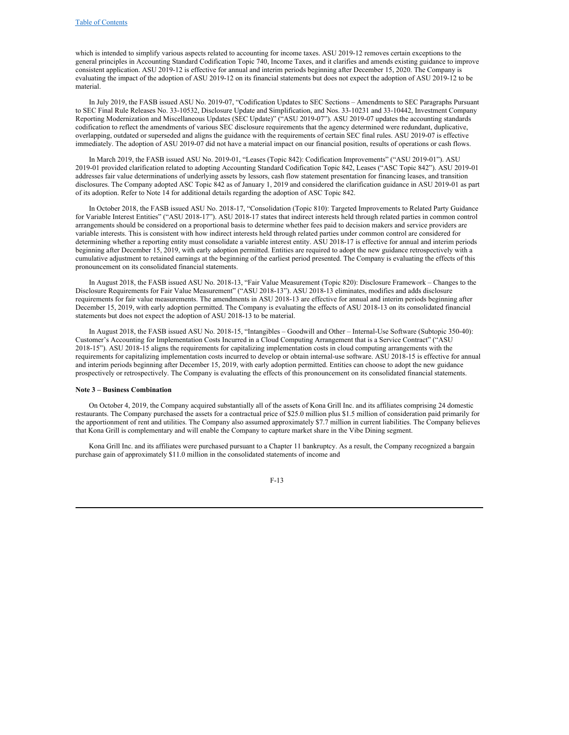which is intended to simplify various aspects related to accounting for income taxes. ASU 2019-12 removes certain exceptions to the general principles in Accounting Standard Codification Topic 740, Income Taxes, and it clarifies and amends existing guidance to improve consistent application. ASU 2019-12 is effective for annual and interim periods beginning after December 15, 2020. The Company is evaluating the impact of the adoption of ASU 2019-12 on its financial statements but does not expect the adoption of ASU 2019-12 to be material.

In July 2019, the FASB issued ASU No. 2019‑07, "Codification Updates to SEC Sections – Amendments to SEC Paragraphs Pursuant to SEC Final Rule Releases No. 33-10532, Disclosure Update and Simplification, and Nos. 33-10231 and 33-10442, Investment Company Reporting Modernization and Miscellaneous Updates (SEC Update)" ("ASU 2019‑07"). ASU 2019‑07 updates the accounting standards codification to reflect the amendments of various SEC disclosure requirements that the agency determined were redundant, duplicative, overlapping, outdated or superseded and aligns the guidance with the requirements of certain SEC final rules. ASU 2019‑07 is effective immediately. The adoption of ASU 2019-07 did not have a material impact on our financial position, results of operations or cash flows.

In March 2019, the FASB issued ASU No. 2019‑01, "Leases (Topic 842): Codification Improvements" ("ASU 2019‑01"). ASU 2019‑01 provided clarification related to adopting Accounting Standard Codification Topic 842, Leases ("ASC Topic 842"). ASU 2019‑01 addresses fair value determinations of underlying assets by lessors, cash flow statement presentation for financing leases, and transition disclosures. The Company adopted ASC Topic 842 as of January 1, 2019 and considered the clarification guidance in ASU 2019-01 as part of its adoption. Refer to Note 14 for additional details regarding the adoption of ASC Topic 842.

In October 2018, the FASB issued ASU No. 2018‑17, "Consolidation (Topic 810): Targeted Improvements to Related Party Guidance for Variable Interest Entities" ("ASU 2018‑17"). ASU 2018‑17 states that indirect interests held through related parties in common control arrangements should be considered on a proportional basis to determine whether fees paid to decision makers and service providers are variable interests. This is consistent with how indirect interests held through related parties under common control are considered for determining whether a reporting entity must consolidate a variable interest entity. ASU 2018-17 is effective for annual and interim periods beginning after December 15, 2019, with early adoption permitted. Entities are required to adopt the new guidance retrospectively with a cumulative adjustment to retained earnings at the beginning of the earliest period presented. The Company is evaluating the effects of this pronouncement on its consolidated financial statements.

In August 2018, the FASB issued ASU No. 2018-13, "Fair Value Measurement (Topic 820): Disclosure Framework – Changes to the Disclosure Requirements for Fair Value Measurement" ("ASU 2018‑13"). ASU 2018‑13 eliminates, modifies and adds disclosure requirements for fair value measurements. The amendments in ASU 2018‑13 are effective for annual and interim periods beginning after December 15, 2019, with early adoption permitted. The Company is evaluating the effects of ASU 2018‑13 on its consolidated financial statements but does not expect the adoption of ASU 2018-13 to be material.

In August 2018, the FASB issued ASU No. 2018‑15, "Intangibles – Goodwill and Other – Internal-Use Software (Subtopic 350‑40): Customer's Accounting for Implementation Costs Incurred in a Cloud Computing Arrangement that is a Service Contract" ("ASU 2018‑15"). ASU 2018‑15 aligns the requirements for capitalizing implementation costs in cloud computing arrangements with the requirements for capitalizing implementation costs incurred to develop or obtain internal-use software. ASU 2018‑15 is effective for annual and interim periods beginning after December 15, 2019, with early adoption permitted. Entities can choose to adopt the new guidance prospectively or retrospectively. The Company is evaluating the effects of this pronouncement on its consolidated financial statements.

#### **Note 3 – Business Combination**

On October 4, 2019, the Company acquired substantially all of the assets of Kona Grill Inc. and its affiliates comprising 24 domestic restaurants. The Company purchased the assets for a contractual price of \$25.0 million plus \$1.5 million of consideration paid primarily for the apportionment of rent and utilities. The Company also assumed approximately \$7.7 million in current liabilities. The Company believes that Kona Grill is complementary and will enable the Company to capture market share in the Vibe Dining segment.

Kona Grill Inc. and its affiliates were purchased pursuant to a Chapter 11 bankruptcy. As a result, the Company recognized a bargain purchase gain of approximately \$11.0 million in the consolidated statements of income and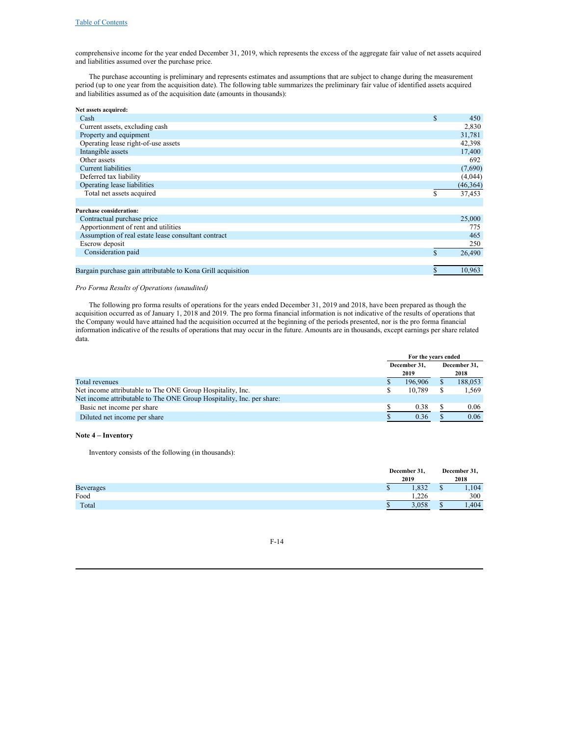comprehensive income for the year ended December 31, 2019, which represents the excess of the aggregate fair value of net assets acquired and liabilities assumed over the purchase price.

The purchase accounting is preliminary and represents estimates and assumptions that are subject to change during the measurement period (up to one year from the acquisition date). The following table summarizes the preliminary fair value of identified assets acquired and liabilities assumed as of the acquisition date (amounts in thousands):

| Net assets acquired:                                         |     |           |
|--------------------------------------------------------------|-----|-----------|
| Cash                                                         | \$  | 450       |
| Current assets, excluding cash                               |     | 2,830     |
| Property and equipment                                       |     | 31,781    |
| Operating lease right-of-use assets                          |     | 42,398    |
| Intangible assets                                            |     | 17,400    |
| Other assets                                                 |     | 692       |
| Current liabilities                                          |     | (7,690)   |
| Deferred tax liability                                       |     | (4,044)   |
| Operating lease liabilities                                  |     | (46, 364) |
| Total net assets acquired                                    | \$  | 37,453    |
|                                                              |     |           |
| <b>Purchase consideration:</b>                               |     |           |
| Contractual purchase price                                   |     | 25,000    |
| Apportionment of rent and utilities                          |     | 775       |
| Assumption of real estate lease consultant contract          |     | 465       |
| Escrow deposit                                               |     | 250       |
| Consideration paid                                           | \$. | 26,490    |
|                                                              |     |           |
| Bargain purchase gain attributable to Kona Grill acquisition | \$  | 10,963    |

## *Pro Forma Results of Operations (unaudited)*

The following pro forma results of operations for the years ended December 31, 2019 and 2018, have been prepared as though the acquisition occurred as of January 1, 2018 and 2019. The pro forma financial information is not indicative of the results of operations that the Company would have attained had the acquisition occurred at the beginning of the periods presented, nor is the pro forma financial information indicative of the results of operations that may occur in the future. Amounts are in thousands, except earnings per share related data.

|                                                                       |              | For the years ended |  |              |  |  |
|-----------------------------------------------------------------------|--------------|---------------------|--|--------------|--|--|
|                                                                       | December 31. |                     |  | December 31, |  |  |
|                                                                       |              | 2019                |  | 2018         |  |  |
| Total revenues                                                        |              | 196,906             |  | 188,053      |  |  |
| Net income attributable to The ONE Group Hospitality, Inc.            |              | 10.789              |  | 1.569        |  |  |
| Net income attributable to The ONE Group Hospitality, Inc. per share: |              |                     |  |              |  |  |
| Basic net income per share                                            |              | 0.38                |  | 0.06         |  |  |
| Diluted net income per share                                          |              | 0.36                |  | 0.06         |  |  |

# **Note 4 – Inventory**

Inventory consists of the following (in thousands):

|                  | December 31, | December 31, |       |
|------------------|--------------|--------------|-------|
|                  | 2019         |              | 2018  |
| <b>Beverages</b> | .832         | ω            | 1,104 |
| Food             | 1.226        |              | 300   |
| Total            | 3.058        | мΣ           | 1,404 |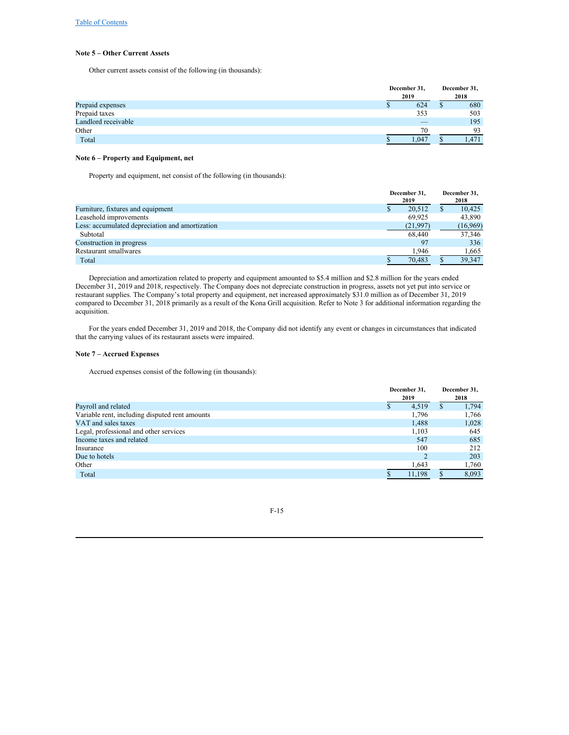# **Note 5 – Other Current Assets**

Other current assets consist of the following (in thousands):

| December 31,             | December 31, |
|--------------------------|--------------|
| 2019                     | 2018         |
| 624<br>Φ                 | 680          |
| 353                      | 503          |
| $\overline{\phantom{a}}$ | 195          |
| 70                       | 93           |
| 1.047                    | 1.471        |
|                          |              |

# **Note 6 – Property and Equipment, net**

Property and equipment, net consist of the following (in thousands):

|                                                 | December 31.<br>2019 | December 31.<br>2018 |
|-------------------------------------------------|----------------------|----------------------|
| Furniture, fixtures and equipment               | 20.512               | 10.425               |
| Leasehold improvements                          | 69.925               | 43,890               |
| Less: accumulated depreciation and amortization | (21,997)             | (16,969)             |
| Subtotal                                        | 68,440               | 37.346               |
| Construction in progress                        | 97                   | 336                  |
| Restaurant smallwares                           | 1.946                | 1.665                |
| Total                                           | 70,483               | 39,347               |

Depreciation and amortization related to property and equipment amounted to \$5.4 million and \$2.8 million for the years ended December 31, 2019 and 2018, respectively. The Company does not depreciate construction in progress, assets not yet put into service or restaurant supplies. The Company's total property and equipment, net increased approximately \$31.0 million as of December 31, 2019 compared to December 31, 2018 primarily as a result of the Kona Grill acquisition. Refer to Note 3 for additional information regarding the acquisition.

For the years ended December 31, 2019 and 2018, the Company did not identify any event or changes in circumstances that indicated that the carrying values of its restaurant assets were impaired.

# **Note 7 – Accrued Expenses**

Accrued expenses consist of the following (in thousands):

|                                                | December 31.  |   | December 31, |
|------------------------------------------------|---------------|---|--------------|
|                                                | 2019          |   | 2018         |
| Payroll and related                            | 4.519         | ъ | 1,794        |
| Variable rent, including disputed rent amounts | 1,796         |   | 1,766        |
| VAT and sales taxes                            | 1,488         |   | 1,028        |
| Legal, professional and other services         | 1,103         |   | 645          |
| Income taxes and related                       | 547           |   | 685          |
| Insurance                                      | 100           |   | 212          |
| Due to hotels                                  | $\mathcal{D}$ |   | 203          |
| Other                                          | 1,643         |   | 1,760        |
| Total                                          | 11,198        |   | 8.093        |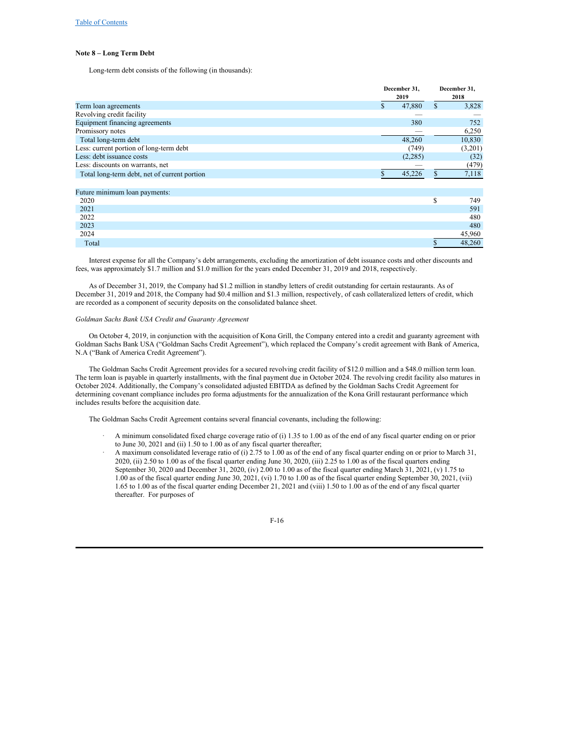### **Note 8 – Long Term Debt**

Long-term debt consists of the following (in thousands):

|                                              | December 31.<br>2019   |              | December 31,<br>2018 |
|----------------------------------------------|------------------------|--------------|----------------------|
| Term loan agreements                         | $\mathbb{S}$<br>47,880 | $\mathbb{S}$ | 3,828                |
| Revolving credit facility                    |                        |              |                      |
| Equipment financing agreements               | 380                    |              | 752                  |
| Promissory notes                             |                        |              | 6,250                |
| Total long-term debt                         | 48,260                 |              | 10,830               |
| Less: current portion of long-term debt      | (749)                  |              | (3,201)              |
| Less: debt issuance costs                    | (2,285)                |              | (32)                 |
| Less: discounts on warrants, net             |                        |              | (479)                |
| Total long-term debt, net of current portion | 45,226<br>\$           | \$           | 7,118                |
| Future minimum loan payments:                |                        |              |                      |
| 2020                                         |                        | S            | 749                  |
| 2021                                         |                        |              | 591                  |
| 2022                                         |                        |              | 480                  |
| 2023                                         |                        |              | 480                  |
| 2024                                         |                        |              | 45,960               |
| Total                                        |                        |              | 48,260               |

Interest expense for all the Company's debt arrangements, excluding the amortization of debt issuance costs and other discounts and fees, was approximately \$1.7 million and \$1.0 million for the years ended December 31, 2019 and 2018, respectively.

As of December 31, 2019, the Company had \$1.2 million in standby letters of credit outstanding for certain restaurants. As of December 31, 2019 and 2018, the Company had \$0.4 million and \$1.3 million, respectively, of cash collateralized letters of credit, which are recorded as a component of security deposits on the consolidated balance sheet.

## *Goldman Sachs Bank USA Credit and Guaranty Agreement*

On October 4, 2019, in conjunction with the acquisition of Kona Grill, the Company entered into a credit and guaranty agreement with Goldman Sachs Bank USA ("Goldman Sachs Credit Agreement"), which replaced the Company's credit agreement with Bank of America, N.A ("Bank of America Credit Agreement").

The Goldman Sachs Credit Agreement provides for a secured revolving credit facility of \$12.0 million and a \$48.0 million term loan. The term loan is payable in quarterly installments, with the final payment due in October 2024. The revolving credit facility also matures in October 2024. Additionally, the Company's consolidated adjusted EBITDA as defined by the Goldman Sachs Credit Agreement for determining covenant compliance includes pro forma adjustments for the annualization of the Kona Grill restaurant performance which includes results before the acquisition date.

The Goldman Sachs Credit Agreement contains several financial covenants, including the following:

- · A minimum consolidated fixed charge coverage ratio of (i) 1.35 to 1.00 as of the end of any fiscal quarter ending on or prior to June 30, 2021 and (ii) 1.50 to 1.00 as of any fiscal quarter thereafter;
- · A maximum consolidated leverage ratio of (i) 2.75 to 1.00 as of the end of any fiscal quarter ending on or prior to March 31, 2020, (ii) 2.50 to 1.00 as of the fiscal quarter ending June 30, 2020, (iii) 2.25 to 1.00 as of the fiscal quarters ending September 30, 2020 and December 31, 2020, (iv) 2.00 to 1.00 as of the fiscal quarter ending March 31, 2021, (v) 1.75 to 1.00 as of the fiscal quarter ending June 30, 2021, (vi) 1.70 to 1.00 as of the fiscal quarter ending September 30, 2021, (vii) 1.65 to 1.00 as of the fiscal quarter ending December 21, 2021 and (viii) 1.50 to 1.00 as of the end of any fiscal quarter thereafter. For purposes of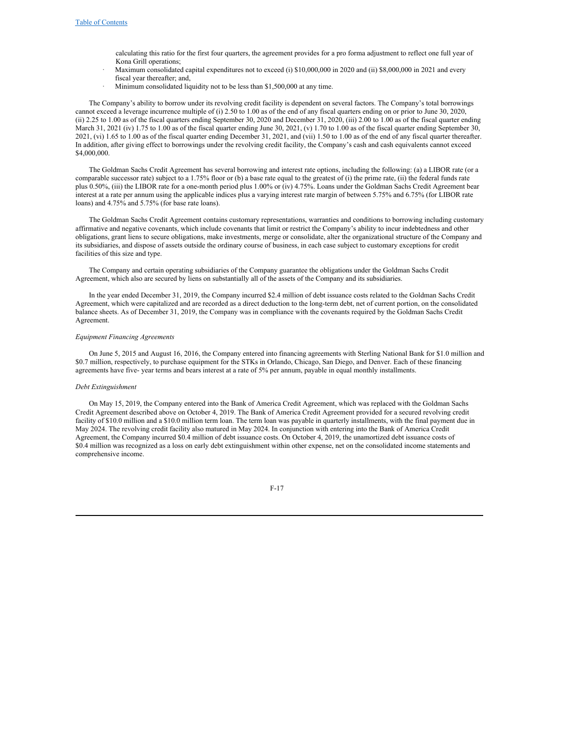calculating this ratio for the first four quarters, the agreement provides for a pro forma adjustment to reflect one full year of Kona Grill operations;

- · Maximum consolidated capital expenditures not to exceed (i) \$10,000,000 in 2020 and (ii) \$8,000,000 in 2021 and every fiscal year thereafter; and,
- Minimum consolidated liquidity not to be less than \$1,500,000 at any time.

The Company's ability to borrow under its revolving credit facility is dependent on several factors. The Company's total borrowings cannot exceed a leverage incurrence multiple of (i) 2.50 to 1.00 as of the end of any fiscal quarters ending on or prior to June 30, 2020, (ii) 2.25 to 1.00 as of the fiscal quarters ending September 30, 2020 and December 31, 2020, (iii) 2.00 to 1.00 as of the fiscal quarter ending March 31, 2021 (iv) 1.75 to 1.00 as of the fiscal quarter ending June 30, 2021, (v) 1.70 to 1.00 as of the fiscal quarter ending September 30, 2021, (vi) 1.65 to 1.00 as of the fiscal quarter ending December 31, 2021, and (vii) 1.50 to 1.00 as of the end of any fiscal quarter thereafter. In addition, after giving effect to borrowings under the revolving credit facility, the Company's cash and cash equivalents cannot exceed \$4,000,000.

The Goldman Sachs Credit Agreement has several borrowing and interest rate options, including the following: (a) a LIBOR rate (or a comparable successor rate) subject to a 1.75% floor or (b) a base rate equal to the greatest of (i) the prime rate, (ii) the federal funds rate plus 0.50%, (iii) the LIBOR rate for a one-month period plus 1.00% or (iv) 4.75%. Loans under the Goldman Sachs Credit Agreement bear interest at a rate per annum using the applicable indices plus a varying interest rate margin of between 5.75% and 6.75% (for LIBOR rate loans) and 4.75% and 5.75% (for base rate loans).

The Goldman Sachs Credit Agreement contains customary representations, warranties and conditions to borrowing including customary affirmative and negative covenants, which include covenants that limit or restrict the Company's ability to incur indebtedness and other obligations, grant liens to secure obligations, make investments, merge or consolidate, alter the organizational structure of the Company and its subsidiaries, and dispose of assets outside the ordinary course of business, in each case subject to customary exceptions for credit facilities of this size and type.

The Company and certain operating subsidiaries of the Company guarantee the obligations under the Goldman Sachs Credit Agreement, which also are secured by liens on substantially all of the assets of the Company and its subsidiaries.

In the year ended December 31, 2019, the Company incurred \$2.4 million of debt issuance costs related to the Goldman Sachs Credit Agreement, which were capitalized and are recorded as a direct deduction to the long-term debt, net of current portion, on the consolidated balance sheets. As of December 31, 2019, the Company was in compliance with the covenants required by the Goldman Sachs Credit Agreement.

#### *Equipment Financing Agreements*

On June 5, 2015 and August 16, 2016, the Company entered into financing agreements with Sterling National Bank for \$1.0 million and \$0.7 million, respectively, to purchase equipment for the STKs in Orlando, Chicago, San Diego, and Denver. Each of these financing agreements have five- year terms and bears interest at a rate of 5% per annum, payable in equal monthly installments.

## *Debt Extinguishment*

On May 15, 2019, the Company entered into the Bank of America Credit Agreement, which was replaced with the Goldman Sachs Credit Agreement described above on October 4, 2019. The Bank of America Credit Agreement provided for a secured revolving credit facility of \$10.0 million and a \$10.0 million term loan. The term loan was payable in quarterly installments, with the final payment due in May 2024. The revolving credit facility also matured in May 2024. In conjunction with entering into the Bank of America Credit Agreement, the Company incurred \$0.4 million of debt issuance costs. On October 4, 2019, the unamortized debt issuance costs of \$0.4 million was recognized as a loss on early debt extinguishment within other expense, net on the consolidated income statements and comprehensive income.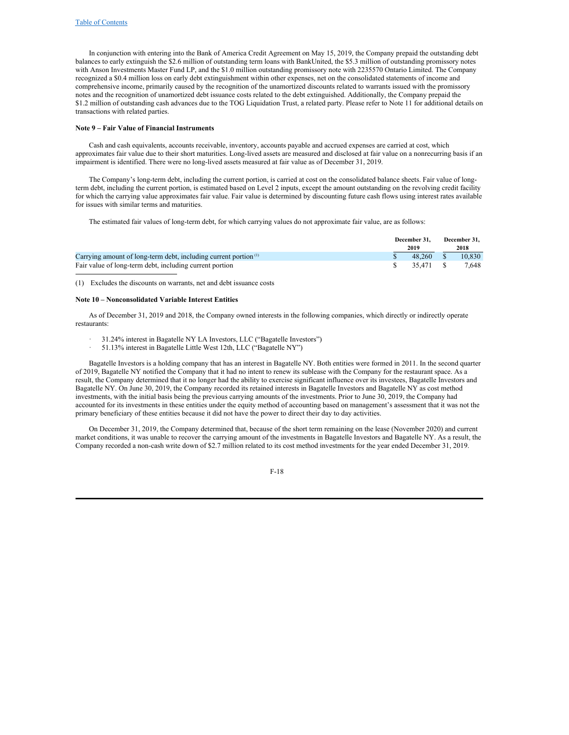In conjunction with entering into the Bank of America Credit Agreement on May 15, 2019, the Company prepaid the outstanding debt balances to early extinguish the \$2.6 million of outstanding term loans with BankUnited, the \$5.3 million of outstanding promissory notes with Anson Investments Master Fund LP, and the \$1.0 million outstanding promissory note with 2235570 Ontario Limited. The Company recognized a \$0.4 million loss on early debt extinguishment within other expenses, net on the consolidated statements of income and comprehensive income, primarily caused by the recognition of the unamortized discounts related to warrants issued with the promissory notes and the recognition of unamortized debt issuance costs related to the debt extinguished. Additionally, the Company prepaid the \$1.2 million of outstanding cash advances due to the TOG Liquidation Trust, a related party. Please refer to Note 11 for additional details on transactions with related parties.

### **Note 9 – Fair Value of Financial Instruments**

Cash and cash equivalents, accounts receivable, inventory, accounts payable and accrued expenses are carried at cost, which approximates fair value due to their short maturities. Long-lived assets are measured and disclosed at fair value on a nonrecurring basis if an impairment is identified. There were no long-lived assets measured at fair value as of December 31, 2019.

The Company's long-term debt, including the current portion, is carried at cost on the consolidated balance sheets. Fair value of longterm debt, including the current portion, is estimated based on Level 2 inputs, except the amount outstanding on the revolving credit facility for which the carrying value approximates fair value. Fair value is determined by discounting future cash flows using interest rates available for issues with similar terms and maturities.

The estimated fair values of long-term debt, for which carrying values do not approximate fair value, are as follows:

|                                                                             | December 31. |  | December 31. |
|-----------------------------------------------------------------------------|--------------|--|--------------|
|                                                                             | 2019         |  | 2018         |
| Carrying amount of long-term debt, including current portion <sup>(1)</sup> | 48.260 \$    |  | 10.830       |
| Fair value of long-term debt, including current portion                     | 35.471 \$    |  | 7.648        |

(1) Excludes the discounts on warrants, net and debt issuance costs

## **Note 10 – Nonconsolidated Variable Interest Entities**

As of December 31, 2019 and 2018, the Company owned interests in the following companies, which directly or indirectly operate restaurants:

- · 31.24% interest in Bagatelle NY LA Investors, LLC ("Bagatelle Investors")
- · 51.13% interest in Bagatelle Little West 12th, LLC ("Bagatelle NY")

Bagatelle Investors is a holding company that has an interest in Bagatelle NY. Both entities were formed in 2011. In the second quarter of 2019, Bagatelle NY notified the Company that it had no intent to renew its sublease with the Company for the restaurant space. As a result, the Company determined that it no longer had the ability to exercise significant influence over its investees, Bagatelle Investors and Bagatelle NY. On June 30, 2019, the Company recorded its retained interests in Bagatelle Investors and Bagatelle NY as cost method investments, with the initial basis being the previous carrying amounts of the investments. Prior to June 30, 2019, the Company had accounted for its investments in these entities under the equity method of accounting based on management's assessment that it was not the primary beneficiary of these entities because it did not have the power to direct their day to day activities.

On December 31, 2019, the Company determined that, because of the short term remaining on the lease (November 2020) and current market conditions, it was unable to recover the carrying amount of the investments in Bagatelle Investors and Bagatelle NY. As a result, the Company recorded a non-cash write down of \$2.7 million related to its cost method investments for the year ended December 31, 2019.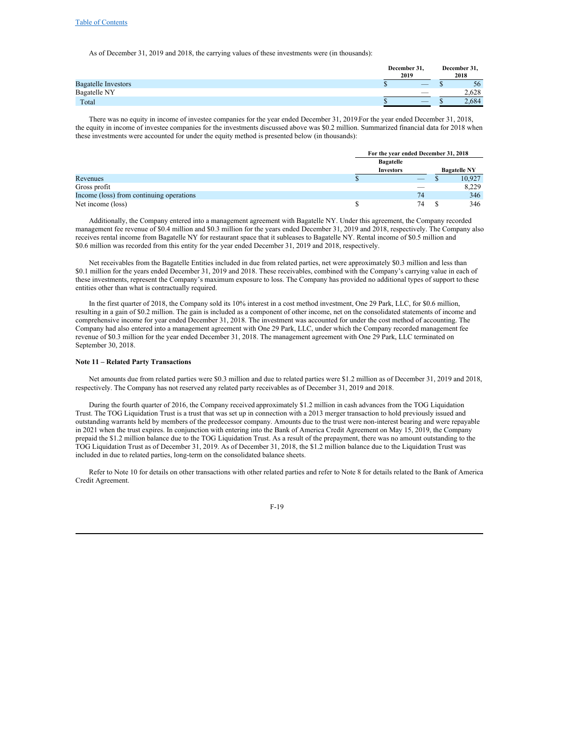As of December 31, 2019 and 2018, the carrying values of these investments were (in thousands):

|                            | December 31,<br>2019     | December 31,<br>2018 |
|----------------------------|--------------------------|----------------------|
| <b>Bagatelle Investors</b> | $\overline{\phantom{a}}$ | 56                   |
| Bagatelle NY               | __                       | 2.628                |
| Total                      | $\overline{\phantom{a}}$ | 2.684                |
|                            |                          |                      |

There was no equity in income of investee companies for the year ended December 31, 2019.For the year ended December 31, 2018, the equity in income of investee companies for the investments discussed above was \$0.2 million. Summarized financial data for 2018 when these investments were accounted for under the equity method is presented below (in thousands):

|                                          |                  | For the year ended December 31, 2018 |  |                     |  |
|------------------------------------------|------------------|--------------------------------------|--|---------------------|--|
|                                          | <b>Bagatelle</b> |                                      |  |                     |  |
|                                          | <b>Investors</b> |                                      |  | <b>Bagatelle NY</b> |  |
| Revenues                                 |                  |                                      |  | 10,927              |  |
| Gross profit                             |                  |                                      |  | 8.229               |  |
| Income (loss) from continuing operations |                  | 74                                   |  | 346                 |  |
| Net income (loss)                        |                  | 74                                   |  | 346                 |  |

Additionally, the Company entered into a management agreement with Bagatelle NY. Under this agreement, the Company recorded management fee revenue of \$0.4 million and \$0.3 million for the years ended December 31, 2019 and 2018, respectively. The Company also receives rental income from Bagatelle NY for restaurant space that it subleases to Bagatelle NY. Rental income of \$0.5 million and \$0.6 million was recorded from this entity for the year ended December 31, 2019 and 2018, respectively.

Net receivables from the Bagatelle Entities included in due from related parties, net were approximately \$0.3 million and less than \$0.1 million for the years ended December 31, 2019 and 2018. These receivables, combined with the Company's carrying value in each of these investments, represent the Company's maximum exposure to loss. The Company has provided no additional types of support to these entities other than what is contractually required.

In the first quarter of 2018, the Company sold its 10% interest in a cost method investment, One 29 Park, LLC, for \$0.6 million, resulting in a gain of \$0.2 million. The gain is included as a component of other income, net on the consolidated statements of income and comprehensive income for year ended December 31, 2018. The investment was accounted for under the cost method of accounting. The Company had also entered into a management agreement with One 29 Park, LLC, under which the Company recorded management fee revenue of \$0.3 million for the year ended December 31, 2018. The management agreement with One 29 Park, LLC terminated on September 30, 2018.

## **Note 11 – Related Party Transactions**

Net amounts due from related parties were \$0.3 million and due to related parties were \$1.2 million as of December 31, 2019 and 2018, respectively. The Company has not reserved any related party receivables as of December 31, 2019 and 2018.

During the fourth quarter of 2016, the Company received approximately \$1.2 million in cash advances from the TOG Liquidation Trust. The TOG Liquidation Trust is a trust that was set up in connection with a 2013 merger transaction to hold previously issued and outstanding warrants held by members of the predecessor company. Amounts due to the trust were non-interest bearing and were repayable in 2021 when the trust expires. In conjunction with entering into the Bank of America Credit Agreement on May 15, 2019, the Company prepaid the \$1.2 million balance due to the TOG Liquidation Trust. As a result of the prepayment, there was no amount outstanding to the TOG Liquidation Trust as of December 31, 2019. As of December 31, 2018, the \$1.2 million balance due to the Liquidation Trust was included in due to related parties, long-term on the consolidated balance sheets.

Refer to Note 10 for details on other transactions with other related parties and refer to Note 8 for details related to the Bank of America Credit Agreement.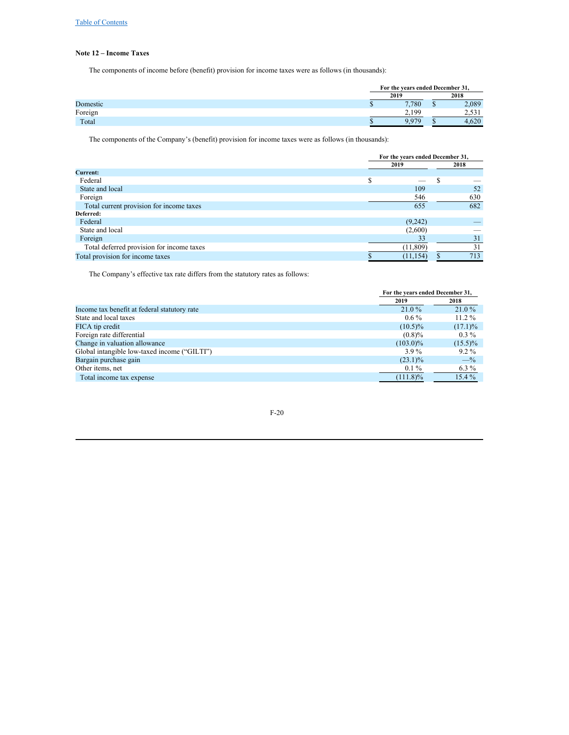# Table of [Contents](#page-1-0)

# **Note 12 – Income Taxes**

The components of income before (benefit) provision for income taxes were as follows (in thousands):

|          | For the years ended December 31, |  |       |  |
|----------|----------------------------------|--|-------|--|
|          | 2019                             |  | 2018  |  |
| Domestic | 7,780                            |  | 2,089 |  |
| Foreign  | 2.199                            |  | 2.531 |  |
| Total    | 9979                             |  | 4.620 |  |

The components of the Company's (benefit) provision for income taxes were as follows (in thousands):

|                                           | For the years ended December 31, |   |      |
|-------------------------------------------|----------------------------------|---|------|
|                                           | 2019                             |   | 2018 |
| <b>Current:</b>                           |                                  |   |      |
| Federal                                   |                                  | S |      |
| State and local                           | 109                              |   | 52   |
| Foreign                                   | 546                              |   | 630  |
| Total current provision for income taxes  | 655                              |   | 682  |
| Deferred:                                 |                                  |   |      |
| Federal                                   | (9,242)                          |   |      |
| State and local                           | (2,600)                          |   |      |
| Foreign                                   | 33                               |   | 31   |
| Total deferred provision for income taxes | (11,809)                         |   | 31   |
| Total provision for income taxes          | (11, 154)                        |   | 713  |

The Company's effective tax rate differs from the statutory rates as follows:

|                                              | For the years ended December 31, |            |
|----------------------------------------------|----------------------------------|------------|
|                                              | 2019                             | 2018       |
| Income tax benefit at federal statutory rate | $21.0\%$                         | $21.0\%$   |
| State and local taxes                        | $0.6\%$                          | $11.2\%$   |
| FICA tip credit                              | $(10.5)\%$                       | $(17.1)\%$ |
| Foreign rate differential                    | $(0.8)\%$                        | $0.3\%$    |
| Change in valuation allowance                | $(103.0)\%$                      | $(15.5)\%$ |
| Global intangible low-taxed income ("GILTI") | $3.9\%$                          | $9.2\%$    |
| Bargain purchase gain                        | $(23.1)\%$                       | $-$ %      |
| Other items, net                             | $0.1\%$                          | $6.3\%$    |
| Total income tax expense                     | $(111.8)\%$                      | $15.4\%$   |

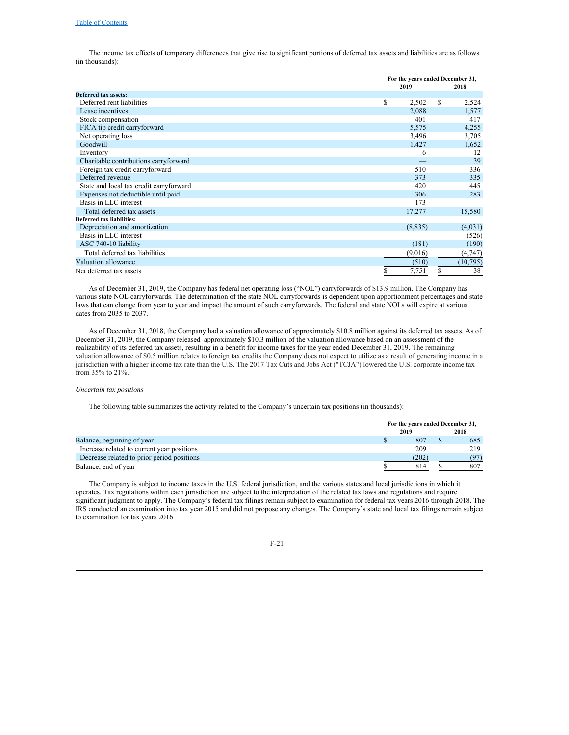The income tax effects of temporary differences that give rise to significant portions of deferred tax assets and liabilities are as follows (in thousands):

|                                         |            | For the years ended December 31, |
|-----------------------------------------|------------|----------------------------------|
|                                         | 2019       | 2018                             |
| Deferred tax assets:                    |            |                                  |
| Deferred rent liabilities               | S<br>2,502 | S<br>2,524                       |
| Lease incentives                        | 2,088      | 1,577                            |
| Stock compensation                      | 401        | 417                              |
| FICA tip credit carryforward            | 5,575      | 4,255                            |
| Net operating loss                      | 3,496      | 3,705                            |
| Goodwill                                | 1,427      | 1,652                            |
| Inventory                               | 6          | 12                               |
| Charitable contributions carryforward   |            | 39                               |
| Foreign tax credit carryforward         | 510        | 336                              |
| Deferred revenue                        | 373        | 335                              |
| State and local tax credit carryforward | 420        | 445                              |
| Expenses not deductible until paid      | 306        | 283                              |
| Basis in LLC interest                   | 173        |                                  |
| Total deferred tax assets               | 17,277     | 15,580                           |
| <b>Deferred tax liabilities:</b>        |            |                                  |
| Depreciation and amortization           | (8, 835)   | (4,031)                          |
| Basis in LLC interest                   |            | (526)                            |
| ASC 740-10 liability                    | (181)      | (190)                            |
| Total deferred tax liabilities          | (9,016)    | (4,747)                          |
| Valuation allowance                     | (510)      | (10,795)                         |
| Net deferred tax assets                 | 7,751      | 38<br>\$                         |

As of December 31, 2019, the Company has federal net operating loss ("NOL") carryforwards of \$13.9 million. The Company has various state NOL carryforwards. The determination of the state NOL carryforwards is dependent upon apportionment percentages and state laws that can change from year to year and impact the amount of such carryforwards. The federal and state NOLs will expire at various dates from 2035 to 2037.

As of December 31, 2018, the Company had a valuation allowance of approximately \$10.8 million against its deferred tax assets. As of December 31, 2019, the Company released approximately \$10.3 million of the valuation allowance based on an assessment of the realizability of its deferred tax assets, resulting in a benefit for income taxes for the year ended December 31, 2019. The remaining valuation allowance of \$0.5 million relates to foreign tax credits the Company does not expect to utilize as a result of generating income in a jurisdiction with a higher income tax rate than the U.S. The 2017 Tax Cuts and Jobs Act ("TCJA") lowered the U.S. corporate income tax from 35% to 21%.

# *Uncertain tax positions*

The following table summarizes the activity related to the Company's uncertain tax positions (in thousands):

|                                            | For the vears ended December 31. |  |      |
|--------------------------------------------|----------------------------------|--|------|
|                                            | 2019                             |  | 2018 |
| Balance, beginning of year                 | 807                              |  | 685  |
| Increase related to current year positions | 209                              |  | 219  |
| Decrease related to prior period positions | (202)                            |  | (97) |
| Balance, end of year                       | 814                              |  | 807  |

The Company is subject to income taxes in the U.S. federal jurisdiction, and the various states and local jurisdictions in which it operates. Tax regulations within each jurisdiction are subject to the interpretation of the related tax laws and regulations and require significant judgment to apply. The Company's federal tax filings remain subject to examination for federal tax years 2016 through 2018. The IRS conducted an examination into tax year 2015 and did not propose any changes. The Company's state and local tax filings remain subject to examination for tax years 2016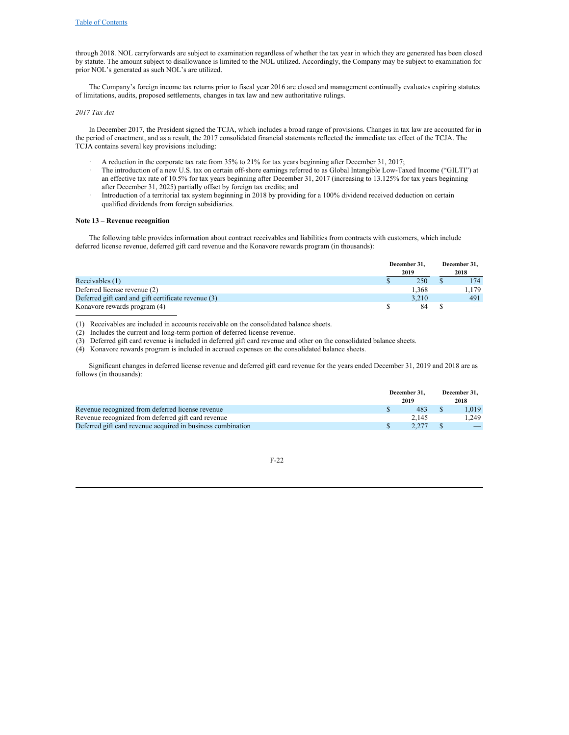through 2018. NOL carryforwards are subject to examination regardless of whether the tax year in which they are generated has been closed by statute. The amount subject to disallowance is limited to the NOL utilized. Accordingly, the Company may be subject to examination for prior NOL's generated as such NOL's are utilized.

The Company's foreign income tax returns prior to fiscal year 2016 are closed and management continually evaluates expiring statutes of limitations, audits, proposed settlements, changes in tax law and new authoritative rulings.

## *2017 Tax Act*

In December 2017, the President signed the TCJA, which includes a broad range of provisions. Changes in tax law are accounted for in the period of enactment, and as a result, the 2017 consolidated financial statements reflected the immediate tax effect of the TCJA. The TCJA contains several key provisions including:

- · A reduction in the corporate tax rate from 35% to 21% for tax years beginning after December 31, 2017;
- · The introduction of a new U.S. tax on certain off-shore earnings referred to as Global Intangible Low-Taxed Income ("GILTI") at an effective tax rate of 10.5% for tax years beginning after December 31, 2017 (increasing to 13.125% for tax years beginning after December 31, 2025) partially offset by foreign tax credits; and
- Introduction of a territorial tax system beginning in 2018 by providing for a 100% dividend received deduction on certain qualified dividends from foreign subsidiaries.

# **Note 13 – Revenue recognition**

The following table provides information about contract receivables and liabilities from contracts with customers, which include deferred license revenue, deferred gift card revenue and the Konavore rewards program (in thousands):

|                                                     | December 31. | December 31.             |
|-----------------------------------------------------|--------------|--------------------------|
|                                                     | 2019         | 2018                     |
| Receivables (1)                                     | 250          | 174                      |
| Deferred license revenue (2)                        | 1.368        | 1.179                    |
| Deferred gift card and gift certificate revenue (3) | 3.210        | 491                      |
| Konavore rewards program (4)                        | 84           | $\overline{\phantom{a}}$ |

(1) Receivables are included in accounts receivable on the consolidated balance sheets.

(2) Includes the current and long-term portion of deferred license revenue.

(3) Deferred gift card revenue is included in deferred gift card revenue and other on the consolidated balance sheets.

(4) Konavore rewards program is included in accrued expenses on the consolidated balance sheets.

Significant changes in deferred license revenue and deferred gift card revenue for the years ended December 31, 2019 and 2018 are as follows (in thousands):

|                                                             | December 31. |       | December 31. |       |
|-------------------------------------------------------------|--------------|-------|--------------|-------|
|                                                             | 2019         |       |              | 2018  |
| Revenue recognized from deferred license revenue            |              | 483   |              | 1.019 |
| Revenue recognized from deferred gift card revenue          |              | 2.145 |              | 1.249 |
| Deferred gift card revenue acquired in business combination |              | 2277  |              |       |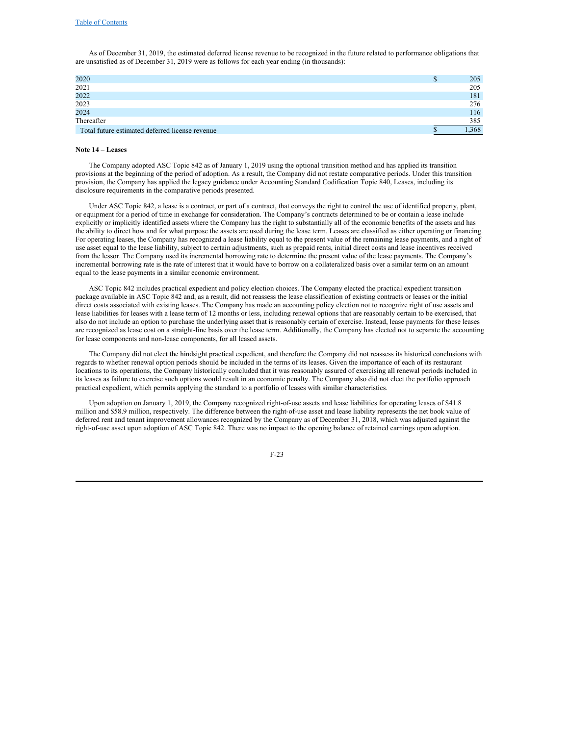As of December 31, 2019, the estimated deferred license revenue to be recognized in the future related to performance obligations that are unsatisfied as of December 31, 2019 were as follows for each year ending (in thousands):

| 2020                                            | ъ | 205  |
|-------------------------------------------------|---|------|
| 2021                                            |   | 205  |
| 2022                                            |   | 181  |
| 2023                                            |   | 276  |
| 2024                                            |   | 116  |
| Thereafter                                      |   | 385  |
| Total future estimated deferred license revenue |   | .368 |

## **Note 14 – Leases**

The Company adopted ASC Topic 842 as of January 1, 2019 using the optional transition method and has applied its transition provisions at the beginning of the period of adoption. As a result, the Company did not restate comparative periods. Under this transition provision, the Company has applied the legacy guidance under Accounting Standard Codification Topic 840, Leases, including its disclosure requirements in the comparative periods presented.

Under ASC Topic 842, a lease is a contract, or part of a contract, that conveys the right to control the use of identified property, plant, or equipment for a period of time in exchange for consideration. The Company's contracts determined to be or contain a lease include explicitly or implicitly identified assets where the Company has the right to substantially all of the economic benefits of the assets and has the ability to direct how and for what purpose the assets are used during the lease term. Leases are classified as either operating or financing. For operating leases, the Company has recognized a lease liability equal to the present value of the remaining lease payments, and a right of use asset equal to the lease liability, subject to certain adjustments, such as prepaid rents, initial direct costs and lease incentives received from the lessor. The Company used its incremental borrowing rate to determine the present value of the lease payments. The Company's incremental borrowing rate is the rate of interest that it would have to borrow on a collateralized basis over a similar term on an amount equal to the lease payments in a similar economic environment.

ASC Topic 842 includes practical expedient and policy election choices. The Company elected the practical expedient transition package available in ASC Topic 842 and, as a result, did not reassess the lease classification of existing contracts or leases or the initial direct costs associated with existing leases. The Company has made an accounting policy election not to recognize right of use assets and lease liabilities for leases with a lease term of 12 months or less, including renewal options that are reasonably certain to be exercised, that also do not include an option to purchase the underlying asset that is reasonably certain of exercise. Instead, lease payments for these leases are recognized as lease cost on a straight-line basis over the lease term. Additionally, the Company has elected not to separate the accounting for lease components and non-lease components, for all leased assets.

The Company did not elect the hindsight practical expedient, and therefore the Company did not reassess its historical conclusions with regards to whether renewal option periods should be included in the terms of its leases. Given the importance of each of its restaurant locations to its operations, the Company historically concluded that it was reasonably assured of exercising all renewal periods included in its leases as failure to exercise such options would result in an economic penalty. The Company also did not elect the portfolio approach practical expedient, which permits applying the standard to a portfolio of leases with similar characteristics.

Upon adoption on January 1, 2019, the Company recognized right-of-use assets and lease liabilities for operating leases of \$41.8 million and \$58.9 million, respectively. The difference between the right-of-use asset and lease liability represents the net book value of deferred rent and tenant improvement allowances recognized by the Company as of December 31, 2018, which was adjusted against the right-of-use asset upon adoption of ASC Topic 842. There was no impact to the opening balance of retained earnings upon adoption.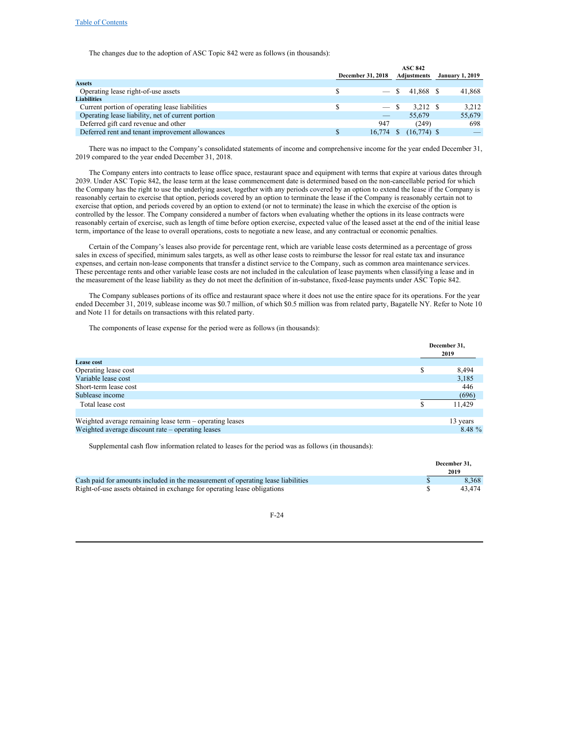The changes due to the adoption of ASC Topic 842 were as follows (in thousands):

|                                                   | <b>December 31, 2018</b> |                          | <b>ASC 842</b><br><b>Adjustments</b> | <b>January 1, 2019</b> |
|---------------------------------------------------|--------------------------|--------------------------|--------------------------------------|------------------------|
| <b>Assets</b>                                     |                          |                          |                                      |                        |
| Operating lease right-of-use assets               |                          |                          | $-$ \$ 41.868 \$                     | 41,868                 |
| <b>Liabilities</b>                                |                          |                          |                                      |                        |
| Current portion of operating lease liabilities    |                          | $-$ S                    | 3.212 \$                             | 3,212                  |
| Operating lease liability, net of current portion |                          | $\overline{\phantom{a}}$ | 55,679                               | 55,679                 |
| Deferred gift card revenue and other              |                          | 947                      | (249)                                | 698                    |
| Deferred rent and tenant improvement allowances   |                          | 16.774 \$                | $(16.774)$ \$                        |                        |

There was no impact to the Company's consolidated statements of income and comprehensive income for the year ended December 31, 2019 compared to the year ended December 31, 2018.

The Company enters into contracts to lease office space, restaurant space and equipment with terms that expire at various dates through 2039. Under ASC Topic 842, the lease term at the lease commencement date is determined based on the non-cancellable period for which the Company has the right to use the underlying asset, together with any periods covered by an option to extend the lease if the Company is reasonably certain to exercise that option, periods covered by an option to terminate the lease if the Company is reasonably certain not to exercise that option, and periods covered by an option to extend (or not to terminate) the lease in which the exercise of the option is controlled by the lessor. The Company considered a number of factors when evaluating whether the options in its lease contracts were reasonably certain of exercise, such as length of time before option exercise, expected value of the leased asset at the end of the initial lease term, importance of the lease to overall operations, costs to negotiate a new lease, and any contractual or economic penalties.

Certain of the Company's leases also provide for percentage rent, which are variable lease costs determined as a percentage of gross sales in excess of specified, minimum sales targets, as well as other lease costs to reimburse the lessor for real estate tax and insurance expenses, and certain non-lease components that transfer a distinct service to the Company, such as common area maintenance services. These percentage rents and other variable lease costs are not included in the calculation of lease payments when classifying a lease and in the measurement of the lease liability as they do not meet the definition of in-substance, fixed-lease payments under ASC Topic 842.

The Company subleases portions of its office and restaurant space where it does not use the entire space for its operations. For the year ended December 31, 2019, sublease income was \$0.7 million, of which \$0.5 million was from related party, Bagatelle NY. Refer to Note 10 and Note 11 for details on transactions with this related party.

The components of lease expense for the period were as follows (in thousands):

|                                                          | December 31,<br>2019 |          |
|----------------------------------------------------------|----------------------|----------|
| <b>Lease cost</b>                                        |                      |          |
| Operating lease cost                                     | S                    | 8,494    |
| Variable lease cost                                      |                      | 3,185    |
| Short-term lease cost                                    |                      | 446      |
| Sublease income                                          |                      | (696)    |
| Total lease cost                                         |                      | 11,429   |
|                                                          |                      |          |
| Weighted average remaining lease term – operating leases |                      | 13 years |
| Weighted average discount rate – operating leases        |                      | 8.48 %   |

Supplemental cash flow information related to leases for the period was as follows (in thousands):

|                                                                                  | December 31. |        |
|----------------------------------------------------------------------------------|--------------|--------|
|                                                                                  |              | 2019   |
| Cash paid for amounts included in the measurement of operating lease liabilities |              | 8.368  |
| Right-of-use assets obtained in exchange for operating lease obligations         |              | 43.474 |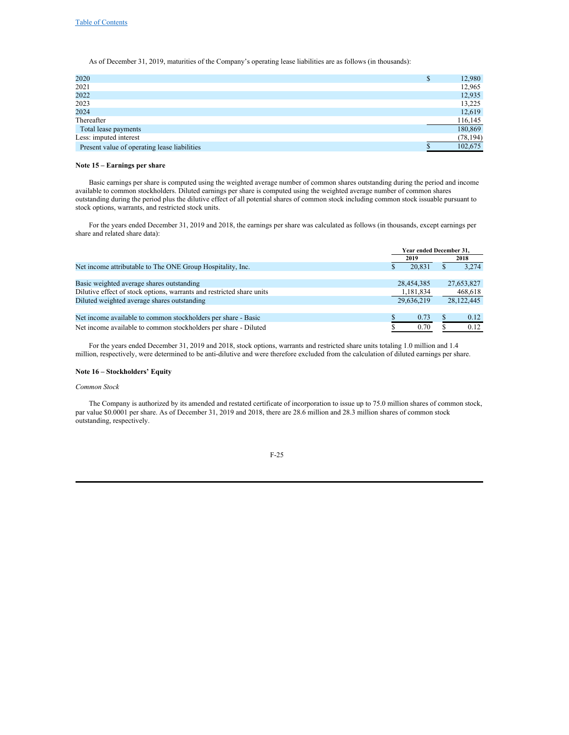As of December 31, 2019, maturities of the Company's operating lease liabilities are as follows (in thousands):

| ъ | 12,980    |
|---|-----------|
|   | 12,965    |
|   | 12,935    |
|   | 13,225    |
|   | 12,619    |
|   | 116,145   |
|   | 180,869   |
|   | (78, 194) |
|   | 102,675   |
|   |           |

#### **Note 15 – Earnings per share**

Basic earnings per share is computed using the weighted average number of common shares outstanding during the period and income available to common stockholders. Diluted earnings per share is computed using the weighted average number of common shares outstanding during the period plus the dilutive effect of all potential shares of common stock including common stock issuable pursuant to stock options, warrants, and restricted stock units.

For the years ended December 31, 2019 and 2018, the earnings per share was calculated as follows (in thousands, except earnings per share and related share data):

|                                                                       |            | Year ended December 31. |  |  |
|-----------------------------------------------------------------------|------------|-------------------------|--|--|
|                                                                       | 2019       | 2018                    |  |  |
| Net income attributable to The ONE Group Hospitality, Inc.            | 20.831     | 3.274                   |  |  |
|                                                                       |            |                         |  |  |
| Basic weighted average shares outstanding                             | 28,454,385 | 27,653,827              |  |  |
| Dilutive effect of stock options, warrants and restricted share units | 1,181,834  | 468,618                 |  |  |
| Diluted weighted average shares outstanding                           | 29.636.219 | 28,122,445              |  |  |
|                                                                       |            |                         |  |  |
| Net income available to common stockholders per share - Basic         | 0.73       | 0.12                    |  |  |
| Net income available to common stockholders per share - Diluted       | 0.70       | 0.12                    |  |  |
|                                                                       |            |                         |  |  |

For the years ended December 31, 2019 and 2018, stock options, warrants and restricted share units totaling 1.0 million and 1.4 million, respectively, were determined to be anti-dilutive and were therefore excluded from the calculation of diluted earnings per share.

# **Note 16 – Stockholders' Equity**

*Common Stock*

The Company is authorized by its amended and restated certificate of incorporation to issue up to 75.0 million shares of common stock, par value \$0.0001 per share. As of December 31, 2019 and 2018, there are 28.6 million and 28.3 million shares of common stock outstanding, respectively.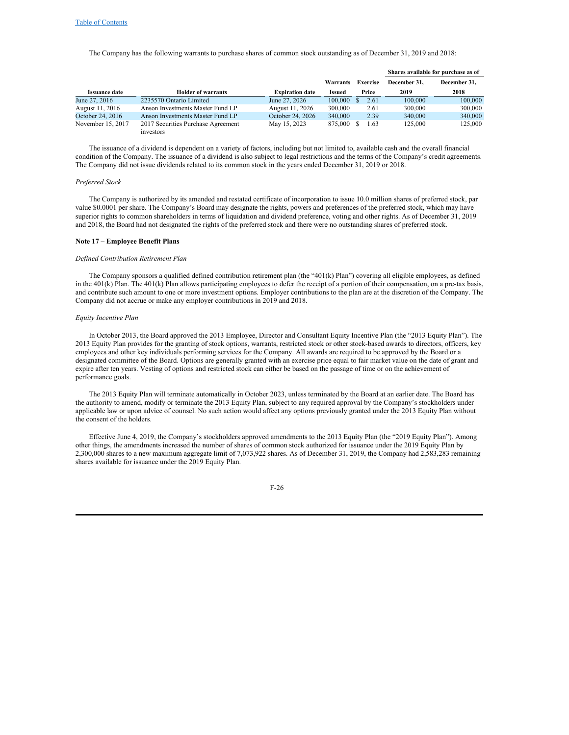The Company has the following warrants to purchase shares of common stock outstanding as of December 31, 2019 and 2018:

|                      |                                                 |                        |          |          |              | Shares available for purchase as of |
|----------------------|-------------------------------------------------|------------------------|----------|----------|--------------|-------------------------------------|
|                      |                                                 |                        | Warrants | Exercise | December 31. | December 31.                        |
| <b>Issuance date</b> | <b>Holder of warrants</b>                       | <b>Expiration date</b> | Issued   | Price    | 2019         | 2018                                |
| June 27, 2016        | 2235570 Ontario Limited                         | June 27, 2026          | 100,000  | 2.61     | 100,000      | 100,000                             |
| August 11, 2016      | Anson Investments Master Fund LP                | August 11, 2026        | 300,000  | 2.61     | 300,000      | 300,000                             |
| October 24, 2016     | Anson Investments Master Fund LP                | October 24, 2026       | 340,000  | 2.39     | 340,000      | 340,000                             |
| November 15, 2017    | 2017 Securities Purchase Agreement<br>investors | May 15, 2023           | 875,000  | 1.63     | 125,000      | 125.000                             |

The issuance of a dividend is dependent on a variety of factors, including but not limited to, available cash and the overall financial condition of the Company. The issuance of a dividend is also subject to legal restrictions and the terms of the Company's credit agreements. The Company did not issue dividends related to its common stock in the years ended December 31, 2019 or 2018.

### *Preferred Stock*

The Company is authorized by its amended and restated certificate of incorporation to issue 10.0 million shares of preferred stock, par value \$0.0001 per share. The Company's Board may designate the rights, powers and preferences of the preferred stock, which may have superior rights to common shareholders in terms of liquidation and dividend preference, voting and other rights. As of December 31, 2019 and 2018, the Board had not designated the rights of the preferred stock and there were no outstanding shares of preferred stock.

#### **Note 17 – Employee Benefit Plans**

#### *Defined Contribution Retirement Plan*

The Company sponsors a qualified defined contribution retirement plan (the "401(k) Plan") covering all eligible employees, as defined in the 401(k) Plan. The 401(k) Plan allows participating employees to defer the receipt of a portion of their compensation, on a pre-tax basis, and contribute such amount to one or more investment options. Employer contributions to the plan are at the discretion of the Company. The Company did not accrue or make any employer contributions in 2019 and 2018.

#### *Equity Incentive Plan*

In October 2013, the Board approved the 2013 Employee, Director and Consultant Equity Incentive Plan (the "2013 Equity Plan"). The 2013 Equity Plan provides for the granting of stock options, warrants, restricted stock or other stock-based awards to directors, officers, key employees and other key individuals performing services for the Company. All awards are required to be approved by the Board or a designated committee of the Board. Options are generally granted with an exercise price equal to fair market value on the date of grant and expire after ten years. Vesting of options and restricted stock can either be based on the passage of time or on the achievement of performance goals.

The 2013 Equity Plan will terminate automatically in October 2023, unless terminated by the Board at an earlier date. The Board has the authority to amend, modify or terminate the 2013 Equity Plan, subject to any required approval by the Company's stockholders under applicable law or upon advice of counsel. No such action would affect any options previously granted under the 2013 Equity Plan without the consent of the holders.

Effective June 4, 2019, the Company's stockholders approved amendments to the 2013 Equity Plan (the "2019 Equity Plan"). Among other things, the amendments increased the number of shares of common stock authorized for issuance under the 2019 Equity Plan by 2,300,000 shares to a new maximum aggregate limit of 7,073,922 shares. As of December 31, 2019, the Company had 2,583,283 remaining shares available for issuance under the 2019 Equity Plan.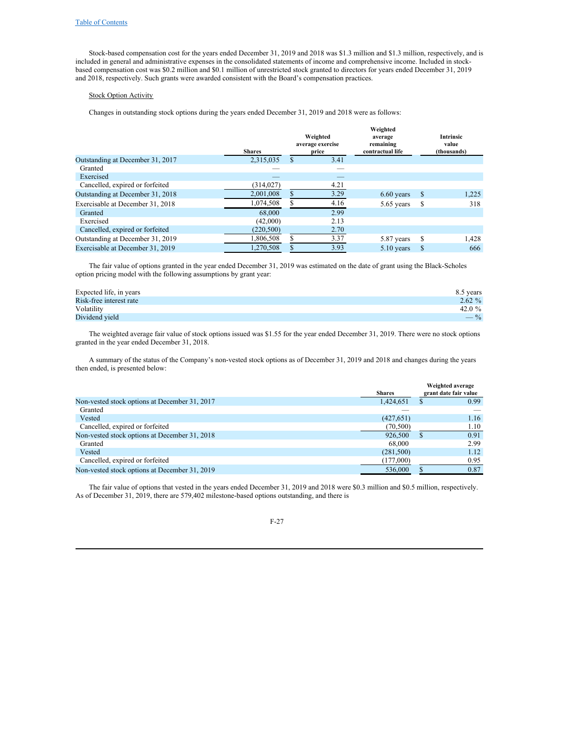Stock-based compensation cost for the years ended December 31, 2019 and 2018 was \$1.3 million and \$1.3 million, respectively, and is included in general and administrative expenses in the consolidated statements of income and comprehensive income. Included in stockbased compensation cost was \$0.2 million and \$0.1 million of unrestricted stock granted to directors for years ended December 31, 2019 and 2018, respectively. Such grants were awarded consistent with the Board's compensation practices.

## Stock Option Activity

Changes in outstanding stock options during the years ended December 31, 2019 and 2018 were as follows:

|                                  | <b>Shares</b> | Weighted<br>average exercise<br>price | Weighted<br>average<br>remaining<br>contractual life |               | <b>Intrinsic</b><br>value<br>(thousands) |
|----------------------------------|---------------|---------------------------------------|------------------------------------------------------|---------------|------------------------------------------|
| Outstanding at December 31, 2017 | 2,315,035     | \$<br>3.41                            |                                                      |               |                                          |
| Granted                          |               |                                       |                                                      |               |                                          |
| Exercised                        |               |                                       |                                                      |               |                                          |
| Cancelled, expired or forfeited  | (314, 027)    | 4.21                                  |                                                      |               |                                          |
| Outstanding at December 31, 2018 | 2,001,008     | 3.29                                  | $6.60$ years                                         | <sup>\$</sup> | 1,225                                    |
| Exercisable at December 31, 2018 | 1.074.508     | 4.16                                  | 5.65 years                                           | S             | 318                                      |
| Granted                          | 68,000        | 2.99                                  |                                                      |               |                                          |
| Exercised                        | (42,000)      | 2.13                                  |                                                      |               |                                          |
| Cancelled, expired or forfeited  | (220, 500)    | 2.70                                  |                                                      |               |                                          |
| Outstanding at December 31, 2019 | 1,806,508     | 3.37                                  | 5.87 years                                           | S             | 1,428                                    |
| Exercisable at December 31, 2019 | 1,270,508     | 3.93                                  | $5.10$ years                                         | <b>S</b>      | 666                                      |

The fair value of options granted in the year ended December 31, 2019 was estimated on the date of grant using the Black-Scholes option pricing model with the following assumptions by grant year:

| Expected life, in years | 8.5 years     |
|-------------------------|---------------|
| Risk-free interest rate | $2.62\%$      |
| Volatility              | 42.0 %        |
| Dividend yield          | $\frac{0}{2}$ |
|                         |               |

The weighted average fair value of stock options issued was \$1.55 for the year ended December 31, 2019. There were no stock options granted in the year ended December 31, 2018.

A summary of the status of the Company's non-vested stock options as of December 31, 2019 and 2018 and changes during the years then ended, is presented below:

|                                               | <b>Shares</b> | Weighted average<br>grant date fair value |      |
|-----------------------------------------------|---------------|-------------------------------------------|------|
| Non-vested stock options at December 31, 2017 | 1,424,651     |                                           | 0.99 |
| Granted                                       |               |                                           |      |
| Vested                                        | (427, 651)    |                                           | 1.16 |
| Cancelled, expired or forfeited               | (70, 500)     |                                           | 1.10 |
| Non-vested stock options at December 31, 2018 | 926,500       |                                           | 0.91 |
| Granted                                       | 68,000        |                                           | 2.99 |
| Vested                                        | (281, 500)    |                                           | 1.12 |
| Cancelled, expired or forfeited               | (177,000)     |                                           | 0.95 |
| Non-vested stock options at December 31, 2019 | 536,000       |                                           | 0.87 |

The fair value of options that vested in the years ended December 31, 2019 and 2018 were \$0.3 million and \$0.5 million, respectively. As of December 31, 2019, there are 579,402 milestone-based options outstanding, and there is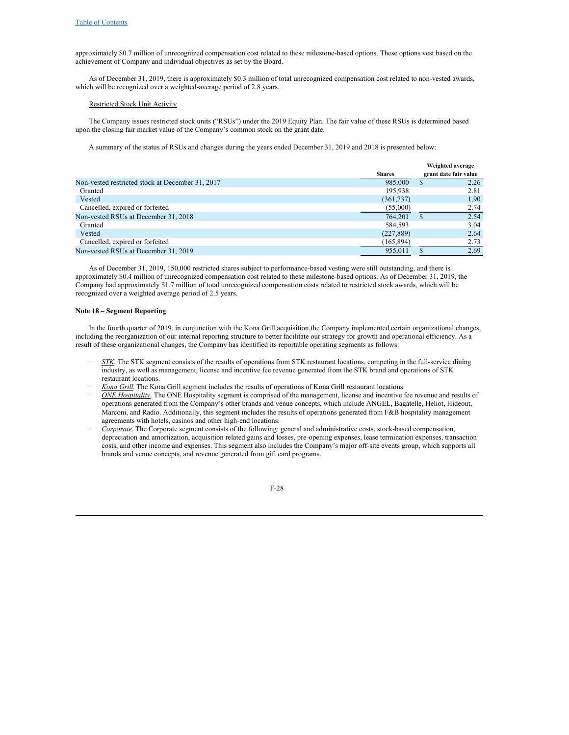approximately \$0.7 million of unrecognized compensation cost related to these milestone-based options. These options vest based on the achievement of Company and individual objectives as set by the Board.

As of December 31, 2019, there is approximately \$0.3 million of total unrecognized compensation cost related to non-vested awards, which will be recognized over a weighted-average period of 2.8 years.

#### Restricted Stock Unit Activity

The Company issues restricted stock units ("RSUs") under the 2019 Equity Plan. The fair value of these RSUs is determined based upon the closing fair market value of the Company's common stock on the grant date.

A summary of the status of RSUs and changes during the years ended December 31, 2019 and 2018 is presented below:

|                                                  | <b>Shares</b> | Weighted average<br>grant date fair value |      |
|--------------------------------------------------|---------------|-------------------------------------------|------|
| Non-vested restricted stock at December 31, 2017 | 985,000       | S                                         | 2.26 |
| Granted                                          | 195.938       |                                           | 2.81 |
| Vested                                           | (361, 737)    |                                           | 1.90 |
| Cancelled, expired or forfeited                  | (55,000)      |                                           | 2.74 |
| Non-vested RSUs at December 31, 2018             | 764,201       | S.                                        | 2.54 |
| Granted                                          | 584.593       |                                           | 3.04 |
| Vested                                           | (227, 889)    |                                           | 2.64 |
| Cancelled, expired or forfeited                  | (165, 894)    |                                           | 2.73 |
| Non-vested RSUs at December 31, 2019             | 955.011       |                                           | 2.69 |

As of December 31, 2019, 150,000 restricted shares subject to performance-based vesting were still outstanding, and there is approximately \$0.4 million of unrecognized compensation cost related to these milestone-based options. As of December 31, 2019, the Company had approximately \$1.7 million of total unrecognized compensation costs related to restricted stock awards, which will be recognized over a weighted average period of 2.5 years.

## **Note 18 – Segment Reporting**

In the fourth quarter of 2019, in conjunction with the Kona Grill acquisition,the Company implemented certain organizational changes, including the reorganization of our internal reporting structure to better facilitate our strategy for growth and operational efficiency. As a result of these organizational changes, the Company has identified its reportable operating segments as follows:

- · *STK*. The STK segment consists of the results of operations from STK restaurant locations, competing in the full-service dining industry, as well as management, license and incentive fee revenue generated from the STK brand and operations of STK restaurant locations.
- · *Kona Grill*. The Kona Grill segment includes the results of operations of Kona Grill restaurant locations.
- · *ONE Hospitality*. The ONE Hospitality segment is comprised of the management, license and incentive fee revenue and results of operations generated from the Company's other brands and venue concepts, which include ANGEL, Bagatelle, Heliot, Hideout, Marconi, and Radio. Additionally, this segment includes the results of operations generated from F&B hospitality management agreements with hotels, casinos and other high-end locations.
- · *Corporate*. The Corporate segment consists of the following: general and administrative costs, stock-based compensation, depreciation and amortization, acquisition related gains and losses, pre-opening expenses, lease termination expenses, transaction costs, and other income and expenses. This segment also includes the Company's major off-site events group, which supports all brands and venue concepts, and revenue generated from gift card programs.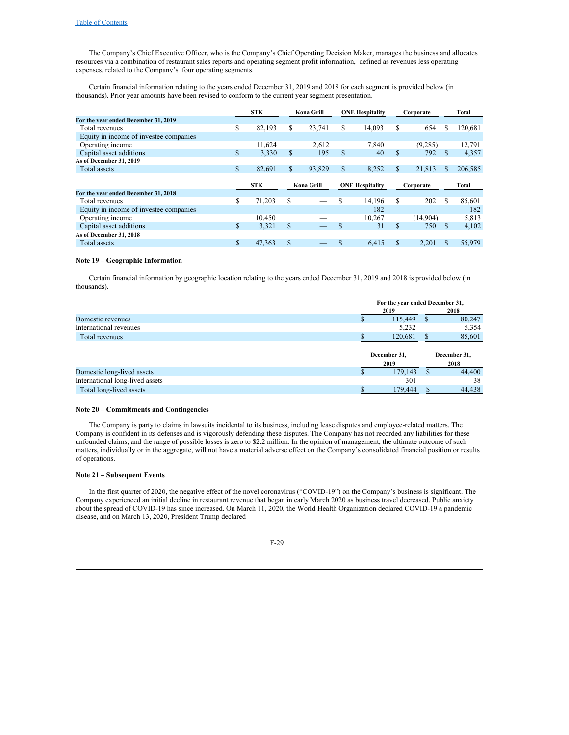The Company's Chief Executive Officer, who is the Company's Chief Operating Decision Maker, manages the business and allocates resources via a combination of restaurant sales reports and operating segment profit information, defined as revenues less operating expenses, related to the Company's four operating segments.

Certain financial information relating to the years ended December 31, 2019 and 2018 for each segment is provided below (in thousands). Prior year amounts have been revised to conform to the current year segment presentation.

|    | <b>STK</b> |              |                          |        |                                                  |          |                        | Total   |
|----|------------|--------------|--------------------------|--------|--------------------------------------------------|----------|------------------------|---------|
|    |            |              |                          |        |                                                  |          |                        |         |
| S  | 82.193     | \$<br>23,741 | \$                       | 14.093 | \$                                               | 654      | S                      | 120.681 |
|    |            |              |                          |        |                                                  |          |                        |         |
|    | 11.624     | 2.612        |                          | 7.840  |                                                  | (9, 285) |                        | 12,791  |
| S  | 3,330      | \$<br>195    | S                        | 40     | \$.                                              | 792      | \$.                    | 4,357   |
|    |            |              |                          |        |                                                  |          |                        |         |
| \$ | 82.691     | \$<br>93,829 | \$                       | 8,252  | \$.                                              | 21.813   |                        | 206,585 |
|    |            |              |                          |        |                                                  |          |                        |         |
|    | <b>STK</b> |              |                          |        |                                                  |          |                        | Total   |
|    |            |              |                          |        |                                                  |          |                        |         |
| \$ | 71,203     | \$           | S                        | 14.196 | S.                                               | 202      | \$.                    | 85,601  |
|    |            |              |                          | 182    |                                                  |          |                        | 182     |
|    | 10.450     |              |                          | 10.267 |                                                  | (14,904) |                        | 5,813   |
| \$ | 3,321      | \$           | \$                       | 31     | \$.                                              | 750      | S                      | 4,102   |
|    |            |              |                          |        |                                                  |          |                        |         |
| \$ | 47.363     | \$           | S                        | 6.415  | \$.                                              | 2.201    | S.                     | 55,979  |
|    |            |              | Kona Grill<br>Kona Grill |        | <b>ONE Hospitality</b><br><b>ONE Hospitality</b> |          | Corporate<br>Corporate |         |

## **Note 19 – Geographic Information**

Certain financial information by geographic location relating to the years ended December 31, 2019 and 2018 is provided below (in thousands).

|                                 | For the year ended December 31, |      |              |  |
|---------------------------------|---------------------------------|------|--------------|--|
|                                 | 2019                            | 2018 |              |  |
| Domestic revenues               | 115,449                         | S    | 80,247       |  |
| International revenues          | 5,232                           |      | 5,354        |  |
| Total revenues                  | 120,681                         |      |              |  |
|                                 | December 31.                    |      | December 31, |  |
|                                 | 2019                            | 2018 |              |  |
| Domestic long-lived assets      | 179,143                         |      | 44,400       |  |
| International long-lived assets | 301                             |      | 38           |  |
| Total long-lived assets         | 179,444                         |      | 44,438       |  |

### **Note 20 – Commitments and Contingencies**

The Company is party to claims in lawsuits incidental to its business, including lease disputes and employee-related matters. The Company is confident in its defenses and is vigorously defending these disputes. The Company has not recorded any liabilities for these unfounded claims, and the range of possible losses is zero to \$2.2 million. In the opinion of management, the ultimate outcome of such matters, individually or in the aggregate, will not have a material adverse effect on the Company's consolidated financial position or results of operations.

### **Note 21 – Subsequent Events**

In the first quarter of 2020, the negative effect of the novel coronavirus ("COVID-19") on the Company's business is significant. The Company experienced an initial decline in restaurant revenue that began in early March 2020 as business travel decreased. Public anxiety about the spread of COVID-19 has since increased. On March 11, 2020, the World Health Organization declared COVID-19 a pandemic disease, and on March 13, 2020, President Trump declared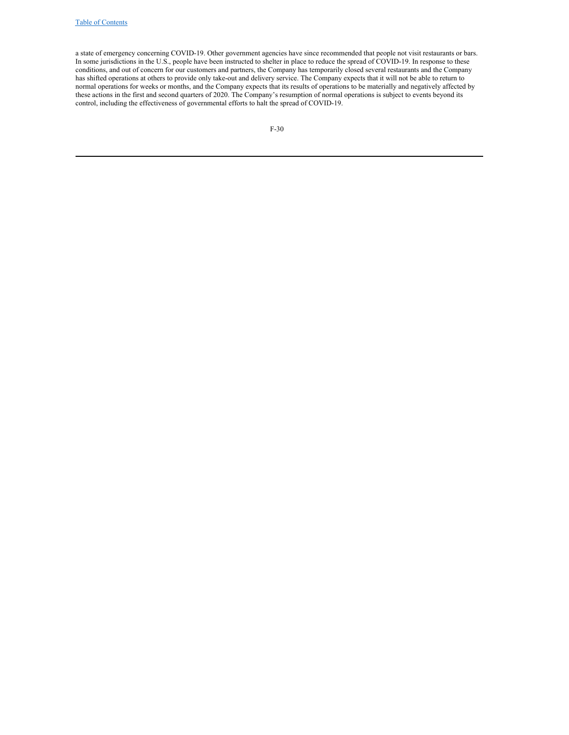a state of emergency concerning COVID-19. Other government agencies have since recommended that people not visit restaurants or bars. In some jurisdictions in the U.S., people have been instructed to shelter in place to reduce the spread of COVID-19. In response to these conditions, and out of concern for our customers and partners, the Company has temporarily closed several restaurants and the Company has shifted operations at others to provide only take-out and delivery service. The Company expects that it will not be able to return to normal operations for weeks or months, and the Company expects that its results of operations to be materially and negatively affected by these actions in the first and second quarters of 2020. The Company's resumption of normal operations is subject to events beyond its control, including the effectiveness of governmental efforts to halt the spread of COVID-19.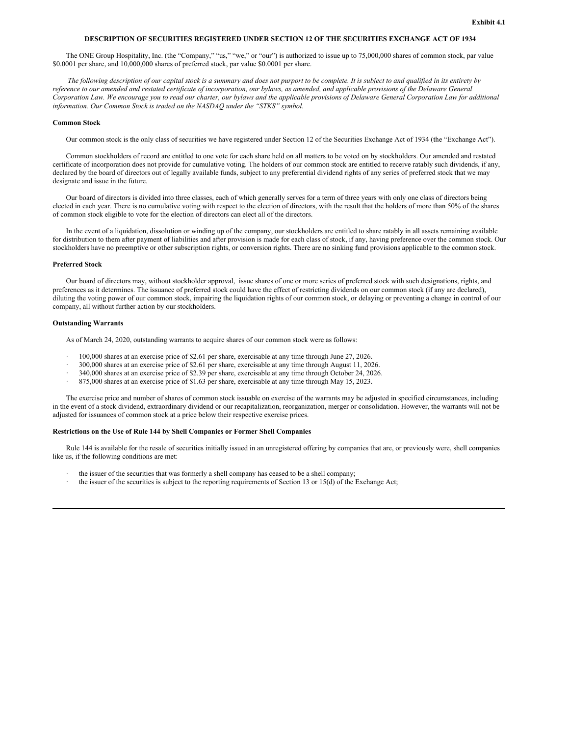## **DESCRIPTION OF SECURITIES REGISTERED UNDER SECTION 12 OF THE SECURITIES EXCHANGE ACT OF 1934**

The ONE Group Hospitality, Inc. (the "Company," "us," "we," or "our") is authorized to issue up to 75,000,000 shares of common stock, par value \$0.0001 per share, and 10,000,000 shares of preferred stock, par value \$0.0001 per share.

The following description of our capital stock is a summary and does not purport to be complete. It is subject to and qualified in its entirety by reference to our amended and restated certificate of incorporation, our bylaws, as amended, and applicable provisions of the Delaware General Corporation Law. We encourage you to read our charter, our bylaws and the applicable provisions of Delaware General Corporation Law for additional *information. Our Common Stock is traded on the NASDAQ under the "STKS" symbol.*

## **Common Stock**

Our common stock is the only class of securities we have registered under Section 12 of the Securities Exchange Act of 1934 (the "Exchange Act").

Common stockholders of record are entitled to one vote for each share held on all matters to be voted on by stockholders. Our amended and restated certificate of incorporation does not provide for cumulative voting. The holders of our common stock are entitled to receive ratably such dividends, if any, declared by the board of directors out of legally available funds, subject to any preferential dividend rights of any series of preferred stock that we may designate and issue in the future.

Our board of directors is divided into three classes, each of which generally serves for a term of three years with only one class of directors being elected in each year. There is no cumulative voting with respect to the election of directors, with the result that the holders of more than 50% of the shares of common stock eligible to vote for the election of directors can elect all of the directors.

In the event of a liquidation, dissolution or winding up of the company, our stockholders are entitled to share ratably in all assets remaining available for distribution to them after payment of liabilities and after provision is made for each class of stock, if any, having preference over the common stock. Our stockholders have no preemptive or other subscription rights, or conversion rights. There are no sinking fund provisions applicable to the common stock.

## **Preferred Stock**

Our board of directors may, without stockholder approval, issue shares of one or more series of preferred stock with such designations, rights, and preferences as it determines. The issuance of preferred stock could have the effect of restricting dividends on our common stock (if any are declared), diluting the voting power of our common stock, impairing the liquidation rights of our common stock, or delaying or preventing a change in control of our company, all without further action by our stockholders.

### **Outstanding Warrants**

As of March 24, 2020, outstanding warrants to acquire shares of our common stock were as follows:

- · 100,000 shares at an exercise price of \$2.61 per share, exercisable at any time through June 27, 2026.
- · 300,000 shares at an exercise price of \$2.61 per share, exercisable at any time through August 11, 2026.
- · 340,000 shares at an exercise price of \$2.39 per share, exercisable at any time through October 24, 2026.
- · 875,000 shares at an exercise price of \$1.63 per share, exercisable at any time through May 15, 2023.

The exercise price and number of shares of common stock issuable on exercise of the warrants may be adjusted in specified circumstances, including in the event of a stock dividend, extraordinary dividend or our recapitalization, reorganization, merger or consolidation. However, the warrants will not be adjusted for issuances of common stock at a price below their respective exercise prices.

#### **Restrictions on the Use of Rule 144 by Shell Companies or Former Shell Companies**

Rule 144 is available for the resale of securities initially issued in an unregistered offering by companies that are, or previously were, shell companies like us, if the following conditions are met:

- · the issuer of the securities that was formerly a shell company has ceased to be a shell company;
- · the issuer of the securities is subject to the reporting requirements of Section 13 or 15(d) of the Exchange Act;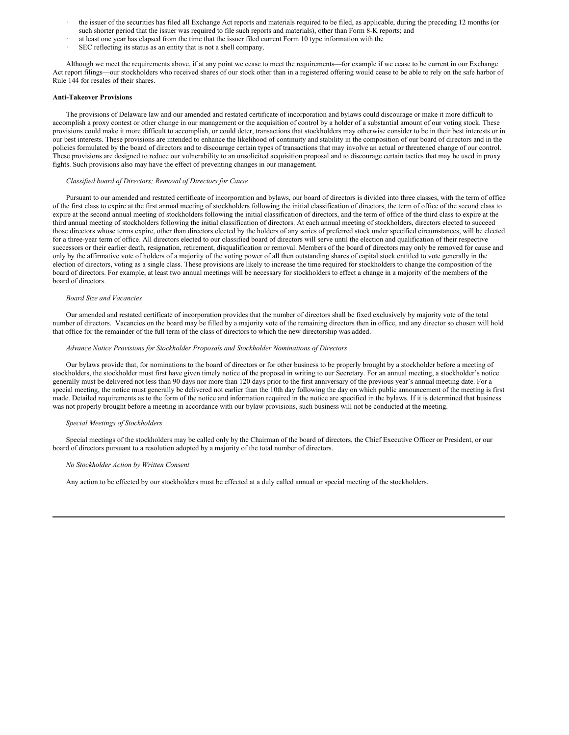- · the issuer of the securities has filed all Exchange Act reports and materials required to be filed, as applicable, during the preceding 12 months (or such shorter period that the issuer was required to file such reports and materials), other than Form 8-K reports; and
- at least one year has elapsed from the time that the issuer filed current Form 10 type information with the
- SEC reflecting its status as an entity that is not a shell company.

Although we meet the requirements above, if at any point we cease to meet the requirements—for example if we cease to be current in our Exchange Act report filings—our stockholders who received shares of our stock other than in a registered offering would cease to be able to rely on the safe harbor of Rule 144 for resales of their shares.

#### **Anti-Takeover Provisions**

The provisions of Delaware law and our amended and restated certificate of incorporation and bylaws could discourage or make it more difficult to accomplish a proxy contest or other change in our management or the acquisition of control by a holder of a substantial amount of our voting stock. These provisions could make it more difficult to accomplish, or could deter, transactions that stockholders may otherwise consider to be in their best interests or in our best interests. These provisions are intended to enhance the likelihood of continuity and stability in the composition of our board of directors and in the policies formulated by the board of directors and to discourage certain types of transactions that may involve an actual or threatened change of our control. These provisions are designed to reduce our vulnerability to an unsolicited acquisition proposal and to discourage certain tactics that may be used in proxy fights. Such provisions also may have the effect of preventing changes in our management.

#### *Classified board of Directors; Removal of Directors for Cause*

Pursuant to our amended and restated certificate of incorporation and bylaws, our board of directors is divided into three classes, with the term of office of the first class to expire at the first annual meeting of stockholders following the initial classification of directors, the term of office of the second class to expire at the second annual meeting of stockholders following the initial classification of directors, and the term of office of the third class to expire at the third annual meeting of stockholders following the initial classification of directors. At each annual meeting of stockholders, directors elected to succeed those directors whose terms expire, other than directors elected by the holders of any series of preferred stock under specified circumstances, will be elected for a three-year term of office. All directors elected to our classified board of directors will serve until the election and qualification of their respective successors or their earlier death, resignation, retirement, disqualification or removal. Members of the board of directors may only be removed for cause and only by the affirmative vote of holders of a majority of the voting power of all then outstanding shares of capital stock entitled to vote generally in the election of directors, voting as a single class. These provisions are likely to increase the time required for stockholders to change the composition of the board of directors. For example, at least two annual meetings will be necessary for stockholders to effect a change in a majority of the members of the board of directors.

#### *Board Size and Vacancies*

Our amended and restated certificate of incorporation provides that the number of directors shall be fixed exclusively by majority vote of the total number of directors. Vacancies on the board may be filled by a majority vote of the remaining directors then in office, and any director so chosen will hold that office for the remainder of the full term of the class of directors to which the new directorship was added.

### *Advance Notice Provisions for Stockholder Proposals and Stockholder Nominations of Directors*

Our bylaws provide that, for nominations to the board of directors or for other business to be properly brought by a stockholder before a meeting of stockholders, the stockholder must first have given timely notice of the proposal in writing to our Secretary. For an annual meeting, a stockholder's notice generally must be delivered not less than 90 days nor more than 120 days prior to the first anniversary of the previous year's annual meeting date. For a special meeting, the notice must generally be delivered not earlier than the 10th day following the day on which public announcement of the meeting is first made. Detailed requirements as to the form of the notice and information required in the notice are specified in the bylaws. If it is determined that business was not properly brought before a meeting in accordance with our bylaw provisions, such business will not be conducted at the meeting.

#### *Special Meetings of Stockholders*

Special meetings of the stockholders may be called only by the Chairman of the board of directors, the Chief Executive Officer or President, or our board of directors pursuant to a resolution adopted by a majority of the total number of directors.

#### *No Stockholder Action by Written Consent*

Any action to be effected by our stockholders must be effected at a duly called annual or special meeting of the stockholders.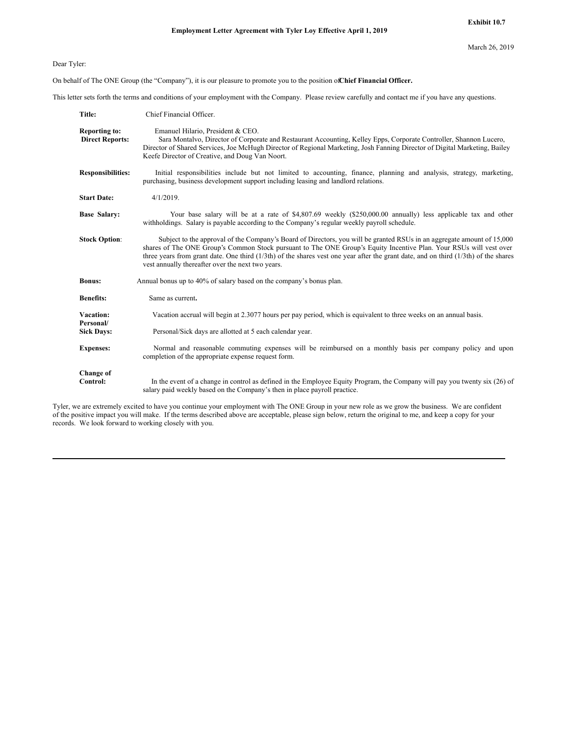March 26, 2019

# Dear Tyler:

On behalf of The ONE Group (the "Company"), it is our pleasure to promote you to the position of**Chief Financial Officer.**

This letter sets forth the terms and conditions of your employment with the Company. Please review carefully and contact me if you have any questions.

| Title:                                         | Chief Financial Officer.                                                                                                                                                                                                                                                                                                                                                                                                                     |
|------------------------------------------------|----------------------------------------------------------------------------------------------------------------------------------------------------------------------------------------------------------------------------------------------------------------------------------------------------------------------------------------------------------------------------------------------------------------------------------------------|
| <b>Reporting to:</b><br><b>Direct Reports:</b> | Emanuel Hilario, President & CEO.<br>Sara Montalvo, Director of Corporate and Restaurant Accounting, Kelley Epps, Corporate Controller, Shannon Lucero,<br>Director of Shared Services, Joe McHugh Director of Regional Marketing, Josh Fanning Director of Digital Marketing, Bailey<br>Keefe Director of Creative, and Doug Van Noort.                                                                                                     |
| <b>Responsibilities:</b>                       | Initial responsibilities include but not limited to accounting, finance, planning and analysis, strategy, marketing,<br>purchasing, business development support including leasing and landlord relations.                                                                                                                                                                                                                                   |
| <b>Start Date:</b>                             | $4/1/2019$ .                                                                                                                                                                                                                                                                                                                                                                                                                                 |
| <b>Base Salary:</b>                            | Your base salary will be at a rate of \$4,807.69 weekly (\$250,000.00 annually) less applicable tax and other<br>with holdings. Salary is payable according to the Company's regular weekly payroll schedule.                                                                                                                                                                                                                                |
| <b>Stock Option:</b>                           | Subject to the approval of the Company's Board of Directors, you will be granted RSUs in an aggregate amount of 15,000<br>shares of The ONE Group's Common Stock pursuant to The ONE Group's Equity Incentive Plan. Your RSUs will vest over<br>three years from grant date. One third $(1/3th)$ of the shares vest one year after the grant date, and on third $(1/3th)$ of the shares<br>vest annually thereafter over the next two years. |
| <b>Bonus:</b>                                  | Annual bonus up to 40% of salary based on the company's bonus plan.                                                                                                                                                                                                                                                                                                                                                                          |
| <b>Benefits:</b>                               | Same as current.                                                                                                                                                                                                                                                                                                                                                                                                                             |
| Vacation:<br>Personal/                         | Vacation accrual will begin at 2.3077 hours per pay period, which is equivalent to three weeks on an annual basis.                                                                                                                                                                                                                                                                                                                           |
| <b>Sick Days:</b>                              | Personal/Sick days are allotted at 5 each calendar year.                                                                                                                                                                                                                                                                                                                                                                                     |
| <b>Expenses:</b>                               | Normal and reasonable commuting expenses will be reimbursed on a monthly basis per company policy and upon<br>completion of the appropriate expense request form.                                                                                                                                                                                                                                                                            |
| <b>Change</b> of<br>Control:                   | In the event of a change in control as defined in the Employee Equity Program, the Company will pay you twenty six (26) of<br>salary paid weekly based on the Company's then in place payroll practice.                                                                                                                                                                                                                                      |

Tyler, we are extremely excited to have you continue your employment with The ONE Group in your new role as we grow the business. We are confident of the positive impact you will make. If the terms described above are acceptable, please sign below, return the original to me, and keep a copy for your records. We look forward to working closely with you.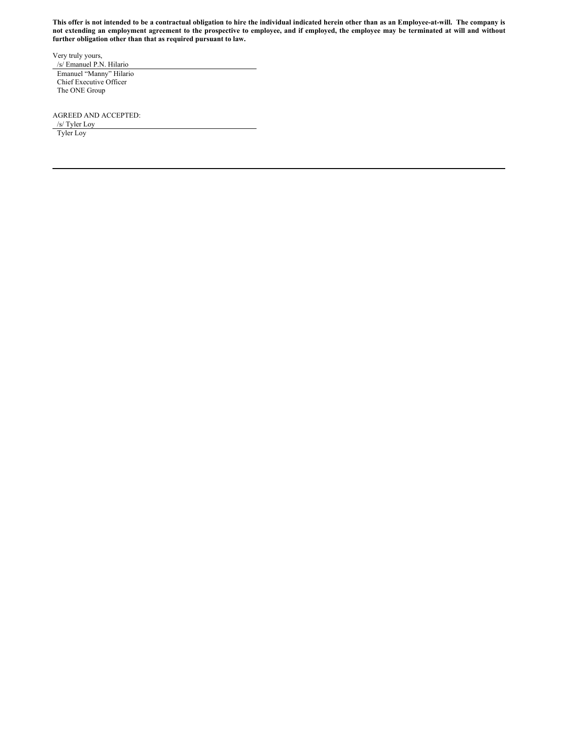This offer is not intended to be a contractual obligation to hire the individual indicated herein other than as an Employee-at-will. The company is not extending an employment agreement to the prospective to employee, and if employed, the employee may be terminated at will and without **further obligation other than that as required pursuant to law.**

Very truly yours, /s/ Emanuel P.N. Hilario Emanuel "Manny" Hilario Chief Executive Officer The ONE Group

AGREED AND ACCEPTED:

/s/ Tyler Loy

Tyler Loy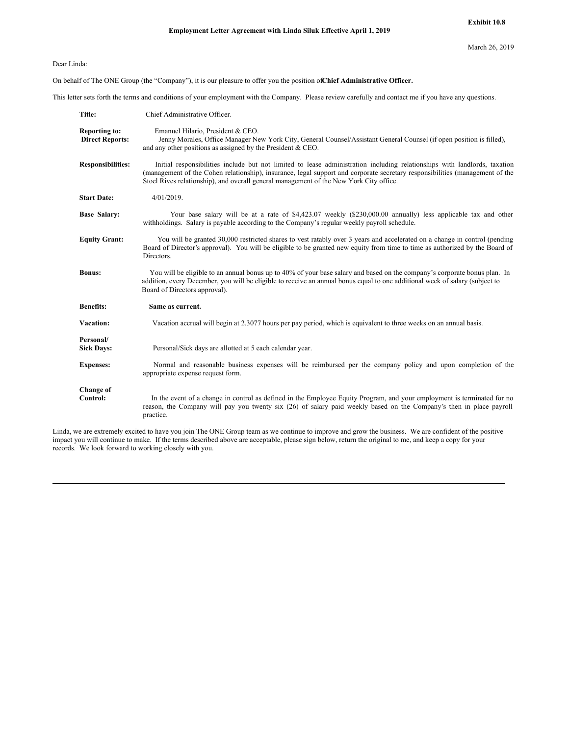March 26, 2019

# Dear Linda:

On behalf of The ONE Group (the "Company"), it is our pleasure to offer you the position of**Chief Administrative Officer.**

This letter sets forth the terms and conditions of your employment with the Company. Please review carefully and contact me if you have any questions.

| Title:                                         | Chief Administrative Officer.                                                                                                                                                                                                                                                                                                                       |
|------------------------------------------------|-----------------------------------------------------------------------------------------------------------------------------------------------------------------------------------------------------------------------------------------------------------------------------------------------------------------------------------------------------|
| <b>Reporting to:</b><br><b>Direct Reports:</b> | Emanuel Hilario, President & CEO.<br>Jenny Morales, Office Manager New York City, General Counsel/Assistant General Counsel (if open position is filled),<br>and any other positions as assigned by the President $&$ CEO.                                                                                                                          |
| <b>Responsibilities:</b>                       | Initial responsibilities include but not limited to lease administration including relationships with landlords, taxation<br>(management of the Cohen relationship), insurance, legal support and corporate secretary responsibilities (management of the<br>Stoel Rives relationship), and overall general management of the New York City office. |
| <b>Start Date:</b>                             | $4/01/2019$ .                                                                                                                                                                                                                                                                                                                                       |
| <b>Base Salary:</b>                            | Your base salary will be at a rate of \$4,423.07 weekly (\$230,000.00 annually) less applicable tax and other<br>with holdings. Salary is payable according to the Company's regular weekly payroll schedule.                                                                                                                                       |
| <b>Equity Grant:</b>                           | You will be granted 30,000 restricted shares to vest ratably over 3 years and accelerated on a change in control (pending<br>Board of Director's approval). You will be eligible to be granted new equity from time to time as authorized by the Board of<br>Directors.                                                                             |
| <b>Bonus:</b>                                  | You will be eligible to an annual bonus up to 40% of your base salary and based on the company's corporate bonus plan. In<br>addition, every December, you will be eligible to receive an annual bonus equal to one additional week of salary (subject to<br>Board of Directors approval).                                                          |
| <b>Benefits:</b>                               | Same as current.                                                                                                                                                                                                                                                                                                                                    |
| Vacation:                                      | Vacation accrual will begin at 2.3077 hours per pay period, which is equivalent to three weeks on an annual basis.                                                                                                                                                                                                                                  |
| Personal/<br><b>Sick Days:</b>                 | Personal/Sick days are allotted at 5 each calendar year.                                                                                                                                                                                                                                                                                            |
| <b>Expenses:</b>                               | Normal and reasonable business expenses will be reimbursed per the company policy and upon completion of the<br>appropriate expense request form.                                                                                                                                                                                                   |
| <b>Change</b> of<br>Control:                   | In the event of a change in control as defined in the Employee Equity Program, and your employment is terminated for no<br>reason, the Company will pay you twenty six (26) of salary paid weekly based on the Company's then in place payroll<br>practice.                                                                                         |

Linda, we are extremely excited to have you join The ONE Group team as we continue to improve and grow the business. We are confident of the positive impact you will continue to make. If the terms described above are acceptable, please sign below, return the original to me, and keep a copy for your records. We look forward to working closely with you.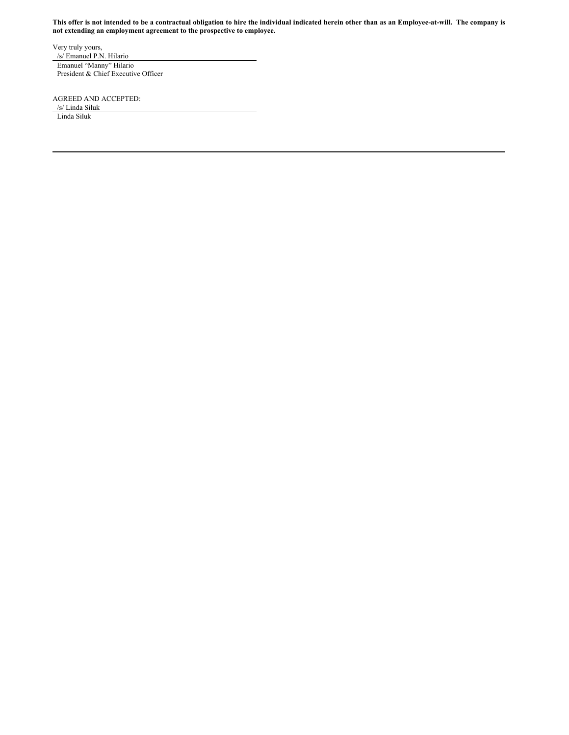This offer is not intended to be a contractual obligation to hire the individual indicated herein other than as an Employee-at-will. The company is **not extending an employment agreement to the prospective to employee.**

Very truly yours, /s/ Emanuel P.N. Hilario Emanuel "Manny" Hilario President & Chief Executive Officer

AGREED AND ACCEPTED:

/s/ Linda Siluk Linda Siluk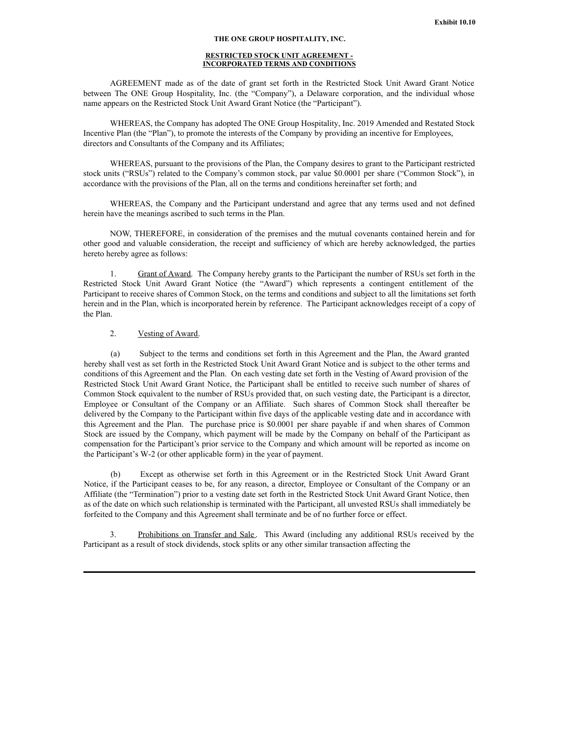### **THE ONE GROUP HOSPITALITY, INC.**

## **RESTRICTED STOCK UNIT AGREEMENT - INCORPORATED TERMS AND CONDITIONS**

AGREEMENT made as of the date of grant set forth in the Restricted Stock Unit Award Grant Notice between The ONE Group Hospitality, Inc. (the "Company"), a Delaware corporation, and the individual whose name appears on the Restricted Stock Unit Award Grant Notice (the "Participant").

WHEREAS, the Company has adopted The ONE Group Hospitality, Inc. 2019 Amended and Restated Stock Incentive Plan (the "Plan"), to promote the interests of the Company by providing an incentive for Employees, directors and Consultants of the Company and its Affiliates;

WHEREAS, pursuant to the provisions of the Plan, the Company desires to grant to the Participant restricted stock units ("RSUs") related to the Company's common stock, par value \$0.0001 per share ("Common Stock"), in accordance with the provisions of the Plan, all on the terms and conditions hereinafter set forth; and

WHEREAS, the Company and the Participant understand and agree that any terms used and not defined herein have the meanings ascribed to such terms in the Plan.

NOW, THEREFORE, in consideration of the premises and the mutual covenants contained herein and for other good and valuable consideration, the receipt and sufficiency of which are hereby acknowledged, the parties hereto hereby agree as follows:

1. Grant of Award. The Company hereby grants to the Participant the number of RSUs set forth in the Restricted Stock Unit Award Grant Notice (the "Award") which represents a contingent entitlement of the Participant to receive shares of Common Stock, on the terms and conditions and subject to all the limitations set forth herein and in the Plan, which is incorporated herein by reference. The Participant acknowledges receipt of a copy of the Plan.

## 2. Vesting of Award.

(a) Subject to the terms and conditions set forth in this Agreement and the Plan, the Award granted hereby shall vest as set forth in the Restricted Stock Unit Award Grant Notice and is subject to the other terms and conditions of this Agreement and the Plan. On each vesting date set forth in the Vesting of Award provision of the Restricted Stock Unit Award Grant Notice, the Participant shall be entitled to receive such number of shares of Common Stock equivalent to the number of RSUs provided that, on such vesting date, the Participant is a director, Employee or Consultant of the Company or an Affiliate. Such shares of Common Stock shall thereafter be delivered by the Company to the Participant within five days of the applicable vesting date and in accordance with this Agreement and the Plan. The purchase price is \$0.0001 per share payable if and when shares of Common Stock are issued by the Company, which payment will be made by the Company on behalf of the Participant as compensation for the Participant's prior service to the Company and which amount will be reported as income on the Participant's W-2 (or other applicable form) in the year of payment.

(b) Except as otherwise set forth in this Agreement or in the Restricted Stock Unit Award Grant Notice, if the Participant ceases to be, for any reason, a director, Employee or Consultant of the Company or an Affiliate (the "Termination") prior to a vesting date set forth in the Restricted Stock Unit Award Grant Notice, then as of the date on which such relationship is terminated with the Participant, all unvested RSUs shall immediately be forfeited to the Company and this Agreement shall terminate and be of no further force or effect.

3. Prohibitions on Transfer and Sale . This Award (including any additional RSUs received by the Participant as a result of stock dividends, stock splits or any other similar transaction affecting the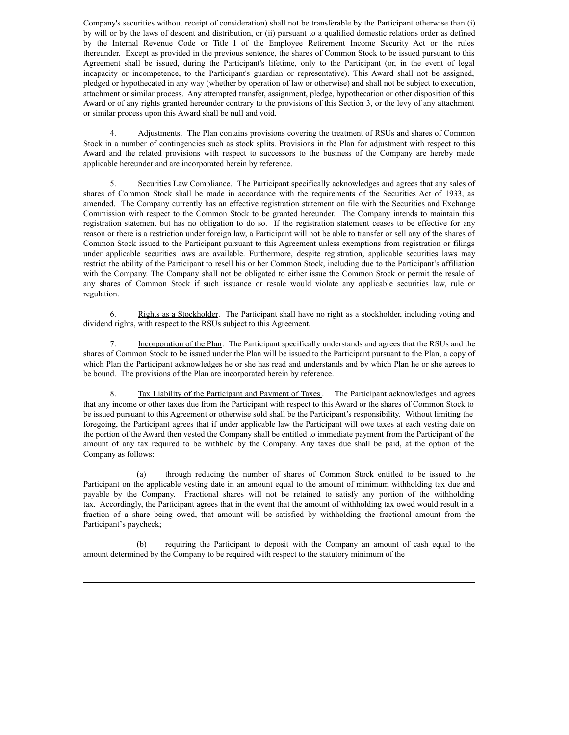Company's securities without receipt of consideration) shall not be transferable by the Participant otherwise than (i) by will or by the laws of descent and distribution, or (ii) pursuant to a qualified domestic relations order as defined by the Internal Revenue Code or Title I of the Employee Retirement Income Security Act or the rules thereunder. Except as provided in the previous sentence, the shares of Common Stock to be issued pursuant to this Agreement shall be issued, during the Participant's lifetime, only to the Participant (or, in the event of legal incapacity or incompetence, to the Participant's guardian or representative). This Award shall not be assigned, pledged or hypothecated in any way (whether by operation of law or otherwise) and shall not be subject to execution, attachment or similar process. Any attempted transfer, assignment, pledge, hypothecation or other disposition of this Award or of any rights granted hereunder contrary to the provisions of this Section 3, or the levy of any attachment or similar process upon this Award shall be null and void.

4. Adjustments. The Plan contains provisions covering the treatment of RSUs and shares of Common Stock in a number of contingencies such as stock splits. Provisions in the Plan for adjustment with respect to this Award and the related provisions with respect to successors to the business of the Company are hereby made applicable hereunder and are incorporated herein by reference.

5. Securities Law Compliance. The Participant specifically acknowledges and agrees that any sales of shares of Common Stock shall be made in accordance with the requirements of the Securities Act of 1933, as amended. The Company currently has an effective registration statement on file with the Securities and Exchange Commission with respect to the Common Stock to be granted hereunder. The Company intends to maintain this registration statement but has no obligation to do so. If the registration statement ceases to be effective for any reason or there is a restriction under foreign law, a Participant will not be able to transfer or sell any of the shares of Common Stock issued to the Participant pursuant to this Agreement unless exemptions from registration or filings under applicable securities laws are available. Furthermore, despite registration, applicable securities laws may restrict the ability of the Participant to resell his or her Common Stock, including due to the Participant's affiliation with the Company. The Company shall not be obligated to either issue the Common Stock or permit the resale of any shares of Common Stock if such issuance or resale would violate any applicable securities law, rule or regulation.

6. Rights as a Stockholder. The Participant shall have no right as a stockholder, including voting and dividend rights, with respect to the RSUs subject to this Agreement.

7. Incorporation of the Plan. The Participant specifically understands and agrees that the RSUs and the shares of Common Stock to be issued under the Plan will be issued to the Participant pursuant to the Plan, a copy of which Plan the Participant acknowledges he or she has read and understands and by which Plan he or she agrees to be bound. The provisions of the Plan are incorporated herein by reference.

8. Tax Liability of the Participant and Payment of Taxes. The Participant acknowledges and agrees that any income or other taxes due from the Participant with respect to this Award or the shares of Common Stock to be issued pursuant to this Agreement or otherwise sold shall be the Participant's responsibility. Without limiting the foregoing, the Participant agrees that if under applicable law the Participant will owe taxes at each vesting date on the portion of the Award then vested the Company shall be entitled to immediate payment from the Participant of the amount of any tax required to be withheld by the Company. Any taxes due shall be paid, at the option of the Company as follows:

(a) through reducing the number of shares of Common Stock entitled to be issued to the Participant on the applicable vesting date in an amount equal to the amount of minimum withholding tax due and payable by the Company. Fractional shares will not be retained to satisfy any portion of the withholding tax. Accordingly, the Participant agrees that in the event that the amount of withholding tax owed would result in a fraction of a share being owed, that amount will be satisfied by withholding the fractional amount from the Participant's paycheck;

(b) requiring the Participant to deposit with the Company an amount of cash equal to the amount determined by the Company to be required with respect to the statutory minimum of the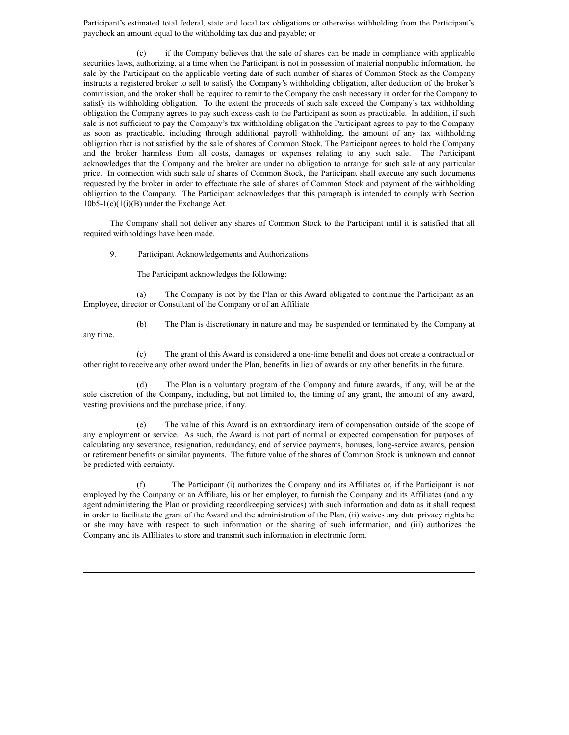Participant's estimated total federal, state and local tax obligations or otherwise withholding from the Participant's paycheck an amount equal to the withholding tax due and payable; or

(c) if the Company believes that the sale of shares can be made in compliance with applicable securities laws, authorizing, at a time when the Participant is not in possession of material nonpublic information, the sale by the Participant on the applicable vesting date of such number of shares of Common Stock as the Company instructs a registered broker to sell to satisfy the Company's withholding obligation, after deduction of the broker's commission, and the broker shall be required to remit to the Company the cash necessary in order for the Company to satisfy its withholding obligation. To the extent the proceeds of such sale exceed the Company's tax withholding obligation the Company agrees to pay such excess cash to the Participant as soon as practicable. In addition, if such sale is not sufficient to pay the Company's tax withholding obligation the Participant agrees to pay to the Company as soon as practicable, including through additional payroll withholding, the amount of any tax withholding obligation that is not satisfied by the sale of shares of Common Stock. The Participant agrees to hold the Company and the broker harmless from all costs, damages or expenses relating to any such sale. The Participant acknowledges that the Company and the broker are under no obligation to arrange for such sale at any particular price. In connection with such sale of shares of Common Stock, the Participant shall execute any such documents requested by the broker in order to effectuate the sale of shares of Common Stock and payment of the withholding obligation to the Company. The Participant acknowledges that this paragraph is intended to comply with Section 10b5-1(c)(1(i)(B) under the Exchange Act.

The Company shall not deliver any shares of Common Stock to the Participant until it is satisfied that all required withholdings have been made.

9. Participant Acknowledgements and Authorizations.

The Participant acknowledges the following:

(a) The Company is not by the Plan or this Award obligated to continue the Participant as an Employee, director or Consultant of the Company or of an Affiliate.

any time.

(b) The Plan is discretionary in nature and may be suspended or terminated by the Company at

(c) The grant of this Award is considered a one-time benefit and does not create a contractual or other right to receive any other award under the Plan, benefits in lieu of awards or any other benefits in the future.

(d) The Plan is a voluntary program of the Company and future awards, if any, will be at the sole discretion of the Company, including, but not limited to, the timing of any grant, the amount of any award, vesting provisions and the purchase price, if any.

(e) The value of this Award is an extraordinary item of compensation outside of the scope of any employment or service. As such, the Award is not part of normal or expected compensation for purposes of calculating any severance, resignation, redundancy, end of service payments, bonuses, long-service awards, pension or retirement benefits or similar payments. The future value of the shares of Common Stock is unknown and cannot be predicted with certainty.

(f) The Participant (i) authorizes the Company and its Affiliates or, if the Participant is not employed by the Company or an Affiliate, his or her employer, to furnish the Company and its Affiliates (and any agent administering the Plan or providing recordkeeping services) with such information and data as it shall request in order to facilitate the grant of the Award and the administration of the Plan, (ii) waives any data privacy rights he or she may have with respect to such information or the sharing of such information, and (iii) authorizes the Company and its Affiliates to store and transmit such information in electronic form.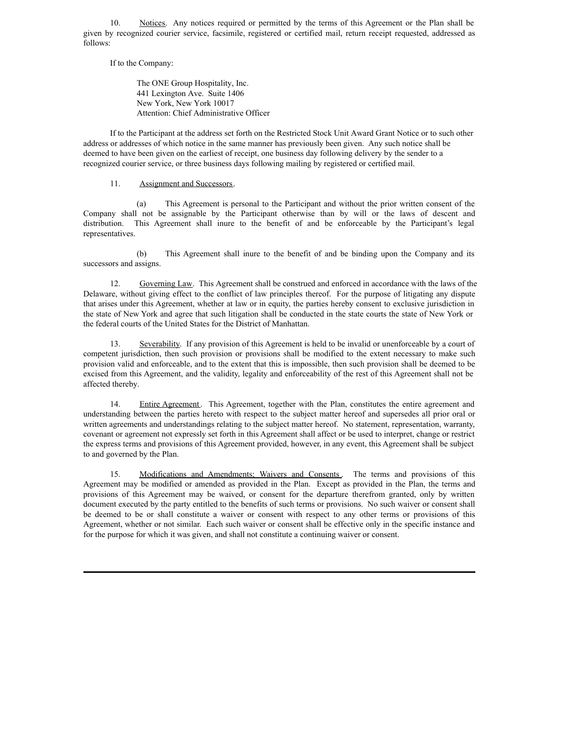10. Notices. Any notices required or permitted by the terms of this Agreement or the Plan shall be given by recognized courier service, facsimile, registered or certified mail, return receipt requested, addressed as follows:

If to the Company:

The ONE Group Hospitality, Inc. 441 Lexington Ave. Suite 1406 New York, New York 10017 Attention: Chief Administrative Officer

If to the Participant at the address set forth on the Restricted Stock Unit Award Grant Notice or to such other address or addresses of which notice in the same manner has previously been given. Any such notice shall be deemed to have been given on the earliest of receipt, one business day following delivery by the sender to a recognized courier service, or three business days following mailing by registered or certified mail.

11. Assignment and Successors.

(a) This Agreement is personal to the Participant and without the prior written consent of the Company shall not be assignable by the Participant otherwise than by will or the laws of descent and distribution. This Agreement shall inure to the benefit of and be enforceable by the Participant's legal representatives.

(b) This Agreement shall inure to the benefit of and be binding upon the Company and its successors and assigns.

12. Governing Law. This Agreement shall be construed and enforced in accordance with the laws of the Delaware, without giving effect to the conflict of law principles thereof. For the purpose of litigating any dispute that arises under this Agreement, whether at law or in equity, the parties hereby consent to exclusive jurisdiction in the state of New York and agree that such litigation shall be conducted in the state courts the state of New York or the federal courts of the United States for the District of Manhattan.

13. Severability. If any provision of this Agreement is held to be invalid or unenforceable by a court of competent jurisdiction, then such provision or provisions shall be modified to the extent necessary to make such provision valid and enforceable, and to the extent that this is impossible, then such provision shall be deemed to be excised from this Agreement, and the validity, legality and enforceability of the rest of this Agreement shall not be affected thereby.

14. Entire Agreement. This Agreement, together with the Plan, constitutes the entire agreement and understanding between the parties hereto with respect to the subject matter hereof and supersedes all prior oral or written agreements and understandings relating to the subject matter hereof. No statement, representation, warranty, covenant or agreement not expressly set forth in this Agreement shall affect or be used to interpret, change or restrict the express terms and provisions of this Agreement provided, however, in any event, this Agreement shall be subject to and governed by the Plan.

15. Modifications and Amendments; Waivers and Consents . The terms and provisions of this Agreement may be modified or amended as provided in the Plan. Except as provided in the Plan, the terms and provisions of this Agreement may be waived, or consent for the departure therefrom granted, only by written document executed by the party entitled to the benefits of such terms or provisions. No such waiver or consent shall be deemed to be or shall constitute a waiver or consent with respect to any other terms or provisions of this Agreement, whether or not similar. Each such waiver or consent shall be effective only in the specific instance and for the purpose for which it was given, and shall not constitute a continuing waiver or consent.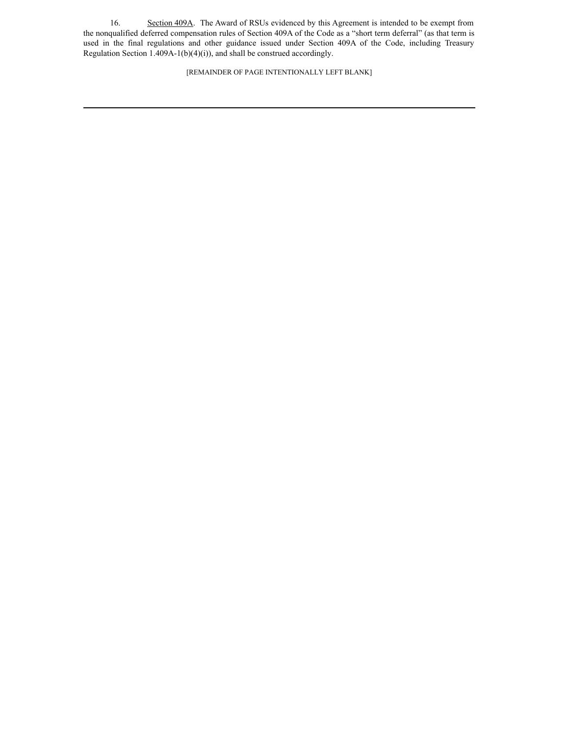16. Section 409A. The Award of RSUs evidenced by this Agreement is intended to be exempt from the nonqualified deferred compensation rules of Section 409A of the Code as a "short term deferral" (as that term is used in the final regulations and other guidance issued under Section 409A of the Code, including Treasury Regulation Section 1.409A-1(b)(4)(i)), and shall be construed accordingly.

[REMAINDER OF PAGE INTENTIONALLY LEFT BLANK]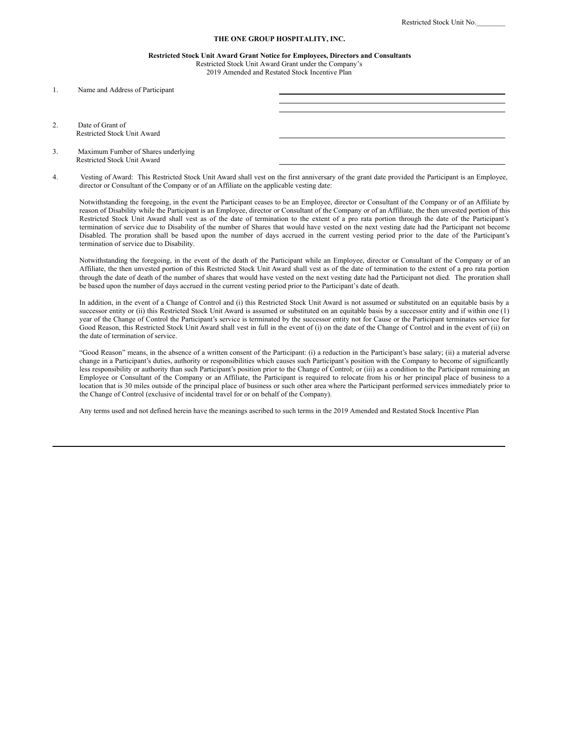## **THE ONE GROUP HOSPITALITY, INC.**

# **Restricted Stock Unit Award Grant Notice for Employees, Directors and Consultants**

Restricted Stock Unit Award Grant under the Company's 2019 Amended and Restated Stock Incentive Plan

- 
- 1. Name and Address of Participant
- 2. Date of Grant of Restricted Stock Unit Award
- 3. Maximum Fumber of Shares underlying Restricted Stock Unit Award

4. Vesting of Award: This Restricted Stock Unit Award shall vest on the first anniversary of the grant date provided the Participant is an Employee, director or Consultant of the Company or of an Affiliate on the applicable vesting date:

Notwithstanding the foregoing, in the event the Participant ceases to be an Employee, director or Consultant of the Company or of an Affiliate by reason of Disability while the Participant is an Employee, director or Consultant of the Company or of an Affiliate, the then unvested portion of this Restricted Stock Unit Award shall vest as of the date of termination to the extent of a pro rata portion through the date of the Participant's termination of service due to Disability of the number of Shares that would have vested on the next vesting date had the Participant not become Disabled. The proration shall be based upon the number of days accrued in the current vesting period prior to the date of the Participant's termination of service due to Disability.

Notwithstanding the foregoing, in the event of the death of the Participant while an Employee, director or Consultant of the Company or of an Affiliate, the then unvested portion of this Restricted Stock Unit Award shall vest as of the date of termination to the extent of a pro rata portion through the date of death of the number of shares that would have vested on the next vesting date had the Participant not died. The proration shall be based upon the number of days accrued in the current vesting period prior to the Participant's date of death.

In addition, in the event of a Change of Control and (i) this Restricted Stock Unit Award is not assumed or substituted on an equitable basis by a successor entity or (ii) this Restricted Stock Unit Award is assumed or substituted on an equitable basis by a successor entity and if within one (1) year of the Change of Control the Participant's service is terminated by the successor entity not for Cause or the Participant terminates service for Good Reason, this Restricted Stock Unit Award shall vest in full in the event of (i) on the date of the Change of Control and in the event of (ii) on the date of termination of service.

"Good Reason" means, in the absence of a written consent of the Participant: (i) a reduction in the Participant's base salary; (ii) a material adverse change in a Participant's duties, authority or responsibilities which causes such Participant's position with the Company to become of significantly less responsibility or authority than such Participant's position prior to the Change of Control; or (iii) as a condition to the Participant remaining an Employee or Consultant of the Company or an Affiliate, the Participant is required to relocate from his or her principal place of business to a location that is 30 miles outside of the principal place of business or such other area where the Participant performed services immediately prior to the Change of Control (exclusive of incidental travel for or on behalf of the Company).

Any terms used and not defined herein have the meanings ascribed to such terms in the 2019 Amended and Restated Stock Incentive Plan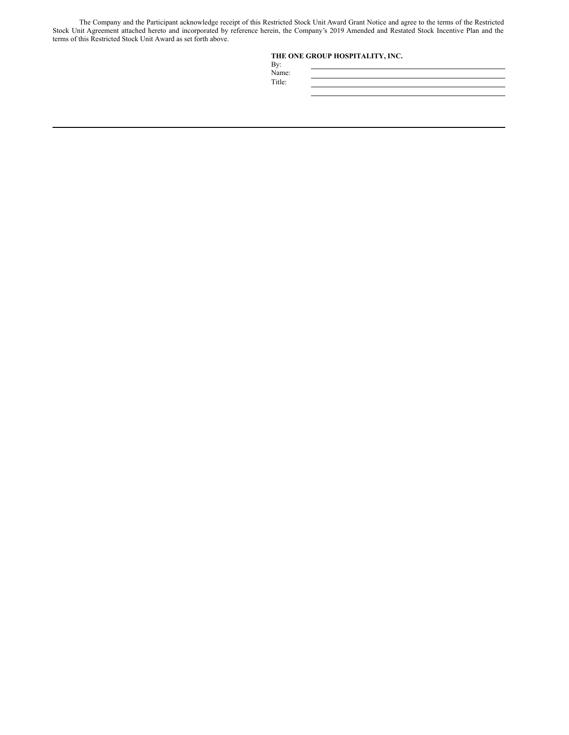The Company and the Participant acknowledge receipt of this Restricted Stock Unit Award Grant Notice and agree to the terms of the Restricted Stock Unit Agreement attached hereto and incorporated by reference herein, the Company's 2019 Amended and Restated Stock Incentive Plan and the terms of this Restricted Stock Unit Award as set forth above.

| By:    |  |
|--------|--|
| Name:  |  |
| Title: |  |
|        |  |
|        |  |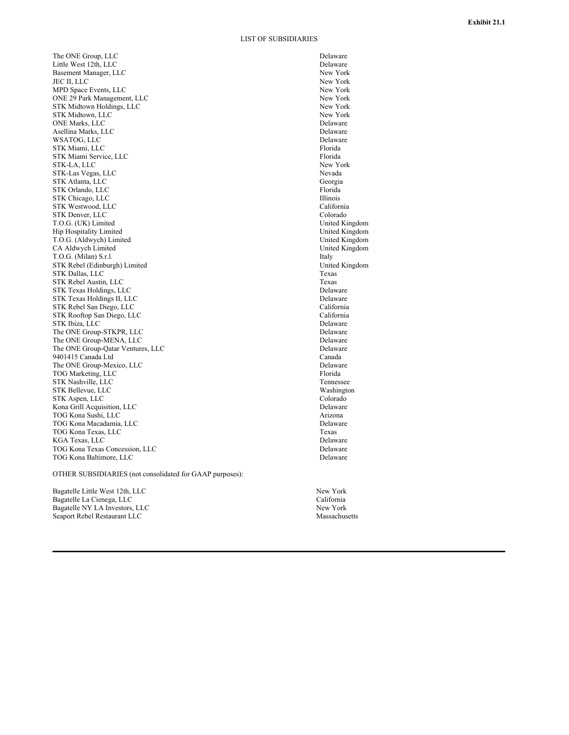#### LIST OF SUBSIDIARIES

The ONE Group, LLC Little West 12th, LLC Basement Manager, LLC J E C I I, L L C MPD Space Events, LLC ONE 29 Park Management, LLC STK Midtown Holdings, LLC STK Midtown, LLC ONE Marks, LLC Asellina Marks, LLC W S A T O G, L L C STK Miami, LLC STK Miami Service, LLC S T K - L A, L L C STK-Las Vegas, LLC STK Atlanta, LLC STK Orlando, LLC STK Chicago, LLC STK Westwood, LLC STK Denver, LLC T.O.G. (UK) Limited Hip Hospitality Limited T.O.G. (Aldwych) Limited CA Aldwych Limited T.O.G. (Milan) S.r.l. It STK Rebel (Edinburgh) Limited STK Dallas, LLC STK Rebel Austin, LLC STK Texas Holdings, LLC STK Texas Holdings II, LLC STK Rebel San Diego, LLC STK Rooftop San Diego, LLC S T K I b i z a, L L C The ONE Group-STKPR, LLC The ONE Group-MENA, LLC The ONE Group-Qatar Ventures, LLC 9401415 Canada Ltd The ONE Group-Mexico, LLC TOG Marketing, LLC STK Nashville, LLC STK Bellevue, LLC STK Aspen, LLC Kona Grill Acquisition, LLC T O G K o n a S u s h i, L L C TOG Kona Macadamia, LLC TOG Kona Texas, LLC KGA Texas, LLC TOG Kona Texas Concession, LLC TOG Kona Baltimore, LLC

Delaware Delaware New York New York New York New York New York New York Delaware Delaware Delaware Florida Florida New York N e v a d a Georgia Florida I l l i n o i s California Colorado United Kingdom United Kingdom United Kingdom United Kingdom t a l y United Kingdom **Texas Texas** Delaware Delaware California California Delaware Delaware Delaware Delaware Canada Delaware Florida Tennessee Washington Colorado Delaware Arizona Delaware **Texas** Delaware Delaware Delaware

OTHER SUBSIDIARIES (not consolidated for GAAP purposes):

Bagatelle Little West 12th, LLC Bagatelle La Cienega, LLC Bagatelle NY LA Investors, LLC Seaport Rebel Restaurant LLC

New York California New York Massachusetts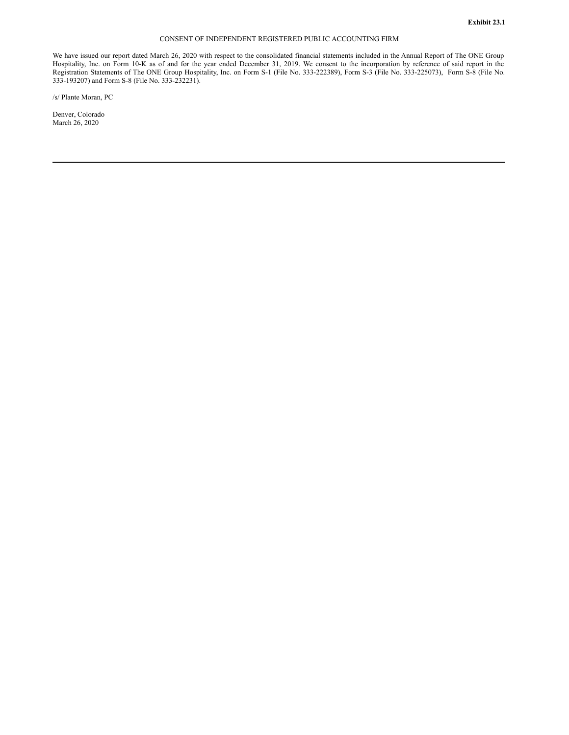### CONSENT OF INDEPENDENT REGISTERED PUBLIC ACCOUNTING FIRM

We have issued our report dated March 26, 2020 with respect to the consolidated financial statements included in the Annual Report of The ONE Group Hospitality, Inc. on Form 10-K as of and for the year ended December 31, 2019. We consent to the incorporation by reference of said report in the Registration Statements of The ONE Group Hospitality, Inc. on Form S-1 (File No. 333-222389), Form S-3 (File No. 333-225073), Form S-8 (File No. 333-193207) and Form S-8 (File No. 333-232231).

/s/ Plante Moran, PC

Denver, Colorado March 26, 2020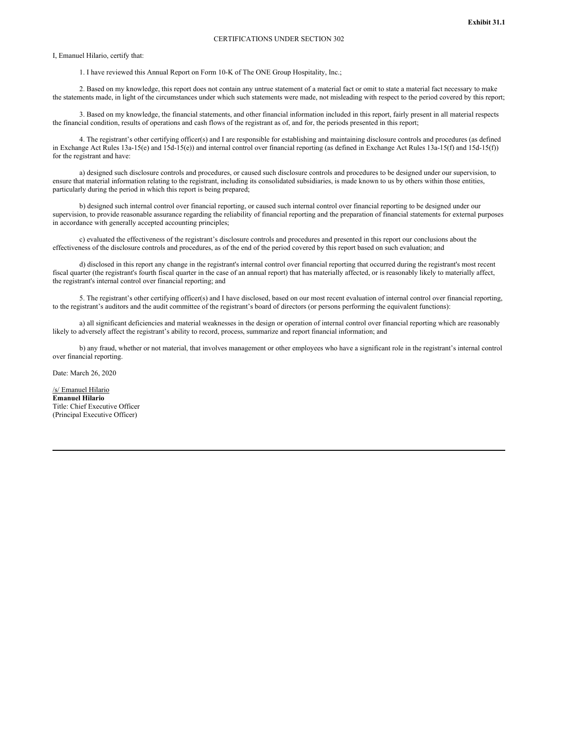I, Emanuel Hilario, certify that:

1. I have reviewed this Annual Report on Form 10-K of The ONE Group Hospitality, Inc.;

2. Based on my knowledge, this report does not contain any untrue statement of a material fact or omit to state a material fact necessary to make the statements made, in light of the circumstances under which such statements were made, not misleading with respect to the period covered by this report;

3. Based on my knowledge, the financial statements, and other financial information included in this report, fairly present in all material respects the financial condition, results of operations and cash flows of the registrant as of, and for, the periods presented in this report;

4. The registrant's other certifying officer(s) and I are responsible for establishing and maintaining disclosure controls and procedures (as defined in Exchange Act Rules 13a-15(e) and 15d-15(e)) and internal control over financial reporting (as defined in Exchange Act Rules 13a-15(f) and 15d-15(f)) for the registrant and have:

a) designed such disclosure controls and procedures, or caused such disclosure controls and procedures to be designed under our supervision, to ensure that material information relating to the registrant, including its consolidated subsidiaries, is made known to us by others within those entities, particularly during the period in which this report is being prepared;

b) designed such internal control over financial reporting, or caused such internal control over financial reporting to be designed under our supervision, to provide reasonable assurance regarding the reliability of financial reporting and the preparation of financial statements for external purposes in accordance with generally accepted accounting principles;

c) evaluated the effectiveness of the registrant's disclosure controls and procedures and presented in this report our conclusions about the effectiveness of the disclosure controls and procedures, as of the end of the period covered by this report based on such evaluation; and

d) disclosed in this report any change in the registrant's internal control over financial reporting that occurred during the registrant's most recent fiscal quarter (the registrant's fourth fiscal quarter in the case of an annual report) that has materially affected, or is reasonably likely to materially affect, the registrant's internal control over financial reporting; and

5. The registrant's other certifying officer(s) and I have disclosed, based on our most recent evaluation of internal control over financial reporting, to the registrant's auditors and the audit committee of the registrant's board of directors (or persons performing the equivalent functions):

a) all significant deficiencies and material weaknesses in the design or operation of internal control over financial reporting which are reasonably likely to adversely affect the registrant's ability to record, process, summarize and report financial information; and

b) any fraud, whether or not material, that involves management or other employees who have a significant role in the registrant's internal control over financial reporting.

Date: March 26, 2020

/s/ Emanuel Hilario **Emanuel Hilario** Title: Chief Executive Officer (Principal Executive Officer)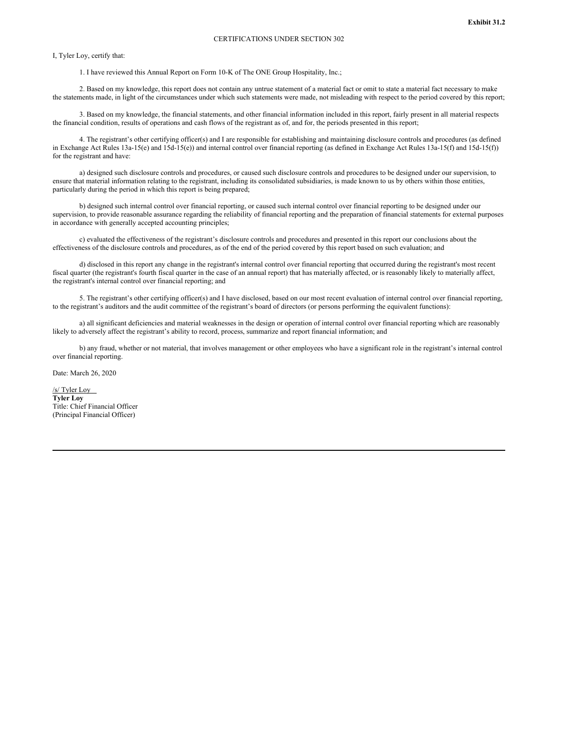I, Tyler Loy, certify that:

1. I have reviewed this Annual Report on Form 10-K of The ONE Group Hospitality, Inc.;

2. Based on my knowledge, this report does not contain any untrue statement of a material fact or omit to state a material fact necessary to make the statements made, in light of the circumstances under which such statements were made, not misleading with respect to the period covered by this report;

3. Based on my knowledge, the financial statements, and other financial information included in this report, fairly present in all material respects the financial condition, results of operations and cash flows of the registrant as of, and for, the periods presented in this report;

4. The registrant's other certifying officer(s) and I are responsible for establishing and maintaining disclosure controls and procedures (as defined in Exchange Act Rules 13a-15(e) and 15d-15(e)) and internal control over financial reporting (as defined in Exchange Act Rules 13a-15(f) and 15d-15(f)) for the registrant and have:

a) designed such disclosure controls and procedures, or caused such disclosure controls and procedures to be designed under our supervision, to ensure that material information relating to the registrant, including its consolidated subsidiaries, is made known to us by others within those entities, particularly during the period in which this report is being prepared;

b) designed such internal control over financial reporting, or caused such internal control over financial reporting to be designed under our supervision, to provide reasonable assurance regarding the reliability of financial reporting and the preparation of financial statements for external purposes in accordance with generally accepted accounting principles;

c) evaluated the effectiveness of the registrant's disclosure controls and procedures and presented in this report our conclusions about the effectiveness of the disclosure controls and procedures, as of the end of the period covered by this report based on such evaluation; and

d) disclosed in this report any change in the registrant's internal control over financial reporting that occurred during the registrant's most recent fiscal quarter (the registrant's fourth fiscal quarter in the case of an annual report) that has materially affected, or is reasonably likely to materially affect, the registrant's internal control over financial reporting; and

5. The registrant's other certifying officer(s) and I have disclosed, based on our most recent evaluation of internal control over financial reporting, to the registrant's auditors and the audit committee of the registrant's board of directors (or persons performing the equivalent functions):

a) all significant deficiencies and material weaknesses in the design or operation of internal control over financial reporting which are reasonably likely to adversely affect the registrant's ability to record, process, summarize and report financial information; and

b) any fraud, whether or not material, that involves management or other employees who have a significant role in the registrant's internal control over financial reporting.

Date: March 26, 2020

/s/ Tyler Loy **Tyler Loy** Title: Chief Financial Officer (Principal Financial Officer)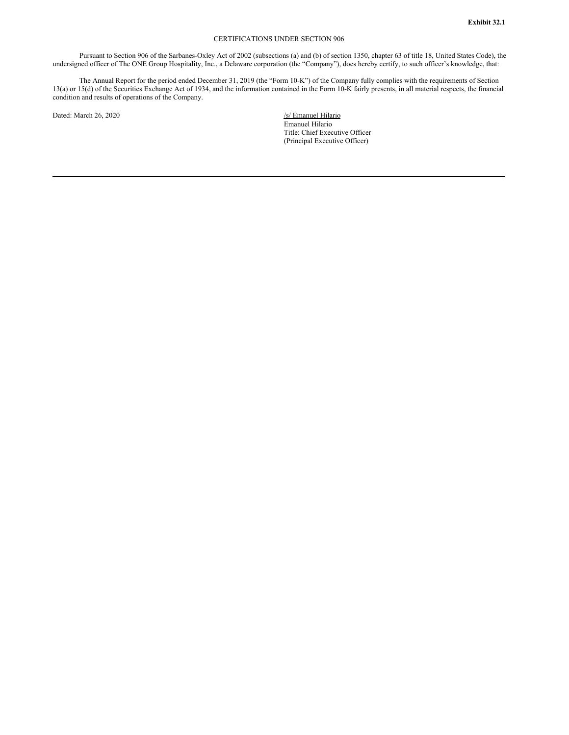# CERTIFICATIONS UNDER SECTION 906

Pursuant to Section 906 of the Sarbanes-Oxley Act of 2002 (subsections (a) and (b) of section 1350, chapter 63 of title 18, United States Code), the undersigned officer of The ONE Group Hospitality, Inc., a Delaware corporation (the "Company"), does hereby certify, to such officer's knowledge, that:

The Annual Report for the period ended December 31, 2019 (the "Form 10-K") of the Company fully complies with the requirements of Section 13(a) or 15(d) of the Securities Exchange Act of 1934, and the information contained in the Form 10-K fairly presents, in all material respects, the financial condition and results of operations of the Company.

Dated: March 26, 2020 /s/ Emanuel Hilario

Emanuel Hilario Title: Chief Executive Officer (Principal Executive Officer)